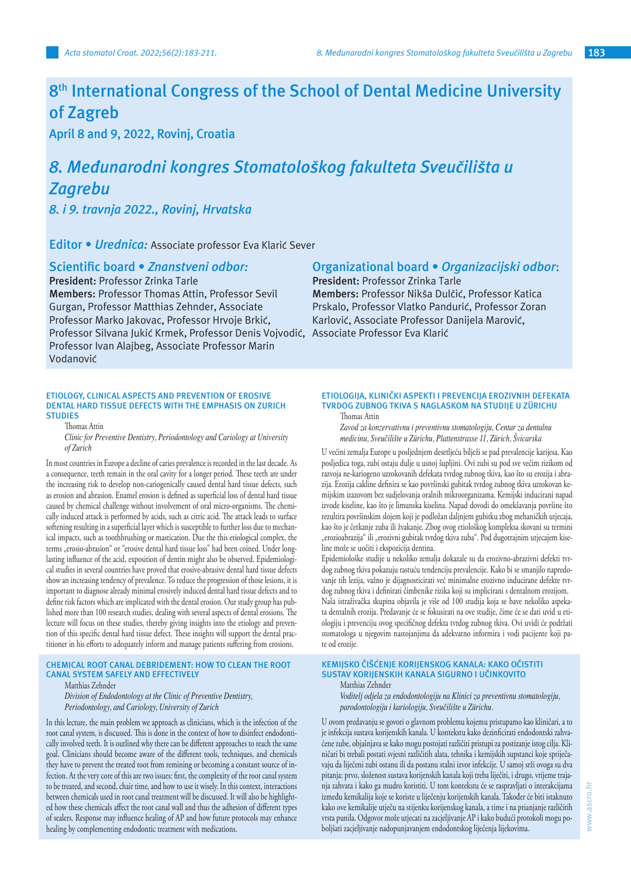# **8th International Congress of the School of Dental Medicine University of Zagreb**

**April 8 and 9, 2022, Rovinj, Croatia**

# *8. Međunarodni kongres Stomatološkog fakulteta Sveučilišta u Zagrebu*

*8. i 9. travnja 2022., Rovinj, Hrvatska*

**Editor •** *Urednica:* Associate professor Eva Klarić Sever

**Scientific board •** *Znanstveni odbor:*

**President:** Professor Zrinka Tarle **Members:** Professor Thomas Attin, Professor Sevil Gurgan, Professor Matthias Zehnder, Associate Professor Marko Jakovac, Professor Hrvoje Brkić, Professor Silvana Jukić Krmek, Professor Denis Vojvodić, Associate Professor Eva KlarićProfessor Ivan Alajbeg, Associate Professor Marin Vodanović

#### **ETIOLOGY, CLINICAL ASPECTS AND PREVENTION OF EROSIVE DENTAL HARD TISSUE DEFECTS WITH THE EMPHASIS ON ZURICH STUDIES**

Thomas Attin

*Clinic for Preventive Dentistry, Periodontology and Cariology at University of Zurich*

In most countries in Europe a decline of caries prevalence is recorded in the last decade. As a consequence, teeth remain in the oral cavity for a longer period. These teeth are under the increasing risk to develop non-cariogenically caused dental hard tissue defects, such as erosion and abrasion. Enamel erosion is defined as superficial loss of dental hard tissue caused by chemical challenge without involvement of oral micro-organisms. The chemically induced attack is performed by acids, such as citric acid. The attack leads to surface softening resulting in a superficial layer which is susceptible to further loss due to mechanical impacts, such as toothbrushing or mastication. Due the this etiological complex, the terms "erosio-abrasion" or "erosive dental hard tissue loss" had been coined. Under longlasting influence of the acid, exposition of dentin might also be observed. Epidemiological studies in several countries have proved that erosive-abrasive dental hard tissue defects show an increasing tendency of prevalence. To reduce the progression of those lesions, it is important to diagnose already minimal erosively induced dental hard tissue defects and to define risk factors which are implicated with the dental erosion. Our study group has published more than 100 research studies, dealing with several aspects of dental erosions. The lecture will focus on these studies, thereby giving insights into the etiology and prevention of this specific dental hard tissue defect. These insights will support the dental practitioner in his efforts to adequately inform and manage patients suffering from erosions.

# **CHEMICAL ROOT CANAL DEBRIDEMENT: HOW TO CLEAN THE ROOT CANAL SYSTEM SAFELY AND EFFECTIVELY**

Matthias Zehnder

*Division of Endodontology at the Clinic of Preventive Dentistry, Periodontology, and Cariology, University of Zurich*

In this lecture, the main problem we approach as clinicians, which is the infection of the root canal system, is discussed. This is done in the context of how to disinfect endodontically involved teeth. It is outlined why there can be different approaches to reach the same goal. Clinicians should become aware of the different tools, techniques, and chemicals they have to prevent the treated toot from remining or becoming a constant source of infection. At the very core of this are two issues: first, the complexity of the root canal system to be treated, and second, chair time, and how to use it wisely. In this context, interactions between chemicals used in root canal treatment will be discussed. It will also be highlighted how these chemicals affect the root canal wall and thus the adhesion of different types of sealers. Response may influence healing of AP and how future protocols may enhance healing by complementing endodontic treatment with medications.

# **Organizational board •** *Organizacijski odbor***:**

**President:** Professor Zrinka Tarle **Members:** Professor Nikša Dulčić, Professor Katica Prskalo, Professor Vlatko Pandurić, Professor Zoran Karlović, Associate Professor Danijela Marović,

#### **ETIOLOGIJA, KLINIČKI ASPEKTI I PREVENCIJA EROZIVNIH DEFEKATA TVRDOG ZUBNOG TKIVA S NAGLASKOM NA STUDIJE U ZÜRICHU** Thomas Attin

*Zavod za konzervativnu i preventivnu stomatologiju, Centar za dentalnu* 

*medicinu, Sveučilište u Zürichu, Plattenstrasse 11, Zürich, Švicarska*

U većini zemalja Europe u posljednjem desetljeću bilježi se pad prevalencije karijesa. Kao posljedica toga, zubi ostaju dulje u usnoj šupljini. Ovi zubi su pod sve većim rizikom od razvoja ne-kariogeno uzrokovanih defekata tvrdog zubnog tkiva, kao što su erozija i abrazija. Erozija cakline definira se kao površinski gubitak tvrdog zubnog tkiva uzrokovan kemijskim izazovom bez sudjelovanja oralnih mikroorganizama. Kemijski inducirani napad izvode kiseline, kao što je limunska kiselina. Napad dovodi do omekšavanja površine što rezultira površinskim slojem koji je podložan daljnjem gubitku zbog mehaničkih utjecaja, kao što je četkanje zuba ili žvakanje. Zbog ovog etiološkog kompleksa skovani su termini "erozioabrazija" ili "erozivni gubitak tvrdog tkiva zuba". Pod dugotrajnim utjecajem kiseline može se uočiti i ekspozicija dentina.

Epidemiološke studije u nekoliko zemalja dokazale su da erozivno-abrazivni defekti tvrdog zubnog tkiva pokazuju rastuću tendenciju prevalencije. Kako bi se smanjilo napredovanje tih lezija, važno je dijagnosticirati već minimalne erozivno inducirane defekte tvrdog zubnog tkiva i definirati čimbenike rizika koji su implicirani s dentalnom erozijom. Naša istraživačka skupina objavila je više od 100 studija koja se bave nekoliko aspekata dentalnih erozija. Predavanje će se fokusirati na ove studije, čime će se dati uvid u etiologiju i prevenciju ovog specifičnog defekta tvrdog zubnog tkiva. Ovi uvidi će podržati stomatologa u njegovim nastojanjima da adekvatno informira i vodi pacijente koji pate od erozije.

#### **KEMIJSKO ČIŠĆENJE KORIJENSKOG KANALA: KAKO OČISTITI SUSTAV KORIJENSKIH KANALA SIGURNO I UČINKOVITO** Matthias Zehnder

*Voditelj odjela za endodontologiju na Klinici za preventivnu stomatologiju, parodontologiju i kariologiju, Sveučilište u Zürichu.*

U ovom predavanju se govori o glavnom problemu kojemu pristupamo kao kliničari, a to je infekcija sustava korijenskih kanala. U kontekstu kako dezinficirati endodontski zahvaćene zube, objašnjava se kako mogu postojati različiti pristupi za postizanje istog cilja. Kliničari bi trebali postati svjesni različitih alata, tehnika i kemijskih supstanci koje spriječavaju da liječeni zubi ostanu ili da postanu stalni izvor infekcije. U samoj srži ovoga su dva pitanja: prvo, složenost sustava korijenskih kanala koji treba liječiti, i drugo, vrijeme trajanja zahvata i kako ga mudro koristiti. U tom kontekstu će se raspravljati o interakcijama između kemikalija koje se koriste u liječenju korijenskih kanala. Također će biti istaknuto kako ove kemikalije utječu na stijenku korijenskog kanala, a time i na prianjanje različitih vrsta punila. Odgovor može utjecati na zacjeljivanje AP i kako budući protokoli mogu poboljšati zacjeljivanje nadopunjavanjem endodontskog liječenja lijekovima.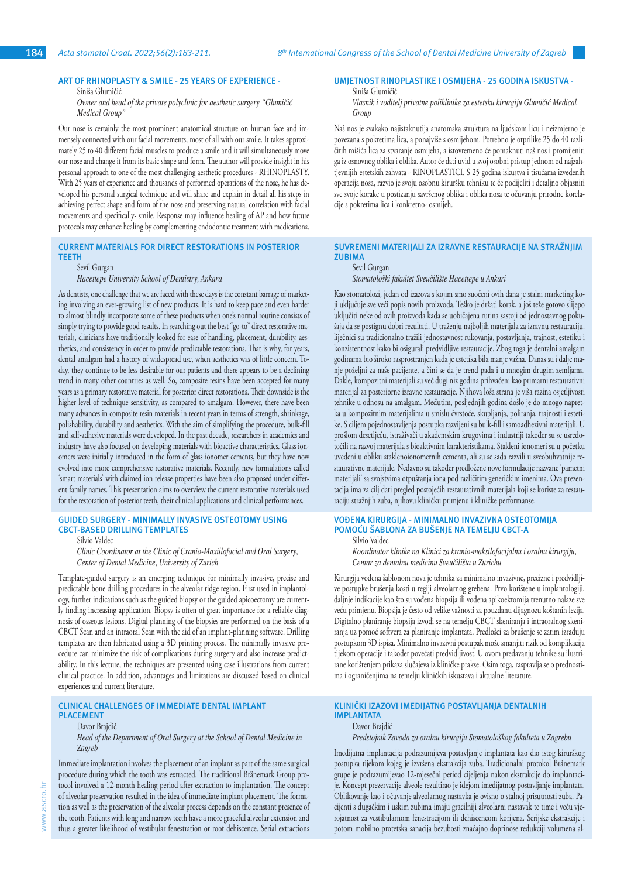#### **ART OF RHINOPLASTY & SMILE - 25 YEARS OF EXPERIENCE -**

## Siniša Glumičić

*Owner and head of the private polyclinic for aesthetic surgery "Glumičić Medical Group"*

Our nose is certainly the most prominent anatomical structure on human face and immensely connected with our facial movements, most of all with our smile. It takes approximately 25 to 40 different facial muscles to produce a smile and it will simultaneously move our nose and change it from its basic shape and form. The author will provide insight in his personal approach to one of the most challenging aesthetic procedures - RHINOPLASTY. With 25 years of experience and thousands of performed operations of the nose, he has developed his personal surgical technique and will share and explain in detail all his steps in achieving perfect shape and form of the nose and preserving natural correlation with facial movements and specifically- smile. Response may influence healing of AP and how future protocols may enhance healing by complementing endodontic treatment with medications.

# **CURRENT MATERIALS FOR DIRECT RESTORATIONS IN POSTERIOR TEETH**

#### Sevil Gurgan

# *Hacettepe University School of Dentistry, Ankara*

As dentists, one challenge that we are faced with these days is the constant barrage of marketing involving an ever-growing list of new products. It is hard to keep pace and even harder to almost blindly incorporate some of these products when one's normal routine consists of simply trying to provide good results. In searching out the best "go-to" direct restorative materials, clinicians have traditionally looked for ease of handling, placement, durability, aesthetics, and consistency in order to provide predictable restorations. That is why, for years, dental amalgam had a history of widespread use, when aesthetics was of little concern. Today, they continue to be less desirable for our patients and there appears to be a declining trend in many other countries as well. So, composite resins have been accepted for many years as a primary restorative material for posterior direct restorations. Their downside is the higher level of technique sensitivity, as compared to amalgam. However, there have been many advances in composite resin materials in recent years in terms of strength, shrinkage, polishability, durability and aesthetics. With the aim of simplifying the procedure, bulk-fill and self-adhesive materials were developed. In the past decade, researchers in academics and industry have also focused on developing materials with bioactive characteristics. Glass ionomers were initially introduced in the form of glass ionomer cements, but they have now evolved into more comprehensive restorative materials. Recently, new formulations called 'smart materials' with claimed ion release properties have been also proposed under different family names. This presentation aims to overview the current restorative materials used for the restoration of posterior teeth, their clinical applications and clinical performances.

## **GUIDED SURGERY - MINIMALLY INVASIVE OSTEOTOMY USING CBCT-BASED DRILLING TEMPLATES**

Silvio Valdec

## *Clinic Coordinator at the Clinic of Cranio-Maxillofacial and Oral Surgery, Center of Dental Medicine, University of Zurich*

Template-guided surgery is an emerging technique for minimally invasive, precise and predictable bone drilling procedures in the alveolar ridge region. First used in implantology, further indications such as the guided biopsy or the guided apicoectomy are currently finding increasing application. Biopsy is often of great importance for a reliable diagnosis of osseous lesions. Digital planning of the biopsies are performed on the basis of a CBCT Scan and an intraoral Scan with the aid of an implant-planning software. Drilling templates are then fabricated using a 3D printing process. The minimally invasive procedure can minimize the risk of complications during surgery and also increase predictability. In this lecture, the techniques are presented using case illustrations from current clinical practice. In addition, advantages and limitations are discussed based on clinical experiences and current literature.

**CLINICAL CHALLENGES OF IMMEDIATE DENTAL IMPLANT PLACEMENT**

#### Davor Brajdić

*Head of the Department of Oral Surgery at the School of Dental Medicine in Zagreb*

Immediate implantation involves the placement of an implant as part of the same surgical procedure during which the tooth was extracted. The traditional Bränemark Group protocol involved a 12-month healing period after extraction to implantation. The concept of alveolar preservation resulted in the idea of immediate implant placement. The formation as well as the preservation of the alveolar process depends on the constant presence of the tooth. Patients with long and narrow teeth have a more graceful alveolar extension and thus a greater likelihood of vestibular fenestration or root dehiscence. Serial extractions

# **UMJETNOST RINOPLASTIKE I OSMIJEHA - 25 GODINA ISKUSTVA -**

#### Siniša Glumičić *Vlasnik i voditelj privatne poliklinike za estetsku kirurgiju Glumičić Medical Group*

Naš nos je svakako najistaknutija anatomska struktura na ljudskom licu i neizmjerno je povezana s pokretima lica, a ponajviše s osmijehom. Potrebno je otprilike 25 do 40 različitih mišića lica za stvaranje osmijeha, a istovremeno će pomaknuti naš nos i promijeniti ga iz osnovnog oblika i oblika. Autor će dati uvid u svoj osobni pristup jednom od najzahtjevnijih estetskih zahvata - RINOPLASTICI. S 25 godina iskustva i tisućama izvedenih operacija nosa, razvio je svoju osobnu kiruršku tehniku te će podijeliti i detaljno objasniti sve svoje korake u postizanju savršenog oblika i oblika nosa te očuvanju prirodne korelacije s pokretima lica i konkretno- osmijeh.

# **SUVREMENI MATERIJALI ZA IZRAVNE RESTAURACIJE NA STRAŽNJIM ZUBIMA**

Sevil Gurgan

*Stomatološki fakultet Sveučilište Hacettepe u Ankari*

Kao stomatolozi, jedan od izazova s kojim smo suočeni ovih dana je stalni marketing koji uključuje sve veći popis novih proizvoda. Teško je držati korak, a još teže gotovo slijepo uključiti neke od ovih proizvoda kada se uobičajena rutina sastoji od jednostavnog pokušaja da se postignu dobri rezultati. U traženju najboljih materijala za izravnu restauraciju, liječnici su tradicionalno tražili jednostavnost rukovanja, postavljanja, trajnost, estetiku i konzistentnost kako bi osigurali predvidljive restauracije. Zbog toga je dentalni amalgam godinama bio široko rasprostranjen kada je estetika bila manje važna. Danas su i dalje manje poželjni za naše pacijente, a čini se da je trend pada i u mnogim drugim zemljama. Dakle, kompozitni materijali su već dugi niz godina prihvaćeni kao primarni restaurativni materijal za posteriorne izravne restauracije. Njihova loša strana je viša razina osjetljivosti tehnike u odnosu na amalgam. Međutim, posljednjih godina došlo je do mnogo napretka u kompozitnim materijalima u smislu čvrstoće, skupljanja, poliranja, trajnosti i estetike. S ciljem pojednostavljenja postupka razvijeni su bulk-fill i samoadhezivni materijali. U prošlom desetljeću, istraživači u akademskim krugovima i industriji također su se usredotočili na razvoj materijala s bioaktivnim karakteristikama. Stakleni ionomeri su u početku uvedeni u obliku staklenoionomernih cementa, ali su se sada razvili u sveobuhvatnije restaurativne materijale. Nedavno su također predložene nove formulacije nazvane 'pametni materijali' sa svojstvima otpuštanja iona pod različitim generičkim imenima. Ova prezentacija ima za cilj dati pregled postojećih restaurativnih materijala koji se koriste za restauraciju stražnjih zuba, njihovu kliničku primjenu i kliničke performanse.

#### **VOĐENA KIRURGIJA - MINIMALNO INVAZIVNA OSTEOTOMIJA POMOĆU ŠABLONA ZA BUŠENJE NA TEMELJU CBCT-A** Silvio Valdec

*Koordinator klinike na Klinici za kranio-maksilofacijalnu i oralnu kirurgiju, Centar za dentalnu medicinu Sveučilišta u Zürichu*

Kirurgija vođena šablonom nova je tehnika za minimalno invazivne, precizne i predvidljive postupke brušenja kosti u regiji alveolarnog grebena. Prvo korištene u implantologiji, daljnje indikacije kao što su vođena biopsija ili vođena apikoektomija trenutno nalaze sve veću primjenu. Biopsija je često od velike važnosti za pouzdanu dijagnozu koštanih lezija. Digitalno planiranje biopsija izvodi se na temelju CBCT skeniranja i intraoralnog skeniranja uz pomoć softvera za planiranje implantata. Predlošci za brušenje se zatim izrađuju postupkom 3D ispisa. Minimalno invazivni postupak može smanjiti rizik od komplikacija tijekom operacije i također povećati predvidljivost. U ovom predavanju tehnike su ilustrirane korištenjem prikaza slučajeva iz kliničke prakse. Osim toga, raspravlja se o prednostima i ograničenjima na temelju kliničkih iskustava i aktualne literature.

#### **KLINIČKI IZAZOVI IMEDIJATNG POSTAVLJANJA DENTALNIH IMPLANTATA** Davor Brajdić

*Predstojnik Zavoda za oralnu kirurgiju Stomatološkog fakulteta u Zagrebu*

Imedijatna implantacija podrazumijeva postavljanje implantata kao dio istog kirurškog postupka tijekom kojeg je izvršena ekstrakcija zuba. Tradicionalni protokol Bränemark grupe je podrazumijevao 12-mjesečni period cijeljenja nakon ekstrakcije do implantacije. Koncept prezervacije alveole rezultirao je idejom imedijatnog postavljanje implantata. Oblikovanje kao i očuvanje alveolarnog nastavka je ovisno o stalnoj prisutnosti zuba. Pacijenti s dugačkim i uskim zubima imaju gracilniji alveolarni nastavak te time i veću vjerojatnost za vestibularnom fenestracijom ili dehiscencom korijena. Serijske ekstrakcije i potom mobilno-protetska sanacija bezubosti značajno doprinose redukciji volumena al-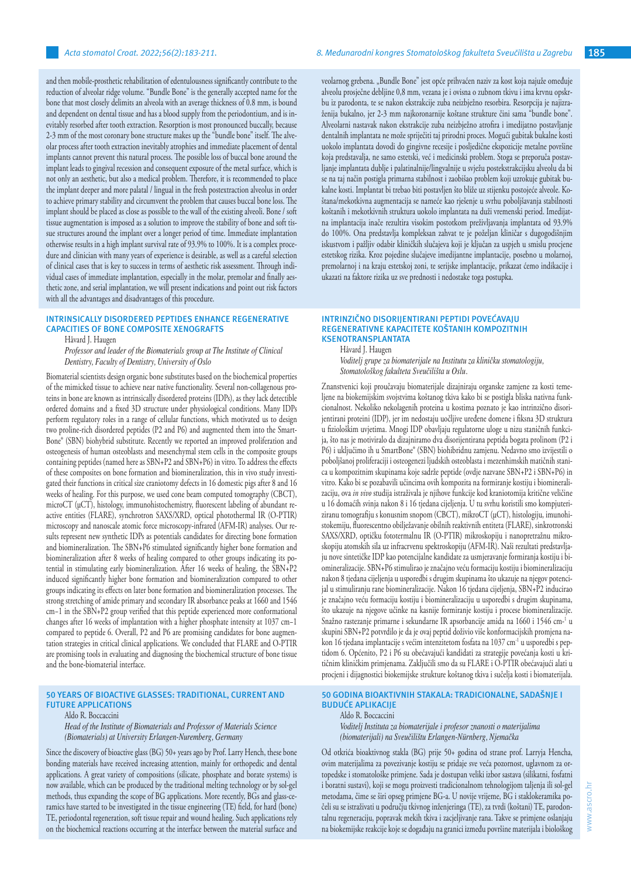and then mobile-prosthetic rehabilitation of edentulousness significantly contribute to the reduction of alveolar ridge volume. "Bundle Bone" is the generally accepted name for the bone that most closely delimits an alveola with an average thickness of 0.8 mm, is bound and dependent on dental tissue and has a blood supply from the periodontium, and is inevitably resorbed after tooth extraction. Resorption is most pronounced buccally, because 2-3 mm of the most coronary bone structure makes up the "bundle bone" itself. The alveolar process after tooth extraction inevitably atrophies and immediate placement of dental implants cannot prevent this natural process. The possible loss of buccal bone around the implant leads to gingival recession and consequent exposure of the metal surface, which is not only an aesthetic, but also a medical problem. Therefore, it is recommended to place the implant deeper and more palatal / lingual in the fresh postextraction alveolus in order to achieve primary stability and circumvent the problem that causes buccal bone loss. The implant should be placed as close as possible to the wall of the existing alveoli. Bone / soft tissue augmentation is imposed as a solution to improve the stability of bone and soft tissue structures around the implant over a longer period of time. Immediate implantation otherwise results in a high implant survival rate of 93.9% to 100%. It is a complex procedure and clinician with many years of experience is desirable, as well as a careful selection of clinical cases that is key to success in terms of aesthetic risk assessment. Through individual cases of immediate implantation, especially in the molar, premolar and finally aesthetic zone, and serial implantation, we will present indications and point out risk factors with all the advantages and disadvantages of this procedure.

## **INTRINSICALLY DISORDERED PEPTIDES ENHANCE REGENERATIVE CAPACITIES OF BONE COMPOSITE XENOGRAFTS**

Håvard J. Haugen

*Professor and leader of the Biomaterials group at The Institute of Clinical Dentistry, Faculty of Dentistry, University of Oslo*

Biomaterial scientists design organic bone substitutes based on the biochemical properties of the mimicked tissue to achieve near native functionality. Several non-collagenous proteins in bone are known as intrinsically disordered proteins (IDPs), as they lack detectible ordered domains and a fixed 3D structure under physiological conditions. Many IDPs perform regulatory roles in a range of cellular functions, which motivated us to design two proline-rich disordered peptides (P2 and P6) and augmented them into the Smart-Bone® (SBN) biohybrid substitute. Recently we reported an improved proliferation and osteogenesis of human osteoblasts and mesenchymal stem cells in the composite groups containing peptides (named here as SBN+P2 and SBN+P6) in vitro. To address the effects of these composites on bone formation and biomineralization, this in vivo study investigated their functions in critical size craniotomy defects in 16 domestic pigs after 8 and 16 weeks of healing. For this purpose, we used cone beam computed tomography (CBCT), microCT (µCT), histology, immunohistochemistry, fluorescent labeling of abundant reactive entities (FLARE), synchrotron SAXS/XRD, optical photothermal IR (O-PTIR) microscopy and nanoscale atomic force microscopy-infrared (AFM-IR) analyses. Our results represent new synthetic IDPs as potentials candidates for directing bone formation and biomineralization. The SBN+P6 stimulated significantly higher bone formation and biomineralization after 8 weeks of healing compared to other groups indicating its potential in stimulating early biomineralization. After 16 weeks of healing, the SBN+P2 induced significantly higher bone formation and biomineralization compared to other groups indicating its effects on later bone formation and biomineralization processes. The strong stretching of amide primary and secondary IR absorbance peaks at 1660 and 1546 cm−1 in the SBN+P2 group verified that this peptide experienced more conformational changes after 16 weeks of implantation with a higher phosphate intensity at 1037 cm−1 compared to peptide 6. Overall, P2 and P6 are promising candidates for bone augmentation strategies in critical clinical applications. We concluded that FLARE and O-PTIR are promising tools in evaluating and diagnosing the biochemical structure of bone tissue and the bone-biomaterial interface.

## **50 YEARS OF BIOACTIVE GLASSES: TRADITIONAL, CURRENT AND FUTURE APPLICATIONS**

#### Aldo R. Boccaccini

*Head of the Institute of Biomaterials and Professor of Materials Science (Biomaterials) at University Erlangen-Nuremberg, Germany*

Since the discovery of bioactive glass (BG) 50+ years ago by Prof. Larry Hench, these bone bonding materials have received increasing attention, mainly for orthopedic and dental applications. A great variety of compositions (silicate, phosphate and borate systems) is now available, which can be produced by the traditional melting technology or by sol-gel methods, thus expanding the scope of BG applications. More recently, BGs and glass-ceramics have started to be investigated in the tissue engineering (TE) field, for hard (bone) TE, periodontal regeneration, soft tissue repair and wound healing. Such applications rely on the biochemical reactions occurring at the interface between the material surface and veolarnog grebena. "Bundle Bone" jest opće prihvaćen naziv za kost koja najuže omeđuje alveolu prosječne debljine 0,8 mm, vezana je i ovisna o zubnom tkivu i ima krvnu opskrbu iz parodonta, te se nakon ekstrakcije zuba neizbježno resorbira. Resorpcija je najizraženija bukalno, jer 2-3 mm najkoronarnije koštane strukture čini sama "bundle bone". Alveolarni nastavak nakon ekstrakcije zuba neizbježno atrofira i imedijatno postavljanje dentalnih implantata ne može spriječiti taj prirodni proces. Mogući gubitak bukalne kosti uokolo implantata dovodi do gingivne recesije i posljedične ekspozicije metalne površine koja predstavalja, ne samo estetski, već i medicinski problem. Stoga se preporuča postavljanje implantata dublje i palatinalnije/lingvalnije u svježu postekstrakcijsku alveolu da bi se na taj način postigla primarna stabilnost i zaobišao problem koji uzrokuje gubitak bukalne kosti. Implantat bi trebao biti postavljen što bliže uz stijenku postojeće alveole. Koštana/mekotkivna augmentacija se nameće kao rješenje u svrhu poboljšavanja stabilnosti koštanih i mekotkivnih struktura uokolo implantata na duži vremenski period. Imedijatna implantacija inače rezultira visokim postotkom preživljavanja implantata od 93.9% do 100%. Ona predstavlja kompleksan zahvat te je poželjan kliničar s dugogodišnjim iskustvom i pažljiv odabir kliničkih slučajeva koji je ključan za uspjeh u smislu procjene estetskog rizika. Kroz pojedine slučajeve imedijantne implantacije, posebno u molarnoj, premolarnoj i na kraju estetskoj zoni, te serijske implantacije, prikazat ćemo indikacije i ukazati na faktore rizika uz sve prednosti i nedostake toga postupka.

#### **INTRINZIČNO DISORIJENTIRANI PEPTIDI POVEĆAVAJU REGENERATIVNE KAPACITETE KOŠTANIH KOMPOZITNIH KSENOTRANSPLANTATA**

Håvard J. Haugen

*Voditelj grupe za biomaterijale na Institutu za kliničku stomatologiju, Stomatološkog fakulteta Sveučilišta u Oslu.*

Znanstvenici koji proučavaju biomaterijale dizajniraju organske zamjene za kosti temeljene na biokemijskim svojstvima koštanog tkiva kako bi se postigla bliska nativna funkcionalnost. Nekoliko nekolagenih proteina u kostima poznato je kao intrinzično disorijentirani proteini (IDP), jer im nedostaju uočljive uređene domene i fiksna 3D struktura u fiziološkim uvjetima. Mnogi IDP obavljaju regulatorne uloge u nizu staničnih funkcija, što nas je motiviralo da dizajniramo dva disorijentirana peptida bogata prolinom (P2 i P6) i uključimo ih u SmartBone® (SBN) biohibridnu zamjenu. Nedavno smo izvijestili o poboljšanoj proliferaciji i osteogenezi ljudskih osteoblasta i mezenhimskih matičnih stanica u kompozitnim skupinama koje sadrže peptide (ovdje nazvane SBN+P2 i SBN+P6) in vitro. Kako bi se pozabavili učincima ovih kompozita na formiranje kostiju i biomineralizaciju, ova *in vivo* studija istraživala je njihove funkcije kod kraniotomija kritične veličine u 16 domaćih svinja nakon 8 i 16 tjedana cijeljenja. U tu svrhu koristili smo kompjuteriziranu tomografiju s konusnim snopom (CBCT), mikroCT (µCT), histologiju, imunohistokemiju, fluorescentno obilježavanje obilnih reaktivnih entiteta (FLARE), sinkrotronski SAXS/XRD, optičku fototermalnu IR (O-PTIR) mikroskopiju i nanopretražnu mikroskopiju atomskih sila uz infracrvenu spektroskopiju (AFM-IR). Naši rezultati predstavljaju nove sintetičke IDP kao potencijalne kandidate za usmjeravanje formiranja kostiju i biomineralizacije. SBN+P6 stimulirao je značajno veću formaciju kostiju i biomineralizaciju nakon 8 tjedana cijeljenja u usporedbi s drugim skupinama što ukazuje na njegov potencijal u stimuliranju rane biomineralizacije. Nakon 16 tjedana cijeljenja, SBN+P2 inducirao je značajno veću formaciju kostiju i biomineralizaciju u usporedbi s drugim skupinama, što ukazuje na njegove učinke na kasnije formiranje kostiju i procese biomineralizacije. Snažno rastezanje primarne i sekundarne IR apsorbancije amida na 1660 i 1546 cm-<sup>1</sup> u skupini SBN+P2 potvrdilo je da je ovaj peptid doživio više konformacijskih promjena nakon 16 tjedana implantacije s većim intenzitetom fosfata na 1037 cm-1 u usporedbi s peptidom 6. Općenito, P2 i P6 su obećavajući kandidati za strategije povećanja kosti u kritičnim kliničkim primjenama. Zaključili smo da su FLARE i O-PTIR obećavajući alati u procjeni i dijagnostici biokemijske strukture koštanog tkiva i sučelja kosti i biomaterijala.

## **50 GODINA BIOAKTIVNIH STAKALA: TRADICIONALNE, SADAŠNJE I BUDUĆE APLIKACIJE**

Aldo R. Boccaccini *Voditelj Instituta za biomaterijale i profesor znanosti o materijalima (biomaterijali) na Sveučilištu Erlangen-Nürnberg, Njemačka*

Od otkrića bioaktivnog stakla (BG) prije 50+ godina od strane prof. Larryja Hencha, ovim materijalima za povezivanje kostiju se pridaje sve veća pozornost, uglavnom za ortopedske i stomatološke primjene. Sada je dostupan veliki izbor sastava (silikatni, fosfatni i boratni sustavi), koji se mogu proizvesti tradicionalnom tehnologijom taljenja ili sol-gel metodama, čime se širi opseg primjene BG-a. U novije vrijeme, BG i staklokeramika počeli su se istraživati u području tkivnog inženjeringa (TE), za tvrdi (koštani) TE, parodontalnu regeneraciju, popravak mekih tkiva i zacjeljivanje rana. Takve se primjene oslanjaju na biokemijske reakcije koje se događaju na granici između površine materijala i biološkog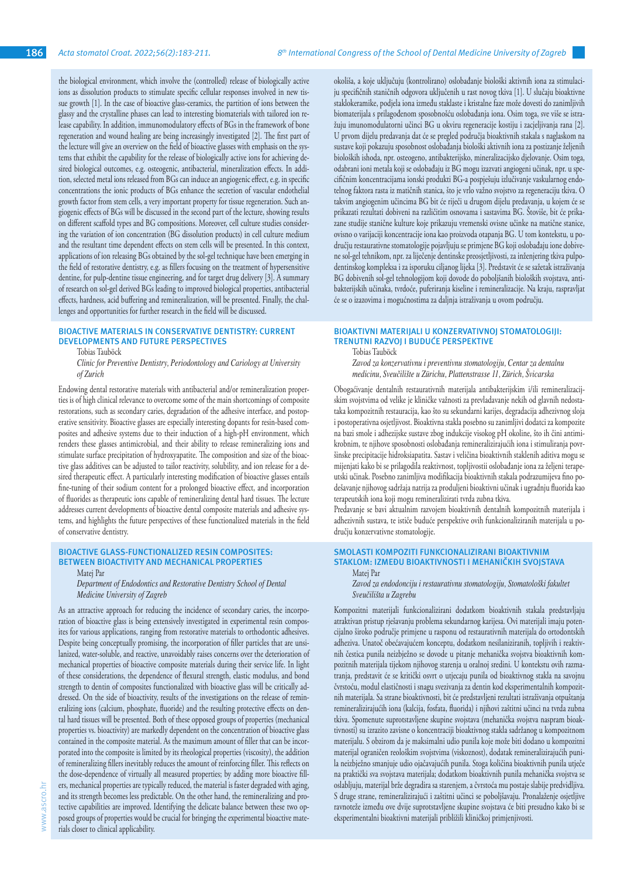the biological environment, which involve the (controlled) release of biologically active ions as dissolution products to stimulate specific cellular responses involved in new tissue growth [1]. In the case of bioactive glass-ceramics, the partition of ions between the glassy and the crystalline phases can lead to interesting biomaterials with tailored ion release capability. In addition, immunomodulatory effects of BGs in the framework of bone regeneration and wound healing are being increasingly investigated [2]. The first part of the lecture will give an overview on the field of bioactive glasses with emphasis on the systems that exhibit the capability for the release of biologically active ions for achieving desired biological outcomes, e.g. osteogenic, antibacterial, mineralization effects. In addition, selected metal ions released from BGs can induce an angiogenic effect, e.g. in specific concentrations the ionic products of BGs enhance the secretion of vascular endothelial growth factor from stem cells, a very important property for tissue regeneration. Such angiogenic effects of BGs will be discussed in the second part of the lecture, showing results on different scaffold types and BG compositions. Moreover, cell culture studies considering the variation of ion concentration (BG dissolution products) in cell culture medium and the resultant time dependent effects on stem cells will be presented. In this context, applications of ion releasing BGs obtained by the sol-gel technique have been emerging in the field of restorative dentistry, e.g. as fillers focusing on the treatment of hypersensitive dentine, for pulp-dentine tissue engineering, and for target drug delivery [3]. A summary of research on sol-gel derived BGs leading to improved biological properties, antibacterial effects, hardness, acid buffering and remineralization, will be presented. Finally, the challenges and opportunities for further research in the field will be discussed.

# **BIOACTIVE MATERIALS IN CONSERVATIVE DENTISTRY: CURRENT DEVELOPMENTS AND FUTURE PERSPECTIVES**

Tobias Tauböck

*Clinic for Preventive Dentistry, Periodontology and Cariology at University of Zurich*

Endowing dental restorative materials with antibacterial and/or remineralization properties is of high clinical relevance to overcome some of the main shortcomings of composite restorations, such as secondary caries, degradation of the adhesive interface, and postoperative sensitivity. Bioactive glasses are especially interesting dopants for resin-based composites and adhesive systems due to their induction of a high-pH environment, which renders these glasses antimicrobial, and their ability to release remineralizing ions and stimulate surface precipitation of hydroxyapatite. The composition and size of the bioactive glass additives can be adjusted to tailor reactivity, solubility, and ion release for a desired therapeutic effect. A particularly interesting modification of bioactive glasses entails fine-tuning of their sodium content for a prolonged bioactive effect, and incorporation of fluorides as therapeutic ions capable of remineralizing dental hard tissues. The lecture addresses current developments of bioactive dental composite materials and adhesive systems, and highlights the future perspectives of these functionalized materials in the field of conservative dentistry.

# **BIOACTIVE GLASS-FUNCTIONALIZED RESIN COMPOSITES: BETWEEN BIOACTIVITY AND MECHANICAL PROPERTIES**

Matej Par

*Department of Endodontics and Restorative Dentistry School of Dental Medicine University of Zagreb*

As an attractive approach for reducing the incidence of secondary caries, the incorporation of bioactive glass is being extensively investigated in experimental resin composites for various applications, ranging from restorative materials to orthodontic adhesives. Despite being conceptually promising, the incorporation of filler particles that are unsilanized, water-soluble, and reactive, unavoidably raises concerns over the deterioration of mechanical properties of bioactive composite materials during their service life. In light of these considerations, the dependence of flexural strength, elastic modulus, and bond strength to dentin of composites functionalized with bioactive glass will be critically addressed. On the side of bioactivity, results of the investigations on the release of remineralizing ions (calcium, phosphate, fluoride) and the resulting protective effects on dental hard tissues will be presented. Both of these opposed groups of properties (mechanical properties vs. bioactivity) are markedly dependent on the concentration of bioactive glass contained in the composite material. As the maximum amount of filler that can be incorporated into the composite is limited by its rheological properties (viscosity), the addition of remineralizing fillers inevitably reduces the amount of reinforcing filler. This reflects on the dose-dependence of virtually all measured properties; by adding more bioactive fillers, mechanical properties are typically reduced, the material is faster degraded with aging, and its strength becomes less predictable. On the other hand, the remineralizing and protective capabilities are improved. Identifying the delicate balance between these two opposed groups of properties would be crucial for bringing the experimental bioactive materials closer to clinical applicability.

okoliša, a koje uključuju (kontrolirano) oslobađanje biološki aktivnih iona za stimulaciju specifičnih staničnih odgovora uključenih u rast novog tkiva [1]. U slučaju bioaktivne staklokeramike, podjela iona između staklaste i kristalne faze može dovesti do zanimljivih biomaterijala s prilagođenom sposobnošću oslobađanja iona. Osim toga, sve više se istražuju imunomodulatorni učinci BG u okviru regeneracije kostiju i zacjeljivanja rana [2]. U prvom dijelu predavanja dat će se pregled područja bioaktivnih stakala s naglaskom na sustave koji pokazuju sposobnost oslobađanja biološki aktivnih iona za postizanje željenih bioloških ishoda, npr. osteogeno, antibakterijsko, mineralizacijsko djelovanje. Osim toga, odabrani ioni metala koji se oslobađaju iz BG mogu izazvati angiogeni učinak, npr. u specifičnim koncentracijama ionski produkti BG-a pospješuju izlučivanje vaskularnog endotelnog faktora rasta iz matičnih stanica, što je vrlo važno svojstvo za regeneraciju tkiva. O takvim angiogenim učincima BG bit će riječi u drugom dijelu predavanja, u kojem će se prikazati rezultati dobiveni na različitim osnovama i sastavima BG. Štoviše, bit će prikazane studije stanične kulture koje prikazuju vremenski ovisne učinke na matične stanice, ovisno o varijaciji koncentracije iona kao proizvoda otapanja BG. U tom kontekstu, u području restaurativne stomatologije pojavljuju se primjene BG koji oslobađaju ione dobivene sol-gel tehnikom, npr. za liječenje dentinske preosjetljivosti, za inženjering tkiva pulpodentinskog kompleksa i za isporuku ciljanog lijeka [3]. Predstavit će se sažetak istraživanja BG dobivenih sol-gel tehnologijom koji dovode do poboljšanih bioloških svojstava, antibakterijskih učinaka, tvrdoće, puferiranja kiseline i remineralizacije. Na kraju, raspravljat će se o izazovima i mogućnostima za daljnja istraživanja u ovom području.

## **BIOAKTIVNI MATERIJALI U KONZERVATIVNOJ STOMATOLOGIJI: TRENUTNI RAZVOJ I BUDUĆE PERSPEKTIVE**

Tobias Tauböck

*Zavod za konzervativnu i preventivnu stomatologiju, Centar za dentalnu medicinu, Sveučilište u Zürichu, Plattenstrasse 11, Zürich, Švicarska*

Obogaćivanje dentalnih restaurativnih materijala antibakterijskim i/ili remineralizacijskim svojstvima od velike je kliničke važnosti za prevladavanje nekih od glavnih nedostataka kompozitnih restauracija, kao što su sekundarni karijes, degradacija adhezivnog sloja i postoperativna osjetljivost. Bioaktivna stakla posebno su zanimljivi dodatci za kompozite na bazi smole i adhezijske sustave zbog indukcije visokog pH okoline, što ih čini antimikrobnim, te njihove sposobnosti oslobađanja remineralizirajućih iona i stimuliranja površinske precipitacije hidroksiapatita. Sastav i veličina bioaktivnih staklenih aditiva mogu se mijenjati kako bi se prilagodila reaktivnost, topljivostii oslobađanje iona za željeni terapeutski učinak. Posebno zanimljiva modifikacija bioaktivnih stakala podrazumijeva fino podešavanje njihovog sadržaja natrija za produljeni bioaktivni učinak i ugradnju fluorida kao terapeutskih iona koji mogu remineralizirati tvrda zubna tkiva.

Predavanje se bavi aktualnim razvojem bioaktivnih dentalnih kompozitnih materijala i adhezivnih sustava, te ističe buduće perspektive ovih funkcionaliziranih materijala u području konzervativne stomatologije.

## **SMOLASTI KOMPOZITI FUNKCIONALIZIRANI BIOAKTIVNIM STAKLOM: IZMEĐU BIOAKTIVNOSTI I MEHANIČKIH SVOJSTAVA** Matej Par

*Zavod za endodonciju i restaurativnu stomatologiju, Stomatološki fakultet Sveučilišta u Zagrebu*

Kompozitni materijali funkcionalizirani dodatkom bioaktivnih stakala predstavljaju atraktivan pristup rješavanju problema sekundarnog karijesa. Ovi materijali imaju potencijalno široko područje primjene u rasponu od restaurativnih materijala do ortodontskih adheziva. Unatoč obećavajućem konceptu, dodatkom nesilaniziranih, topljivih i reaktivnih čestica punila neizbježno se dovode u pitanje mehanička svojstva bioaktivnih kompozitnih materijala tijekom njihovog starenja u oralnoj sredini. U kontekstu ovih razmatranja, predstavit će se kritički osvrt o utjecaju punila od bioaktivnog stakla na savojnu čvrstoću, modul elastičnosti i snagu svezivanja za dentin kod eksperimentalnih kompozitnih materijala. Sa strane bioaktivnosti, bit će predstavljeni rezultati istraživanja otpuštanja remineralizirajućih iona (kalcija, fosfata, fluorida) i njihovi zaštitni učinci na tvrda zubna tkiva. Spomenute suprotstavljene skupine svojstava (mehanička svojstva naspram bioaktivnosti) su izrazito zavisne o koncentraciji bioaktivnog stakla sadržanog u kompozitnom materijalu. S obzirom da je maksimalni udio punila koje može biti dodano u kompozitni materijal ograničen reološkim svojstvima (viskoznost), dodatak remineralizirajućih punila neizbježno smanjuje udio ojačavajućih punila. Stoga količina bioaktivnih punila utječe na praktički sva svojstava materijala; dodatkom bioaktivnih punila mehanička svojstva se oslabljuju, materijal brže degradira sa starenjem, a čvrstoća mu postaje slabije predvidljiva. S druge strane, remineralizirajući i zaštitni učinci se poboljšavaju. Pronalaženje osjetljive ravnoteže između ove dvije suprotstavljene skupine svojstava će biti presudno kako bi se eksperimentalni bioaktivni materijali približili kliničkoj primjenjivosti.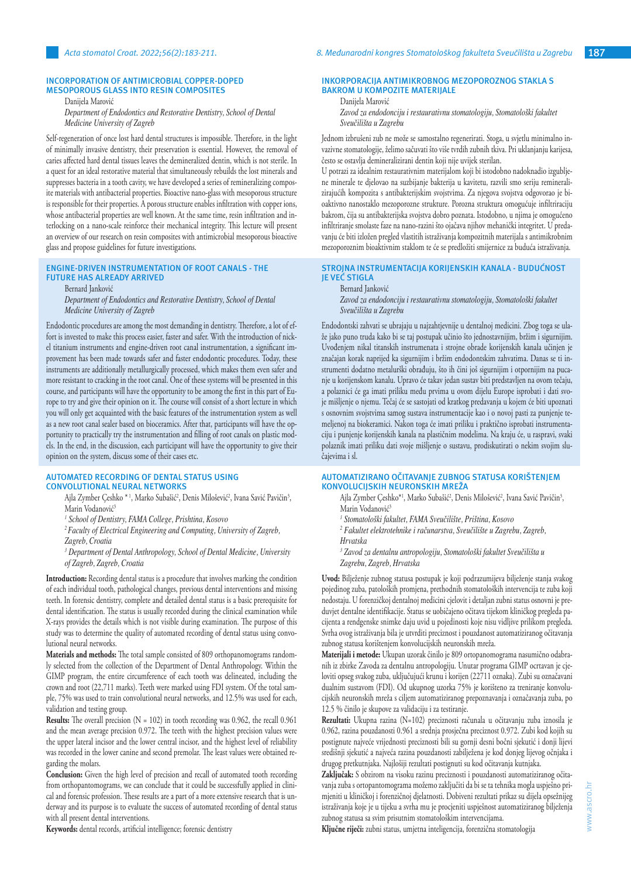#### **INCORPORATION OF ANTIMICROBIAL COPPER-DOPED MESOPOROUS GLASS INTO RESIN COMPOSITES**

Danijela Marović

*Department of Endodontics and Restorative Dentistry, School of Dental Medicine University of Zagreb*

Self-regeneration of once lost hard dental structures is impossible. Therefore, in the light of minimally invasive dentistry, their preservation is essential. However, the removal of caries affected hard dental tissues leaves the demineralized dentin, which is not sterile. In a quest for an ideal restorative material that simultaneously rebuilds the lost minerals and suppresses bacteria in a tooth cavity, we have developed a series of remineralizing composite materials with antibacterial properties. Bioactive nano-glass with mesoporous structure is responsible for their properties. A porous structure enables infiltration with copper ions, whose antibacterial properties are well known. At the same time, resin infiltration and interlocking on a nano-scale reinforce their mechanical integrity. This lecture will present an overview of our research on resin composites with antimicrobial mesoporous bioactive glass and propose guidelines for future investigations.

# **ENGINE-DRIVEN INSTRUMENTATION OF ROOT CANALS - THE FUTURE HAS ALREADY ARRIVED**

Bernard Janković

*Department of Endodontics and Restorative Dentistry, School of Dental Medicine University of Zagreb*

Endodontic procedures are among the most demanding in dentistry. Therefore, a lot of effort is invested to make this process easier, faster and safer. With the introduction of nickel titanium instruments and engine-driven root canal instrumentation, a significant improvement has been made towards safer and faster endodontic procedures. Today, these instruments are additionally metallurgically processed, which makes them even safer and more resistant to cracking in the root canal. One of these systems will be presented in this course, and participants will have the opportunity to be among the first in this part of Europe to try and give their opinion on it. The course will consist of a short lecture in which you will only get acquainted with the basic features of the instrumentation system as well as a new root canal sealer based on bioceramics. After that, participants will have the opportunity to practically try the instrumentation and filling of root canals on plastic models. In the end, in the discussion, each participant will have the opportunity to give their opinion on the system, discuss some of their cases etc.

# **AUTOMATED RECORDING OF DENTAL STATUS USING**

**CONVOLUTIONAL NEURAL NETWORKS**

Ajla Zymber Çeshko \* 1, Marko Subašić<sup>2</sup>, Denis Milošević<sup>2</sup>, Ivana Savić Pavičin<sup>3</sup>, Marin Vodanović<sup>3</sup>

*1 School of Dentistry, FAMA College, Prishtina, Kosovo*

*2 Faculty of Electrical Engineering and Computing, University of Zagreb, Zagreb, Croatia*

<sup>3</sup> Department of Dental Anthropology, School of Dental Medicine, University *of Zagreb, Zagreb, Croatia*

**Introduction:** Recording dental status is a procedure that involves marking the condition of each individual tooth, pathological changes, previous dental interventions and missing teeth. In forensic dentistry, complete and detailed dental status is a basic prerequisite for dental identification. The status is usually recorded during the clinical examination while X-rays provides the details which is not visible during examination. The purpose of this study was to determine the quality of automated recording of dental status using convolutional neural networks.

**Materials and methods:** The total sample consisted of 809 orthopanomograms randomly selected from the collection of the Department of Dental Anthropology. Within the GIMP program, the entire circumference of each tooth was delineated, including the crown and root (22,711 marks). Teeth were marked using FDI system. Of the total sample, 75% was used to train convolutional neural networks, and 12.5% was used for each, validation and testing group.

**Results:** The overall precision (N = 102) in tooth recording was 0.962, the recall 0.961 and the mean average precision 0.972. The teeth with the highest precision values were the upper lateral incisor and the lower central incisor, and the highest level of reliability was recorded in the lower canine and second premolar. The least values were obtained regarding the molars.

**Conclusion:** Given the high level of precision and recall of automated tooth recording from orthopantomograms, we can conclude that it could be successfully applied in clinical and forensic profession. These results are a part of a more extensive research that is underway and its purpose is to evaluate the success of automated recording of dental status with all present dental interventions.

**Keywords:** dental records, artificial intelligence; forensic dentistry

# **INKORPORACIJA ANTIMIKROBNOG MEZOPOROZNOG STAKLA S BAKROM U KOMPOZITE MATERIJALE**

Danijela Marović

*Zavod za endodonciju i restaurativnu stomatologiju, Stomatološki fakultet Sveučilišta u Zagrebu*

Jednom izbrušeni zub ne može se samostalno regenerirati. Stoga, u svjetlu minimalno invazivne stomatologije, želimo sačuvati što više tvrdih zubnih tkiva. Pri uklanjanju karijesa, često se ostavlja demineralizirani dentin koji nije uvijek sterilan.

U potrazi za idealnim restaurativnim materijalom koji bi istodobno nadoknadio izgubljene minerale te djelovao na suzbijanje bakterija u kavitetu, razvili smo seriju remineralizirajućih kompozita s antibakterijskim svojstvima. Za njegova svojstva odgovorao je bioaktivno nanostaklo mezoporozne strukture. Porozna struktura omogućuje infiltriraciju bakrom, čija su antibakterijska svojstva dobro poznata. Istodobno, u njima je omogućeno infiltriranje smolaste faze na nano-razini što ojačava njihov mehanički integritet. U predavanju će biti izložen pregled vlastitih istraživanja kompozitnih materijala s antimikrobnim mezoporoznim bioaktivnim staklom te će se predložiti smijernice za buduća istraživanja.

# **STROJNA INSTRUMENTACIJA KORIJENSKIH KANALA - BUDUĆNOST JE VEĆ STIGLA**

# Bernard Janković

*Zavod za endodonciju i restaurativnu stomatologiju, Stomatološki fakultet Sveučilišta u Zagrebu*

Endodontski zahvati se ubrajaju u najzahtjevnije u dentalnoj medicini. Zbog toga se ulaže jako puno truda kako bi se taj postupak učinio što jednostavnijim, bržim i sigurnijim. Uvođenjem nikal titanskih instrumenata i strojne obrade korijenskih kanala učinjen je značajan korak naprijed ka sigurnijim i bržim endodontskim zahvatima. Danas se ti instrumenti dodatno metalurški obrađuju, što ih čini još sigurnijim i otpornijim na pucanje u korijenskom kanalu. Upravo će takav jedan sustav biti predstavljen na ovom tečaju, a polaznici će ga imati priliku među prvima u ovom dijelu Europe isprobati i dati svoje mišljenje o njemu. Tečaj će se sastojati od kratkog predavanja u kojem će biti upoznati s osnovnim svojstvima samog sustava instrumentacije kao i o novoj pasti za punjenje temeljenoj na biokeramici. Nakon toga će imati priliku i praktično isprobati instrumentaciju i punjenje korijenskih kanala na plastičnim modelima. Na kraju će, u raspravi, svaki polaznik imati priliku dati svoje mišljenje o sustavu, prodiskutirati o nekim svojim slučajevima i sl.

# **AUTOMATIZIRANO OČITAVANJE ZUBNOG STATUSA KORIŠTENJEM KONVOLUCIJSKIH NEURONSKIH MREŽA**

Ajla Zymber Çeshko\*', Marko Subašić', Denis Milošević', Ivana Savić Pavičin<sup>3</sup>, Marin Vodanović<sup>3</sup>

*1 Stomatološki fakultet, FAMA Sveučilište, Priština, Kosovo*

<sup>2</sup> Fakultet elektrotehnike i računarstva, Sveučilište u Zagrebu, Zagreb, *Hrvatska*

*3 Zavod za dentalnu antropologiju, Stomatološki fakultet Sveučilišta u Zagrebu, Zagreb, Hrvatska*

**Uvod:** Bilježenje zubnog statusa postupak je koji podrazumijeva bilježenje stanja svakog pojedinog zuba, patoloških promjena, prethodnih stomatoloških intervencija te zuba koji nedostaju. U forenzičkoj dentalnoj medicini cjelovit i detaljan zubni status osnovni je preduvjet dentalne identifikacije. Status se uobičajeno očitava tijekom kliničkog pregleda pacijenta a rendgenske snimke daju uvid u pojedinosti koje nisu vidljive prilikom pregleda. Svrha ovog istraživanja bila je utvrditi preciznost i pouzdanost automatiziranog očitavanja zubnog statusa korištenjem konvolucijskih neuronskih mreža.

**Materijali i metode:** Ukupan uzorak činilo je 809 ortopanomograma nasumično odabranih iz zbirke Zavoda za dentalnu antropologiju. Unutar programa GIMP ocrtavan je cjeloviti opseg svakog zuba, uključujući krunu i korijen (22711 oznaka). Zubi su označavani dualnim sustavom (FDI). Od ukupnog uzorka 75% je korišteno za treniranje konvolucijskih neuronskih mreža s ciljem automatiziranog prepoznavanja i označavanja zuba, po 12.5 % činilo je skupove za validaciju i za testiranje.

**Rezultati:** Ukupna razina (N=102) preciznosti računala u očitavanju zuba iznosila je 0.962, razina pouzdanosti 0.961 a srednja prosječna preciznost 0.972. Zubi kod kojih su postignute najveće vrijednosti preciznosti bili su gornji desni bočni sjekutić i donji lijevi središnji sjekutić a najveća razina pouzdanosti zabilježena je kod donjeg lijevog očnjaka i drugog pretkutnjaka. Najlošiji rezultati postignuti su kod očitavanja kutnjaka.

**Zaključak:** S obzirom na visoku razinu preciznosti i pouzdanosti automatiziranog očitavanja zuba s ortopantomograma možemo zaključiti da bi se ta tehnika mogla uspješno primjeniti u kliničkoj i forenzičnoj djelatnosti. Dobiveni rezultati prikaz su dijela opsežnijeg istraživanja koje je u tijeku a svrha mu je procjeniti uspješnost automatiziranog bilježenja zubnog statusa sa svim prisutnim stomatološkim intervencijama.

**Ključne riječi:** zubni status, umjetna inteligencija, forenzična stomatologija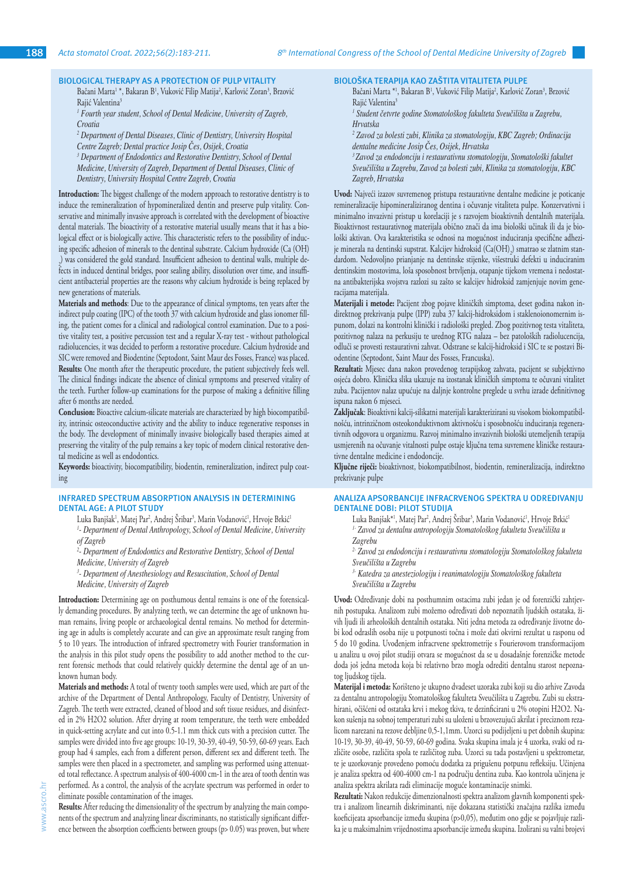# **BIOLOGICAL THERAPY AS A PROTECTION OF PULP VITALITY**

Bačani Marta<sup>1 \*</sup>, Bakaran B<sup>1</sup>, Vuković Filip Matija<sup>2</sup>, Karlović Zoran<sup>3</sup>, Brzović Rajić Valentina<sup>3</sup>

*1 Fourth year student, School of Dental Medicine, University of Zagreb, Croatia*

<sup>2</sup> Department of Dental Diseases, Clinic of Dentistry, University Hospital *Centre Zagreb; Dental practice Josip Čes, Osijek, Croatia*

<sup>3</sup> Department of Endodontics and Restorative Dentistry, School of Dental *Medicine, University of Zagreb, Department of Dental Diseases, Clinic of Dentistry, University Hospital Centre Zagreb, Croatia*

**Introduction:** The biggest challenge of the modern approach to restorative dentistry is to induce the remineralization of hypomineralized dentin and preserve pulp vitality. Conservative and minimally invasive approach is correlated with the development of bioactive dental materials. The bioactivity of a restorative material usually means that it has a biological effect or is biologically active. This characteristic refers to the possibility of inducing specific adhesion of minerals to the dentinal substrate. Calcium hydroxide (Ca (OH) 2 ) was considered the gold standard. Insufficient adhesion to dentinal walls, multiple defects in induced dentinal bridges, poor sealing ability, dissolution over time, and insufficient antibacterial properties are the reasons why calcium hydroxide is being replaced by new generations of materials.

**Materials and methods**: Due to the appearance of clinical symptoms, ten years after the indirect pulp coating (IPC) of the tooth 37 with calcium hydroxide and glass ionomer filling, the patient comes for a clinical and radiological control examination. Due to a positive vitality test, a positive percussion test and a regular X-ray test - without pathological radiolucencies, it was decided to perform a restorative procedure. Calcium hydroxide and SIC were removed and Biodentine (Septodont, Saint Maur des Fosses, France) was placed. **Results:** One month after the therapeutic procedure, the patient subjectively feels well. The clinical findings indicate the absence of clinical symptoms and preserved vitality of the teeth. Further follow-up examinations for the purpose of making a definitive filling after 6 months are needed.

**Conclusion:** Bioactive calcium-silicate materials are characterized by high biocompatibility, intrinsic osteoconductive activity and the ability to induce regenerative responses in the body. The development of minimally invasive biologically based therapies aimed at preserving the vitality of the pulp remains a key topic of modern clinical restorative dental medicine as well as endodontics.

**Keywords:** bioactivity, biocompatibility, biodentin, remineralization, indirect pulp coating

#### **INFRARED SPECTRUM ABSORPTION ANALYSIS IN DETERMINING DENTAL AGE: A PILOT STUDY**

Luka Banjšak<sup>1</sup>, Matej Par<sup>2</sup>, Andrej Sribar<sup>3</sup>, Marin Vodanović<sup>1</sup>, Hrvoje Brkić<sup>1</sup> *1 - Department of Dental Anthropology, School of Dental Medicine, University of Zagreb*

<sup>2</sup>- Department of Endodontics and Restorative Dentistry, School of Dental *Medicine, University of Zagreb*

<sup>3</sup> Department of Anesthesiology and Resuscitation, School of Dental *Medicine, University of Zagreb*

**Introduction:** Determining age on posthumous dental remains is one of the forensically demanding procedures. By analyzing teeth, we can determine the age of unknown human remains, living people or archaeological dental remains. No method for determining age in adults is completely accurate and can give an approximate result ranging from 5 to 10 years. The introduction of infrared spectrometry with Fourier transformation in the analysis in this pilot study opens the possibility to add another method to the current forensic methods that could relatively quickly determine the dental age of an unknown human body.

**Materials and methods:** A total of twenty tooth samples were used, which are part of the archive of the Department of Dental Anthropology, Faculty of Dentistry, University of Zagreb. The teeth were extracted, cleaned of blood and soft tissue residues, and disinfected in 2% H2O2 solution. After drying at room temperature, the teeth were embedded in quick-setting acrylate and cut into 0.5-1.1 mm thick cuts with a precision cutter. The samples were divided into five age groups: 10-19, 30-39, 40-49, 50-59, 60-69 years. Each group had 4 samples, each from a different person, different sex and different teeth. The samples were then placed in a spectrometer, and sampling was performed using attenuated total reflectance. A spectrum analysis of 400-4000 cm-1 in the area of tooth dentin was performed. As a control, the analysis of the acrylate spectrum was performed in order to eliminate possible contamination of the images.

**Results:** After reducing the dimensionality of the spectrum by analyzing the main components of the spectrum and analyzing linear discriminants, no statistically significant difference between the absorption coefficients between groups (p> 0.05) was proven, but where **BIOLOŠKA TERAPIJA KAO ZAŠTITA VITALITETA PULPE**

Bačani Marta \*<sup>1</sup>, Bakaran B<sup>1</sup>, Vuković Filip Matija<sup>2</sup>, Karlović Zoran<sup>3</sup>, Brzović Rajić Valentina<sup>3</sup>

*1 Student četvrte godine Stomatološkog fakulteta Sveučilišta u Zagrebu, Hrvatska*

*2 Zavod za bolesti zubi, Klinika za stomatologiju, KBC Zagreb; Ordinacija dentalne medicine Josip Čes, Osijek, Hrvatska*

*<sup>3</sup>Zavod za endodonciju i restaurativnu stomatologiju, Stomatološki fakultet Sveučilišta u Zagrebu, Zavod za bolesti zubi, Klinika za stomatologiju, KBC Zagreb, Hrvatska* 

**Uvod:** Najveći izazov suvremenog pristupa restaurativne dentalne medicine je poticanje remineralizacije hipomineraliziranog dentina i očuvanje vitaliteta pulpe. Konzervativni i minimalno invazivni pristup u korelaciji je s razvojem bioaktivnih dentalnih materijala. Bioaktivnost restaurativnog materijala obično znači da ima biološki učinak ili da je biološki aktivan. Ova karakteristika se odnosi na mogućnost induciranja specifične adhezije minerala na dentinski supstrat. Kalcijev hidroksid (Ca(OH)<sub>2</sub>) smatrao se zlatnim standardom. Nedovoljno prianjanje na dentinske stijenke, višestruki defekti u induciranim dentinskim mostovima, loša sposobnost brtvljenja, otapanje tijekom vremena i nedostatna antibakterijska svojstva razlozi su zašto se kalcijev hidroksid zamjenjuje novim generacijama materijala.

**Materijali i metode:** Pacijent zbog pojave kliničkih simptoma, deset godina nakon indirektnog prekrivanja pulpe (IPP) zuba 37 kalcij-hidroksidom i staklenoionomernim ispunom, dolazi na kontrolni klinički i radiološki pregled. Zbog pozitivnog testa vitaliteta, pozitivnog nalaza na perkusiju te urednog RTG nalaza – bez patoloških radiolucencija, odluči se provesti restaurativni zahvat. Odstrane se kalcij-hidroksid i SIC te se postavi Biodentine (Septodont, Saint Maur des Fosses, Francuska).

**Rezultati:** Mjesec dana nakon provedenog terapijskog zahvata, pacijent se subjektivno osjeća dobro. Klinička slika ukazuje na izostanak kliničkih simptoma te očuvani vitalitet zuba. Pacijentov nalaz upućuje na daljnje kontrolne preglede u svrhu izrade definitivnog ispuna nakon 6 mjeseci.

**Zaključak**: Bioaktivni kalcij-silikatni materijali karakterizirani su visokom biokompatibilnošću, intrinzičnom osteokonduktivnom aktivnošću i sposobnošću induciranja regenerativnih odgovora u organizmu. Razvoj minimalno invazivnih biološki utemeljenih terapija usmjerenih na očuvanje vitalnosti pulpe ostaje ključna tema suvremene kliničke restaurativne dentalne medicine i endodoncije.

**Ključne riječi:** bioaktivnost, biokompatibilnost, biodentin, remineralizacija, indirektno prekrivanje pulpe

## **ANALIZA APSORBANCIJE INFRACRVENOG SPEKTRA U ODREĐIVANJU DENTALNE DOBI: PILOT STUDIJA**

Luka Banjšak\*<sup>1</sup>, Matej Par<sup>2</sup>, Andrej Sribar<sup>3</sup>, Marin Vodanović<sup>1</sup>, Hrvoje Brkić<sup>1</sup> *1- Zavod za dentalnu antropologiju Stomatološkog fakulteta Sveučilišta u Zagrebu*

*2- Zavod za endodonciju i restaurativnu stomatologiju Stomatološkog fakulteta Sveučilišta u Zagrebu*

*3- Katedra za anesteziologiju i reanimatologiju Stomatološkog fakulteta* 

*Sveučilišta u Zagrebu*

**Uvod:** Određivanje dobi na posthumnim ostacima zubi jedan je od forenzički zahtjevnih postupaka. Analizom zubi možemo određivati dob nepoznatih ljudskih ostataka, živih ljudi ili arheoloških dentalnih ostataka. Niti jedna metoda za određivanje životne dobi kod odraslih osoba nije u potpunosti točna i može dati okvirni rezultat u rasponu od 5 do 10 godina. Uvođenjem infracrvene spektrometrije s Fourierovom transformacijom u analizu u ovoj pilot studiji otvara se mogućnost da se u dosadašnje forenzičke metode doda još jedna metoda koja bi relativno brzo mogla odrediti dentalnu starost nepoznatog ljudskog tijela.

**Materijal i metoda:** Korišteno je ukupno dvadeset uzoraka zubi koji su dio arhive Zavoda za dentalnu antropologiju Stomatološkog fakulteta Sveučilišta u Zagrebu. Zubi su ekstrahirani, očišćeni od ostataka krvi i mekog tkiva, te dezinficirani u 2% otopini H2O2. Nakon sušenja na sobnoj temperaturi zubi su uloženi u brzovezujući akrilat i preciznom rezalicom narezani na rezove debljine 0,5-1,1mm. Uzorci su podijeljeni u pet dobnih skupina: 10-19, 30-39, 40-49, 50-59, 60-69 godina. Svaka skupina imala je 4 uzorka, svaki od različite osobe, različita spola te različitog zuba. Uzorci su tada postavljeni u spektrometar, te je uzorkovanje provedeno pomoću dodatka za prigušenu potpunu refleksiju. Učinjena je analiza spektra od 400-4000 cm-1 na području dentina zuba. Kao kontrola učinjena je analiza spektra akrilata radi eliminacije moguće kontaminacije snimki.

**Rezultati:** Nakon redukcije dimenzionalnosti spektra analizom glavnih komponenti spektra i analizom linearnih diskriminanti, nije dokazana statistički značajna razlika između koeficijeata apsorbancije između skupina (p>0,05), međutim ono gdje se pojavljuje razlika je u maksimalnim vrijednostima apsorbancije između skupina. Izolirani su valni brojevi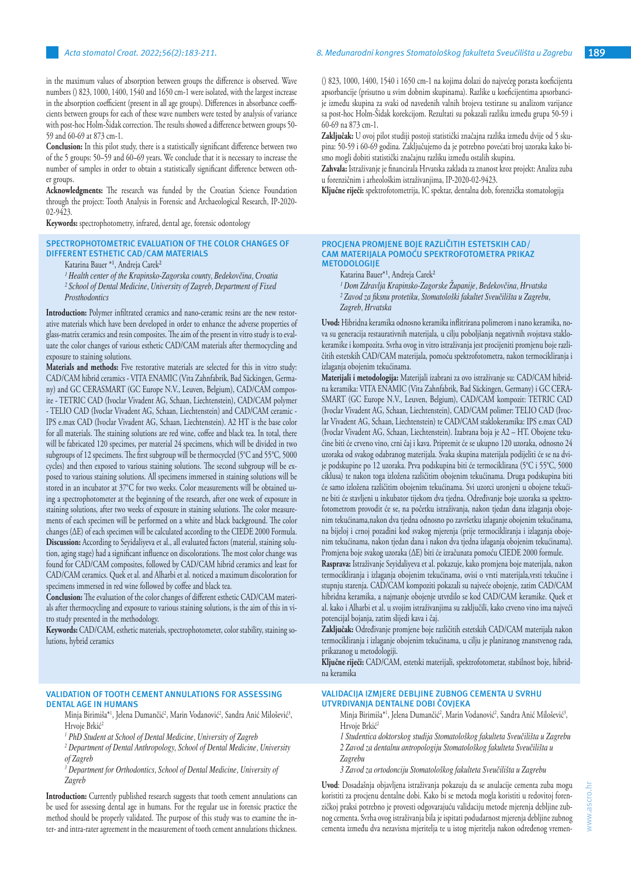in the maximum values of absorption between groups the difference is observed. Wave numbers () 823, 1000, 1400, 1540 and 1650 cm-1 were isolated, with the largest increase in the absorption coefficient (present in all age groups). Differences in absorbance coefficients between groups for each of these wave numbers were tested by analysis of variance with post-hoc Holm-Šidak correction. The results showed a difference between groups 50- 59 and 60-69 at 873 cm-1.

**Conclusion:** In this pilot study, there is a statistically significant difference between two of the 5 groups: 50–59 and 60–69 years. We conclude that it is necessary to increase the number of samples in order to obtain a statistically significant difference between other groups.

**Acknowledgments:** The research was funded by the Croatian Science Foundation through the project: Tooth Analysis in Forensic and Archaeological Research, IP-2020- 02-9423.

**Keywords:** spectrophotometry, infrared, dental age, forensic odontology

## **SPECTROPHOTOMETRIC EVALUATION OF THE COLOR CHANGES OF DIFFERENT ESTHETIC CAD/CAM MATERIALS**

Katarina Bauer \*<sup>1</sup>, Andreja Carek<sup>2</sup>

- *¹ Health center of the Krapinsko-Zagorska county, Bedekovčina, Croatia*
- *² School of Dental Medicine, University of Zagreb, Department of Fixed Prosthodontics*

**Introduction:** Polymer infiltrated ceramics and nano-ceramic resins are the new restorative materials which have been developed in order to enhance the adverse properties of glass-matrix ceramics and resin composites. The aim of the present in vitro study is to evaluate the color changes of various esthetic CAD/CAM materials after thermocycling and exposure to staining solutions.

**Materials and methods:** Five restorative materials are selected for this in vitro study: CAD/CAM hibrid ceramics - VITA ENAMIC (Vita Zahnfabrik, Bad Säckingen, Germany) and GC CERASMART (GC Europe N.V., Leuven, Belgium), CAD/CAM composite - TETRIC CAD (Ivoclar Vivadent AG, Schaan, Liechtenstein), CAD/CAM polymer - TELIO CAD (Ivoclar Vivadent AG, Schaan, Liechtenstein) and CAD/CAM ceramic - IPS e.max CAD (Ivoclar Vivadent AG, Schaan, Liechtenstein). A2 HT is the base color for all materials. The staining solutions are red wine, coffee and black tea. In total, there will be fabricated 120 specimes, per material 24 specimens, which will be divided in two subgroups of 12 specimens. The first subgroup will be thermocycled (5°C and 55°C, 5000 cycles) and then exposed to various staining solutions. The second subgroup will be exposed to various staining solutions. All specimens immersed in staining solutions will be stored in an incubator at 37°C for two weeks. Color measurements will be obtained using a spectrophotometer at the beginning of the research, after one week of exposure in staining solutions, after two weeks of exposure in staining solutions. The color measurements of each specimen will be performed on a white and black background. The color changes (ΔE) of each specimen will be calculated according to the CIEDE 2000 Formula. **Discussion:** According to Seyidaliyeva et al., all evaluated factors (material, staining solution, aging stage) had a significant influence on discolorations. The most color change was found for CAD/CAM composites, followed by CAD/CAM hibrid ceramics and least for CAD/CAM ceramics. Quek et al. and Alharbi et al. noticed a maximum discoloration for specimens immersed in red wine followed by coffee and black tea.

**Conclusion:** The evaluation of the color changes of different esthetic CAD/CAM materials after thermocycling and exposure to various staining solutions, is the aim of this in vitro study presented in the methodology.

**Keywords:** CAD/CAM, esthetic materials, spectrophotometer, color stability, staining solutions, hybrid ceramics

## **VALIDATION OF TOOTH CEMENT ANNULATIONS FOR ASSESSING DENTAL AGE IN HUMANS**

- Minja Birimiša\*', Jelena Dumančić<del>'</del>, Marin Vodanović<del>'</del>, Sandra Anić Milošević<sup>3</sup>, Hrvoje Brkić<sup>2</sup>
- *1 PhD Student at School of Dental Medicine, University of Zagreb*
- <sup>2</sup> Department of Dental Anthropology, School of Dental Medicine, University *of Zagreb*

<sup>3</sup> Department for Orthodontics, School of Dental Medicine, University of *Zagreb*

**Introduction:** Currently published research suggests that tooth cement annulations can be used for assessing dental age in humans. For the regular use in forensic practice the method should be properly validated. The purpose of this study was to examine the inter- and intra-rater agreement in the measurement of tooth cement annulations thickness. () 823, 1000, 1400, 1540 i 1650 cm-1 na kojima dolazi do najvećeg porasta koeficijenta apsorbancije (prisutno u svim dobnim skupinama). Razlike u koeficijentima apsorbancije između skupina za svaki od navedenih valnih brojeva testirane su analizom varijance sa post-hoc Holm-Šidak korekcijom. Rezultati su pokazali razliku između grupa 50-59 i 60-69 na 873 cm-1.

**Zaključak:** U ovoj pilot studiji postoji statistički značajna razlika između dvije od 5 skupina: 50-59 i 60-69 godina. Zaključujemo da je potrebno povećati broj uzoraka kako bismo mogli dobiti statistički značajnu razliku između ostalih skupina.

**Zahvala:** Istraživanje je financirala Hrvatska zaklada za znanost kroz projekt: Analiza zuba u forenzičnim i arheološkim istraživanjima, IP-2020-02-9423.

**Ključne riječi:** spektrofotometrija, IC spektar, dentalna dob, forenzička stomatologija

#### **PROCJENA PROMJENE BOJE RAZLIČITIH ESTETSKIH CAD/ CAM MATERIJALA POMOĆU SPEKTROFOTOMETRA PRIKAZ METODOLOGIJE**

Katarina Bauer<sup>\*1</sup>, Andreja Carek<sup>2</sup>

*¹ Dom Zdravlja Krapinsko-Zagorske Županije, Bedekovčina, Hrvatska ² Zavod za fiksnu protetiku, Stomatološki fakultet Sveučilišta u Zagrebu, Zagreb, Hrvatska*

**Uvod:** Hibridna keramika odnosno keramika inflitrirana polimerom i nano keramika, nova su generacija restaurativnih materijala, u cilju poboljšanja negativnih svojstava staklokeramike i kompozita. Svrha ovog in vitro istraživanja jest procijeniti promjenu boje različitih estetskih CAD/CAM materijala, pomoću spektrofotometra, nakon termocikliranja i izlaganja obojenim tekućinama.

**Materijali i metodologija:** Materijali izabrani za ovo istraživanje su: CAD/CAM hibridna keramika: VITA ENAMIC (Vita Zahnfabrik, Bad Säckingen, Germany) i GC CERA-SMART (GC Europe N.V., Leuven, Belgium), CAD/CAM kompozit: TETRIC CAD (Ivoclar Vivadent AG, Schaan, Liechtenstein), CAD/CAM polimer: TELIO CAD (Ivoclar Vivadent AG, Schaan, Liechtenstein) te CAD/CAM staklokeramika: IPS e.max CAD (Ivoclar Vivadent AG, Schaan, Liechtenstein). Izabrana boja je A2 – HT. Obojene tekućine biti će crveno vino, crni čaj i kava. Pripremit će se ukupno 120 uzoraka, odnosno 24 uzoraka od svakog odabranog materijala. Svaka skupina materijala podijeliti će se na dvije podskupine po 12 uzoraka. Prva podskupina biti će termociklirana (5°C i 55°C, 5000 ciklusa) te nakon toga izložena različitim obojenim tekućinama. Druga podskupina biti će samo izložena različitim obojenim tekućinama. Svi uzorci uronjeni u obojene tekućine biti će stavljeni u inkubator tijekom dva tjedna. Određivanje boje uzoraka sa spektrofotometrom provodit će se, na početku istraživanja, nakon tjedan dana izlaganja obojenim tekućinama,nakon dva tjedna odnosno po završetku izlaganje obojenim tekućinama, na bijeloj i crnoj pozadini kod svakog mjerenja (prije termocikliranja i izlaganja obojenim tekućinama, nakon tjedan dana i nakon dva tjedna izlaganja obojenim tekućinama). Promjena boje svakog uzoraka (ΔE) biti će izračunata pomoću CIEDE 2000 formule.

**Rasprava:** Istraživanje Seyidaliyeva et al. pokazuje, kako promjena boje materijala, nakon termocikliranja i izlaganja obojenim tekućinama, ovisi o vrsti materijala,vrsti tekućine i stupnju starenja. CAD/CAM kompoziti pokazali su najveće obojenje, zatim CAD/CAM hibridna keramika, a najmanje obojenje utvrdilo se kod CAD/CAM keramike. Quek et al. kako i Alharbi et al. u svojim istraživanjima su zaključili, kako crveno vino ima najveći potencijal bojanja, zatim slijedi kava i čaj.

**Zaključak:** Određivanje promjene boje različitih estetskih CAD/CAM materijala nakon termocikliranja i izlaganje obojenim tekućinama, u cilju je planiranog znanstvenog rada, prikazanog u metodologiji.

**Ključne riječi:** CAD/CAM, estetski materijali, spektrofotometar, stabilnost boje, hibridna keramika

## **VALIDACIJA IZMJERE DEBLJINE ZUBNOG CEMENTA U SVRHU UTVRĐIVANJA DENTALNE DOBI ČOVJEKA**

- Minja Birimiša\*<sup>1</sup>, Jelena Dumančić<sup>2</sup>, Marin Vodanović<sup>2</sup>, Sandra Anić Milošević<sup>3</sup>, Hrvoje Brkić<sup>2</sup>
- *1 Studentica doktorskog studija Stomatološkog fakulteta Sveučilišta u Zagrebu 2 Zavod za dentalnu antropologiju Stomatološkog fakulteta Sveučilišta u Zagrebu*
- *3 Zavod za ortodonciju Stomatološkog fakulteta Sveučilišta u Zagrebu*

**Uvod**: Dosadašnja objavljena istraživanja pokazuju da se anulacije cementa zuba mogu koristiti za procjenu dentalne dobi. Kako bi se metoda mogla koristiti u redovitoj forenzičkoj praksi potrebno je provesti odgovarajuću validaciju metode mjerenja debljine zubnog cementa. Svrha ovog istraživanja bila je ispitati podudarnost mjerenja debljine zubnog cementa između dva nezavisna mjeritelja te u istog mjeritelja nakon određenog vremen-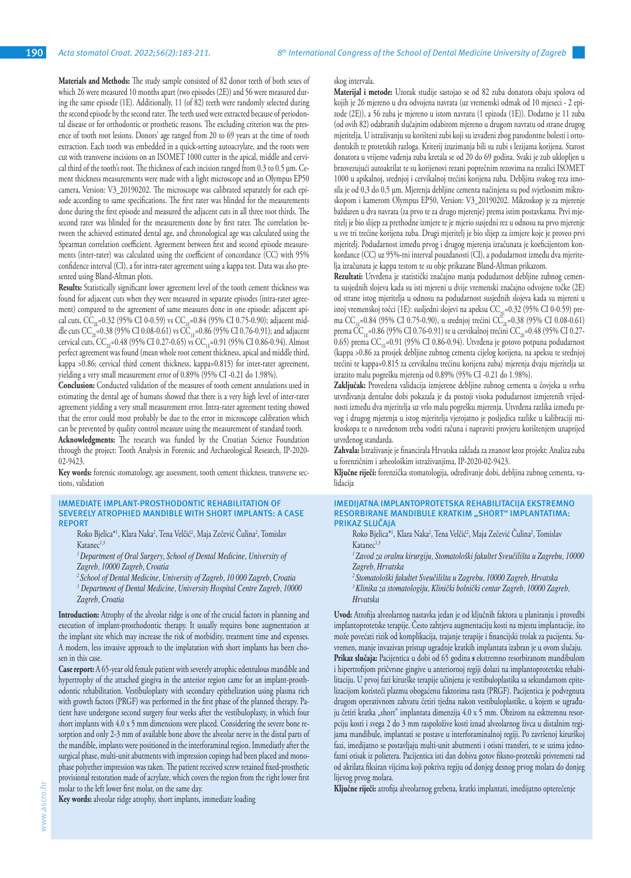**Materials and Methods:** The study sample consisted of 82 donor teeth of both sexes of which 26 were measured 10 months apart (two episodes (2E)) and 56 were measured during the same episode (1E). Additionally, 11 (of 82) teeth were randomly selected during the second episode by the second rater. The teeth used were extracted because of periodontal disease or for orthodontic or prosthetic reasons. The excluding criterion was the presence of tooth root lesions. Donors' age ranged from 20 to 69 years at the time of tooth extraction. Each tooth was embedded in a quick-setting autoacrylate, and the roots were cut with transverse incisions on an ISOMET 1000 cutter in the apical, middle and cervical third of the tooth's root. The thickness of each incision ranged from 0.3 to 0.5 µm. Cement thickness measurements were made with a light microscope and an Olympus EP50 camera, Version: V3\_20190202. The microscope was calibrated separately for each episode according to same specifications. The first rater was blinded for the measurements done during the first episode and measured the adjacent cuts in all three root thirds. The second rater was blinded for the measurements done by first rater. The correlation between the achieved estimated dental age, and chronological age was calculated using the Spearman correlation coefficient. Agreement between first and second episode measurements (inter-rater) was calculated using the coefficient of concordance (CC) with 95% confidence interval (CI), a for intra-rater agreement using a kappa test. Data was also presented using Bland-Altman plots.

**Results:** Statistically significant lower agreement level of the tooth cement thickness was found for adjacent cuts when they were measured in separate episodes (intra-rater agreement) compared to the agreement of same measures done in one episode: adjacent apical cuts,  $\hat{CC}_{2F}$ =0.32 (95% CI 0-0.59) vs  $CC_{1F}$ =0.84 (95% CI 0.75-0.90); adjacent middle cuts  $CC_{2E}^{2.2}$ =0.38 (95% CI 0.08-0.61) vs  $CC_{1E}^{2.2}$ =0.86 (95% CI 0.76-0.91); and adjacent cervical cuts,  $CC_{2F}$ =0.48 (95% CI 0.27-0.65) vs  $CC_{1F}$ =0.91 (95% CI 0.86-0.94). Almost perfect agreement was found (mean whole root cement thickness, apical and middle third, kappa >0.86; cervical third cement thickness, kappa=0.815) for inter-rater agreement, yielding a very small measurement error of 0.89% (95% CI -0.21 do 1.98%).

**Conclusion:** Conducted validation of the measures of tooth cement annulations used in estimating the dental age of humans showed that there is a very high level of inter-rater agreement yielding a very small measurement error. Intra-rater agreement testing showed that the error could most probably be due to the error in microscope calibration which can be prevented by quality control measure using the measurement of standard tooth.

**Acknowledgments:** The research was funded by the Croatian Science Foundation through the project: Tooth Analysis in Forensic and Archaeological Research, IP-2020- 02-9423.

**Key words:** forensic stomatology, age assessment, tooth cement thickness, transverse sections, validation

## **IMMEDIATE IMPLANT-PROSTHODONTIC REHABILITATION OF SEVERELY ATROPHIED MANDIBLE WITH SHORT IMPLANTS: A CASE REPORT**

Roko Bjelica\*<sup>1</sup>, Klara Naka<sup>2</sup>, Tena Velčić<sup>2</sup>, Maja Zečević Culina<sup>2</sup>, Tomislav Katanec<sup>1,3</sup>

*<sup>1</sup>Department of Oral Surgery, School of Dental Medicine, University of Zagreb, 10000 Zagreb, Croatia*

*<sup>2</sup>School of Dental Medicine, University of Zagreb, 10 000 Zagreb, Croatia 3 Department of Dental Medicine, University Hospital Centre Zagreb, 10000 Zagreb, Croatia*

**Introduction:** Atrophy of the alveolar ridge is one of the crucial factors in planning and execution of implant-prosthodontic therapy. It usually requires bone augmentation at the implant site which may increase the risk of morbidity, treatment time and expenses. A modern, less invasive approach to the implatation with short implants has been chosen in this case.

**Case report:** A 65-year old female patient with severely atrophic edentulous mandible and hypertrophy of the attached gingiva in the anterior region came for an implant-prosthodontic rehabilitation. Vestibuloplasty with secondary epithelization using plasma rich with growth factors (PRGF) was performed in the first phase of the planned therapy. Patient have undergone second surgery four weeks after the vestibuloplasty, in which four short implants with 4.0 x 5 mm dimensions were placed. Considering the severe bone resorption and only 2-3 mm of available bone above the alveolar nerve in the distal parts of the mandible, implants were positioned in the interforaminal region. Immediatly after the surgical phase, multi-unit abutments with impression copings had been placed and monophase polyether impression was taken. The patient received screw retained fixed-prosthetic provisional restoration made of acrylate, which covers the region from the right lower first molar to the left lower first molar, on the same day.

**Key words:** alveolar ridge atrophy, short implants, immediate loading

#### skog intervala.

**Materijal i metode:** Uzorak studije sastojao se od 82 zuba donatora obaju spolova od kojih je 26 mjereno u dva odvojena navrata (uz vremenski odmak od 10 mjeseci - 2 epizode (2E)), a 56 zuba je mjereno u istom navratu (1 epizoda (1E)). Dodatno je 11 zuba (od ovih 82) odabranih slučajnim odabirom mjereno u drugom navratu od strane drugog mjeritelja. U istraživanju su korišteni zubi koji su izvađeni zbog parodontne bolesti i ortodontskih te protetskih razloga. Kriterij izuzimanja bili su zubi s lezijama korijena. Starost donatora u vrijeme vađenja zuba kretala se od 20 do 69 godina. Svaki je zub uklopljen u brzovezujući autoakrilat te su korijenovi rezani poprečnim rezovima na rezalici ISOMET 1000 u apikalnoj, srednjoj i cervikalnoj trećini korijena zuba. Debljina svakog reza iznosila je od 0,3 do 0,5 µm. Mjerenja debljine cementa načinjena su pod svjetlosnim mikroskopom i kamerom Olympus EP50, Version: V3\_20190202. Mikroskop je za mjerenje baždaren u dva navrata (za prvo te za drugo mjerenje) prema istim postavkama. Prvi mjeritelj je bio slijep za prethodne izmjere te je mjerio susjedni rez u odnosu na prvo mjerenje u sve tri trećine korijena zuba. Drugi mjeritelj je bio slijep za izmjere koje je proveo prvi mjeritelj. Podudarnost između prvog i drugog mjerenja izračunata je koeficijentom konkordance (CC) uz 95%-tni interval pouzdanosti (CI), a podudarnost između dva mjeritelja izračunata je kappa testom te su obje prikazane Bland-Altman prikazom.

**Rezultati:** Utvrđena je statistički značajno manja podudarnost debljine zubnog cementa susjednih slojeva kada su isti mjereni u dvije vremenski značajno odvojene točke (2E) od strane istog mjeritelja u odnosu na podudarnost susjednih slojeva kada su mjereni u istoj vremenskoj točci (1E): susljedni slojevi na apeksu  $\text{CC}_{22}=0.32$  (95% CI 0-0.59) prema CC<sub>1E</sub>=0.84 (95% CI 0.75-0.90), u srednjoj trećini CC<sub>2E</sub>=0.38 (95% CI 0.08-0.61) prema  $\rm CC_{\rm TE}$ =0.86 (95% CI 0.76-0.91) te u cervikalnoj trećini  $\rm CC_{\rm CE}$ =0.48 (95% CI 0.27-0.65) prema  $CC_{1E}$ =0.91 (95% CI 0.86-0.94). Utvrđena je gotovo potpuna podudarnost (kappa >0.86 za prosjek debljine zubnog cementa cijelog korijena, na apeksu te srednjoj trećini te kappa=0.815 za cervikalnu trećinu korijena zuba) mjerenja dvaju mjeritelja uz izrazito malu pogrešku mjerenja od 0.89% (95% CI -0.21 do 1.98%).

**Zaključak:** Provedena validacija izmjerene debljine zubnog cementa u čovjeka u svrhu utvrđivanja dentalne dobi pokazala je da postoji visoka podudarnost izmjerenih vrijednosti između dva mjeritelja uz vrlo malu pogrešku mjerenja. Utvrđena razlika između prvog i drugog mjerenja u istog mjeritelja vjerojatno je posljedica razlike u kalibraciji mikroskopa te o navedenom treba voditi računa i napraviti provjeru korištenjem unaprijed utvrđenog standarda.

**Zahvala:** Istraživanje je financirala Hrvatska zaklada za znanost kroz projekt: Analiza zuba u forenzičnim i arheološkim istraživanjima, IP-2020-02-9423.

**Ključne riječi:** forenzička stomatologija, određivanje dobi, debljina zubnog cementa, validacija

#### **IMEDIJATNA IMPLANTOPROTETSKA REHABILITACIJA EKSTREMNO RESORBIRANE MANDIBULE KRATKIM "SHORT" IMPLANTATIMA: PRIKAZ SLUČAJA**

Roko Bjelica\*<sup>1</sup>, Klara Naka<sup>2</sup>, Tena Velčić<sup>2</sup>, Maja Zečević Culina<sup>2</sup>, Tomislav Katanec<sup>1,3</sup>

*1 Zavod za oralnu kirurgiju, Stomatološki fakultet Sveučilišta u Zagrebu, 10000 Zagreb, Hrvatska*

*<sup>2</sup>Stomatološki fakultet Sveučilišta u Zagrebu, 10000 Zagreb, Hrvatska*

*<sup>3</sup>Klinika za stomatologiju, Klinički bolnički centar Zagreb, 10000 Zagreb, Hrvatska* 

**Uvod:** Atrofija alveolarnog nastavka jedan je od ključnih faktora u planiranju i provedbi implantoprotetske terapije. Često zahtjeva augmentaciju kosti na mjestu implantacije, što može povećati rizik od komplikacija, trajanje terapije i financijski trošak za pacijenta. Suvremen, manje invazivan pristup ugradnje kratkih implantata izabran je u ovom slučaju. **Prikaz slučaja:** Pacijentica u dobi od 65 godina **s** ekstremno resorbiranom mandibulom i hipertrofijom pričvrsne gingive u anteriornoj regiji dolazi na implantoprotetsku rehabilitaciju. U prvoj fazi kirurške terapije učinjena je vestibuloplastika sa sekundarnom epitelizacijom koristeći plazmu obogaćenu faktorima rasta (PRGF). Pacijentica je podvrgnuta drugom operativnom zahvatu četiri tjedna nakon vestibuloplastike, u kojem se ugrađuju četiri kratka "short" implantata dimenzija 4.0 x 5 mm. Obzirom na esktremnu resorpciju kosti i svega 2 do 3 mm raspoložive kosti iznad alveolarnog živca u distalnim regijama mandibule, implantati se postave u interforaminalnoj regiji. Po završenoj kirurškoj fazi, imedijatno se postavljaju multi-unit abutmenti i otisni transferi, te se uzima jednofazni otisak iz polietera. Pacijentica isti dan dobiva gotov fiksno-protetski privremeni rad od akrilata fiksiran vijcima koji pokriva regiju od donjeg desnog prvog molara do donjeg lijevog prvog molara.

**Ključne riječi:** atrofija alveolarnog grebena, kratki implantati, imedijatno opterećenje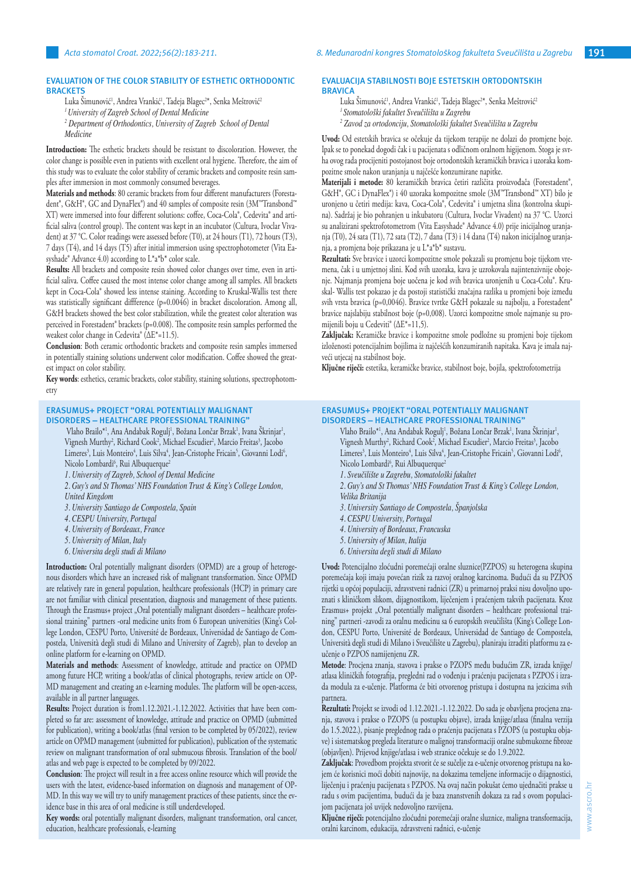# **EVALUATION OF THE COLOR STABILITY OF ESTHETIC ORTHODONTIC BRACKETS**

Luka Simunović<sup>1</sup>, Andrea Vrankić<sup>1</sup>, Tadeja Blagec<sup>2</sup>\*, Senka Meštrović<sup>2</sup>

- *<sup>1</sup>University of Zagreb School of Dental Medicine*
- *2 Department of Orthodontics, University of Zagreb School of Dental Medicine*

**Introduction:** The esthetic brackets should be resistant to discoloration. However, the color change is possible even in patients with excellent oral hygiene. Therefore, the aim of this study was to evaluate the color stability of ceramic brackets and composite resin samples after immersion in most commonly consumed beverages.

**Materials and methods**: 80 ceramic brackets from four different manufacturers (Forestadent®, G&H®, GC and DynaFlex®) and 40 samples of composite resin (3M™Transbond™ XT) were immersed into four different solutions: coffee, Coca-Cola®, Cedevita® and artificial saliva (control group). The content was kept in an incubator (Cultura, Ivoclar Vivadent) at 37 °C. Color readings were assessed before (T0), at 24 hours (T1), 72 hours (T3), 7 days (T4), and 14 days (T5) after initial immersion using spectrophotometer (Vita Easyshade® Advance 4.0) according to L\*a\*b\* color scale.

**Results:** All brackets and composite resin showed color changes over time, even in artificial saliva. Coffee caused the most intense color change among all samples. All brackets kept in Coca-Cola® showed less intense staining. According to Kruskal-Wallis test there was statistically significant diffference (p=0.0046) in bracket discoloration. Among all, G&H brackets showed the best color stabilization, while the greatest color alteration was perceived in Forestadent® brackets (p=0.008). The composite resin samples performed the weakest color change in Cedevita® (∆E\*=11.5).

**Conclusion**: Both ceramic orthodontic brackets and composite resin samples immersed in potentially staining solutions underwent color modification. Coffee showed the greatest impact on color stability.

**Key words**: esthetics, ceramic brackets, color stability, staining solutions, spectrophotometry

#### **ERASUMUS+ PROJECT "ORAL POTENTIALLY MALIGNANT DISORDERS – HEALTHCARE PROFESSIONAL TRAINING"**

Vlaho Brailo\*', Ana Andabak Rogulj', Božana Lončar Brzak', Ivana Skrinjar', Vignesh Murthy<sup>2</sup>, Richard Cook<sup>2</sup>, Michael Escudier<sup>2</sup>, Marcio Freitas<sup>3</sup>, Jacobo Limeres<sup>3</sup>, Luis Monteiro<sup>4</sup>, Luis Silva<sup>4</sup>, Jean-Cristophe Fricain<sup>5</sup>, Giovanni Lodi<sup>6</sup>, Nicolo Lombardi<sup>6</sup>, Rui Albuquerque<sup>2</sup>

- *1. University of Zagreb, School of Dental Medicine*
- *2. Guy's and St Thomas' NHS Foundation Trust & King's College London, United Kingdom*
- 
- *3. University Santiago de Compostela, Spain 4. CESPU University, Portugal*
- 
- *4. University of Bordeaux, France*
- *5. University of Milan, Italy*
- *6. Universita degli studi di Milano*

**Introduction:** Oral potentially malignant disorders (OPMD) are a group of heterogenous disorders which have an increased risk of malignant transformation. Since OPMD are relatively rare in general population, healthcare professionals (HCP) in primary care are not familiar with clinical presentation, diagnosis and management of these patients. Through the Erasmus+ project "Oral potentially malignant disorders - healthcare professional training" partners -oral medicine units from 6 European universities (King's College London, CESPU Porto, Université de Bordeaux, Universidad de Santiago de Compostela, Università degli studi di Milano and University of Zagreb), plan to develop an online platform for e-learning on OPMD.

**Materials and methods**: Assessment of knowledge, attitude and practice on OPMD among future HCP, writing a book/atlas of clinical photographs, review article on OP-MD management and creating an e-learning modules. The platform will be open-access, available in all partner languages.

**Results:** Project duration is from1.12.2021.-1.12.2022. Activities that have been completed so far are: assessment of knowledge, attitude and practice on OPMD (submitted for publication), writing a book/atlas (final version to be completed by 05/2022), review article on OPMD management (submitted for publication), publication of the systematic review on malignant transformation of oral submucous fibrosis. Translation of the bool/ atlas and web page is expected to be completed by 09/2022.

**Conclusion**: The project will result in a free access online resource which will provide the users with the latest, evidence-based information on diagnosis and management of OP-MD. In this way we will try to unify management practices of these patients, since the evidence base in this area of oral medicine is still underdeveloped.

**Key words:** oral potentially malignant disorders, malignant transformation, oral cancer, education, healthcare professionals, e-learning

# **EVALUACIJA STABILNOSTI BOJE ESTETSKIH ORTODONTSKIH BRAVICA**

Luka Simunović<sup>1</sup>, Andrea Vrankić<sup>1</sup>, Tadeja Blagec<sup>2\*</sup>, Senka Meštrović<sup>2</sup> *1 Stomatološki fakultet Sveučilišta u Zagrebu 2 Zavod za ortodonciju, Stomatološki fakultet Sveučilišta u Zagrebu*

**Uvod:** Od estetskih bravica se očekuje da tijekom terapije ne dolazi do promjene boje. Ipak se to ponekad dogodi čak i u pacijenata s odličnom oralnom higijenom. Stoga je svrha ovog rada procijeniti postojanost boje ortodontskih keramičkih bravica i uzoraka kompozitne smole nakon uranjanja u najčešće konzumirane napitke.

**Materijali i metode:** 80 keramičkih bravica četiri različita proizvođača (Forestadent®, G&H®, GC i DynaFlex®) i 40 uzoraka kompozitne smole (3M™Transbond™ XT) bilo je uronjeno u četiri medija: kava, Coca-Cola®, Cedevita® i umjetna slina (kontrolna skupina). Sadržaj je bio pohranjen u inkubatoru (Cultura, Ivoclar Vivadent) na 37 °C. Uzorci su analizirani spektrofotometrom (Vita Easyshade® Advance 4.0) prije inicijalnog uranjanja (T0), 24 sata (T1), 72 sata (T2), 7 dana (T3) i 14 dana (T4) nakon inicijalnog uranjanja, a promjena boje prikazana je u L\*a\*b\* sustavu.

**Rezultati:** Sve bravice i uzorci kompozitne smole pokazali su promjenu boje tijekom vremena, čak i u umjetnoj slini. Kod svih uzoraka, kava je uzrokovala najintenzivnije obojenje. Najmanja promjena boje uočena je kod svih bravica uronjenih u Coca-Colu®. Kruskal- Wallis test pokazao je da postoji statistički značajna razlika u promjeni boje između svih vrsta bravica (p=0,0046). Bravice tvrtke G&H pokazale su najbolju, a Forestadent® bravice najslabiju stabilnost boje (p=0,008). Uzorci kompozitne smole najmanje su promijenili boju u Cedeviti® (∆E\*=11,5).

**Zaključak:** Keramičke bravice i kompozitne smole podložne su promjeni boje tijekom izloženosti potencijalnim bojilima iz najčešćih konzumiranih napitaka. Kava je imala najveći utjecaj na stabilnost boje.

**Ključne riječi:** estetika, keramičke bravice, stabilnost boje, bojila, spektrofotometrija

## **ERASUMUS+ PROJEKT "ORAL POTENTIALLY MALIGNANT DISORDERS – HEALTHCARE PROFESSIONAL TRAINING"**

Vlaho Brailo\*<sup>1</sup>, Ana Andabak Rogulj<sup>1</sup>, Božana Lončar Brzak<sup>1</sup>, Ivana Skrinjar<sup>1</sup>, Vignesh Murthy<sup>2</sup>, Richard Cook<sup>2</sup>, Michael Escudier<sup>2</sup>, Marcio Freitas<sup>3</sup>, Jacobo Limeres<sup>3</sup>, Luis Monteiro<sup>4</sup>, Luis Silva<sup>4</sup>, Jean-Cristophe Fricain<sup>5</sup>, Giovanni Lodi<sup>6</sup>, Nicolo Lombardi<sup>6</sup>, Rui Albuquerque<sup>2</sup>

- *1. Sveučilište u Zagrebu, Stomatološki fakultet*
- *2. Guy's and St Thomas' NHS Foundation Trust & King's College London, Velika Britanija*
- *3. University Santiago de Compostela, Španjolska*
- *4. CESPU University, Portugal*
- *4. University of Bordeaux, Francuska*
- *5. University of Milan, Italija*
- *6. Universita degli studi di Milano*

**Uvod:** Potencijalno zloćudni poremećaji oralne sluznice(PZPOS) su heterogena skupina poremećaja koji imaju povećan rizik za razvoj oralnog karcinoma. Budući da su PZPOS rijetki u općoj populaciji, zdravstveni radnici (ZR) u primarnoj praksi nisu dovoljno upoznati s kliničkom slikom, dijagnostikom, liječenjem i praćenjem takvih pacijenata. Kroz Erasmus+ projekt "Oral potentially malignant disorders - healthcare professional training" partneri -zavodi za oralnu medicinu sa 6 europskih sveučilišta (King's College London, CESPU Porto, Université de Bordeaux, Universidad de Santiago de Compostela, Università degli studi di Milano i Sveučilište u Zagrebu), planiraju izraditi platformu za eučenje o PZPOS namijenjenu ZR.

**Metode**: Procjena znanja, stavova i prakse o PZOPS među budućim ZR, izrada knjige/ atlasa kliničkih fotografija, pregledni rad o vođenju i praćenju pacijenata s PZPOS i izrada modula za e-učenje. Platforma će biti otvorenog pristupa i dostupna na jezicima svih partnera.

**Rezultati:** Projekt se izvodi od 1.12.2021.-1.12.2022. Do sada je obavljena procjena znanja, stavova i prakse o PZOPS (u postupku objave), izrada knjige/atlasa (finalna verzija do 1.5.2022.), pisanje preglednog rada o praćenju pacijenata s PZOPS (u postupku objave) i sistematskog pregleda literature o malignoj transformaciji oralne submukozne fibroze (objavljen). Prijevod knjige/atlasa i web stranice očekuje se do 1.9.2022.

**Zaključak**: Provedbom projekta stvorit će se sučelje za e-učenje otvorenog pristupa na kojem će korisnici moći dobiti najnovije, na dokazima temeljene informacije o dijagnostici, liječenju i praćenju pacijenata s PZPOS. Na ovaj način pokušat ćemo ujednačiti prakse u radu s ovim pacijentima, budući da je baza znanstvenih dokaza za rad s ovom populacijom pacijenata još uvijek nedovoljno razvijena.

**Ključne riječi:** potencijalno zloćudni poremećaji oralne sluznice, maligna transformacija, oralni karcinom, edukacija, zdravstveni radnici, e-učenje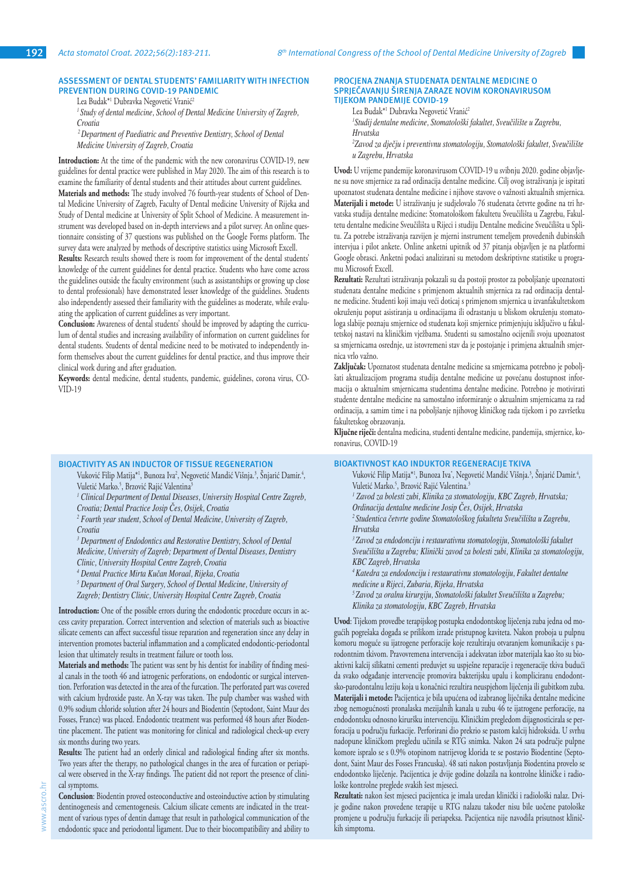## **ASSESSMENT OF DENTAL STUDENTS' FAMILIARITY WITH INFECTION PREVENTION DURING COVID-19 PANDEMIC**

Lea Budak\*<sup>1</sup> Dubravka Negovetić Vranić<sup>2</sup>

*<sup>1</sup>Study of dental medicine, School of Dental Medicine University of Zagreb, Croatia*

 *2 Department of Paediatric and Preventive Dentistry, School of Dental Medicine University of Zagreb, Croatia*

**Introduction:** At the time of the pandemic with the new coronavirus COVID-19, new guidelines for dental practice were published in May 2020. The aim of this research is to examine the familiarity of dental students and their attitudes about current guidelines.

**Materials and methods:** The study involved 76 fourth-year students of School of Dental Medicine University of Zagreb, Faculty of Dental medicine University of Rijeka and Study of Dental medicine at University of Split School of Medicine. A measurement instrument was developed based on in-depth interviews and a pilot survey. An online questionnaire consisting of 37 questions was published on the Google Forms platform. The survey data were analyzed by methods of descriptive statistics using Microsoft Excell.

**Results:** Research results showed there is room for improvement of the dental students' knowledge of the current guidelines for dental practice. Students who have come across the guidelines outside the faculty environment (such as assistantships or growing up close to dental professionals) have demonstrated lesser knowledge of the guidelines. Students also independently assessed their familiarity with the guidelines as moderate, while evaluating the application of current guidelines as very important.

**Conclusion:** Awareness of dental students' should be improved by adapting the curriculum of dental studies and increasing availability of information on current guidelines for dental students. Students of dental medicine need to be motivated to independently inform themselves about the current guidelines for dental practice, and thus improve their clinical work during and after graduation.

**Keywords:** dental medicine, dental students, pandemic, guidelines, corona virus, CO-VID-19

#### **BIOACTIVITY AS AN INDUCTOR OF TISSUE REGENERATION**

Vuković Filip Matija\*<sup>1</sup>, Bunoza Iva<sup>2</sup>, Negovetić Mandić Višnja.<sup>3</sup>, Snjarić Damir.<sup>4</sup>, Vuletić Marko.<sup>></sup>, Brzović Rajić Valentina<sup>3</sup>

*1 Clinical Department of Dental Diseases, University Hospital Centre Zagreb, Croatia; Dental Practice Josip Čes, Osijek, Croatia*

<sup>2</sup> Fourth year student, School of Dental Medicine, University of Zagreb, *Croatia*

<sup>3</sup> Department of Endodontics and Restorative Dentistry, School of Dental *Medicine, University of Zagreb; Department of Dental Diseases, Dentistry Clinic, University Hospital Centre Zagreb, Croatia*

*4 Dental Practice Mirta Kučan Moraal, Rijeka, Croatia*

*5 Department of Oral Surgery, School of Dental Medicine, University of Zagreb; Dentistry Clinic, University Hospital Centre Zagreb, Croatia*

**Introduction:** One of the possible errors during the endodontic procedure occurs in access cavity preparation. Correct intervention and selection of materials such as bioactive silicate cements can affect successful tissue reparation and regeneration since any delay in intervention promotes bacterial inflammation and a complicated endodontic-periodontal lesion that ultimately results in treatment failure or tooth loss.

**Materials and methods:** The patient was sent by his dentist for inability of finding mesial canals in the tooth 46 and iatrogenic perforations, on endodontic or surgical intervention. Perforation was detected in the area of the furcation. The perforated part was covered with calcium hydroxide paste. An X-ray was taken. The pulp chamber was washed with 0.9% sodium chloride solution after 24 hours and Biodentin (Septodont, Saint Maur des Fosses, France) was placed. Endodontic treatment was performed 48 hours after Biodentine placement. The patient was monitoring for clinical and radiological check-up every six months during two years.

**Results:** The patient had an orderly clinical and radiological finding after six months. Two years after the therapy, no pathological changes in the area of furcation or periapical were observed in the X-ray findings. The patient did not report the presence of clinical symptoms.

**Conclusion**: Biodentin proved osteoconductive and osteoinductive action by stimulating dentinogenesis and cementogenesis. Calcium silicate cements are indicated in the treatment of various types of dentin damage that result in pathological communication of the endodontic space and periodontal ligament. Due to their biocompatibility and ability to

#### **PROCJENA ZNANJA STUDENATA DENTALNE MEDICINE O SPRJEČAVANJU ŠIRENJA ZARAZE NOVIM KORONAVIRUSOM TIJEKOM PANDEMIJE COVID-19**

Lea Budak\*<sup>1</sup> Dubravka Negovetić Vranić<sup>2</sup>

*1 Studij dentalne medicine, Stomatološki fakultet, Sveučilište u Zagrebu, Hrvatska*

*2 Zavod za dječju i preventivnu stomatologiju, Stomatološki fakultet, Sveučilište u Zagrebu, Hrvatska*

**Uvod:** U vrijeme pandemije koronavirusom COVID-19 u svibnju 2020. godine objavljene su nove smjernice za rad ordinacija dentalne medicine. Cilj ovog istraživanja je ispitati upoznatost studenata dentalne medicine i njihove stavove o važnosti aktualnih smjernica. **Materijali i metode:** U istraživanju je sudjelovalo 76 studenata četvrte godine na tri hrvatska studija dentalne medicine: Stomatološkom fakultetu Sveučilišta u Zagrebu, Fakultetu dentalne medicine Sveučilišta u Rijeci i studiju Dentalne medicine Sveučilišta u Splitu. Za potrebe istraživanja razvijen je mjerni instrument temeljem provedenih dubinskih intervjua i pilot ankete. Online anketni upitnik od 37 pitanja objavljen je na platformi Google obrasci. Anketni podaci analizirani su metodom deskriptivne statistike u programu Microsoft Excell.

**Rezultati:** Rezultati istraživanja pokazali su da postoji prostor za poboljšanje upoznatosti studenata dentalne medicine s primjenom aktualnih smjernica za rad ordinacija dentalne medicine. Studenti koji imaju veći doticaj s primjenom smjernica u izvanfakultetskom okruženju poput asistiranja u ordinacijama ili odrastanju u bliskom okruženju stomatologa slabije poznaju smjernice od studenata koji smjernice primjenjuju isključivo u fakultetskoj nastavi na kliničkim vježbama. Studenti su samostalno ocijenili svoju upoznatost sa smjernicama osrednje, uz istovremeni stav da je postojanje i primjena aktualnih smjernica vrlo važno.

**Zaključak:** Upoznatost studenata dentalne medicine sa smjernicama potrebno je poboljšati aktualizacijom programa studija dentalne medicine uz povećanu dostupnost informacija o aktualnim smjernicama studentima dentalne medicine. Potrebno je motivirati studente dentalne medicine na samostalno informiranje o aktualnim smjernicama za rad ordinacija, a samim time i na poboljšanje njihovog kliničkog rada tijekom i po završetku fakultetskog obrazovanja.

**Ključne riječi:** dentalna medicina, studenti dentalne medicine, pandemija, smjernice, koronavirus, COVID-19

## **BIOAKTIVNOST KAO INDUKTOR REGENERACIJE TKIVA**

Vuković Filip Matija\*<sup>1</sup>, Bunoza Iva`, Negovetić Mandić Višnja.<sup>3</sup>, Snjarić Damir.<sup>4</sup>, Vuletić Marko.<sup>5</sup>, Brzović Rajić Valentina.<sup>3</sup>

*1 Zavod za bolesti zubi, Klinika za stomatologiju, KBC Zagreb, Hrvatska;* 

*Ordinacija dentalne medicine Josip Čes, Osijek, Hrvatska*

*<sup>2</sup>Studentica četvrte godine Stomatološkog fakulteta Sveučilišta u Zagrebu, Hrvatska*

*<sup>3</sup>Zavod za endodonciju i restaurativnu stomatologiju, Stomatološki fakultet Sveučilišta u Zagrebu; Klinički zavod za bolesti zubi, Klinika za stomatologiju, KBC Zagreb, Hrvatska*

*4 Katedra za endodonciju i restaurativnu stomatologiju, Fakultet dentalne medicine u Rijeci, Zubaria, Rijeka, Hrvatska*

*<sup>5</sup>Zavod za oralnu kirurgiju, Stomatološki fakultet Sveučilišta u Zagrebu; Klinika za stomatologiju, KBC Zagreb, Hrvatska*

**Uvod**: Tijekom provedbe terapijskog postupka endodontskog liječenja zuba jedna od mogućih pogrešaka događa se prilikom izrade pristupnog kaviteta. Nakon proboja u pulpnu komoru moguće su ijatrogene perforacije koje rezultiraju otvaranjem komunikacije s parodontnim tkivom. Pravovremena intervencija i adekvatan izbor materijala kao što su bioaktivni kalcij silikatni cementi preduvjet su uspješne reparacije i regeneracije tkiva budući da svako odgađanje intervencije promovira bakterijsku upalu i kompliciranu endodontsko-parodontalnu leziju koja u konačnici rezultira neuspjehom liječenja ili gubitkom zuba. **Materijali i metode:** Pacijentica je bila upućena od izabranog liječnika dentalne medicine zbog nemogućnosti pronalaska mezijalnih kanala u zubu 46 te ijatrogene perforacije, na endodontsku odnosno kiruršku intervenciju. Kliničkim pregledom dijagnosticirala se perforacija u području furkacije. Perforirani dio prekrio se pastom kalcij hidroksida. U svrhu nadopune kliničkom pregledu učinila se RTG snimka. Nakon 24 sata područje pulpne komore ispralo se s 0.9% otopinom natrijevog klorida te se postavio Biodentine (Septodont, Saint Maur des Fosses Francuska). 48 sati nakon postavljanja Biodentina provelo se endodontsko liječenje. Pacijentica je dvije godine dolazila na kontrolne kliničke i radiološke kontrolne preglede svakih šest mjeseci.

**Rezultati:** nakon šest mjeseci pacijentica je imala uredan klinički i radiološki nalaz. Dvije godine nakon provedene terapije u RTG nalazu također nisu bile uočene patološke promjene u području furkacije ili periapeksa. Pacijentica nije navodila prisutnost kliničkih simptoma.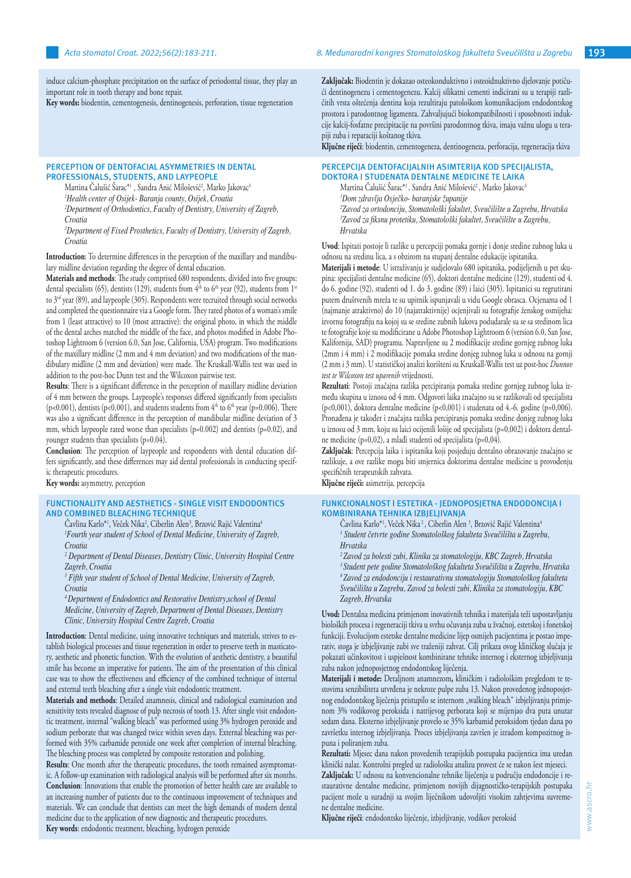induce calcium-phosphate precipitation on the surface of periodontal tissue, they play an important role in tooth therapy and bone repair.

**Key words:** biodentin, cementogenesis, dentinogenesis, perforation, tissue regeneration

#### **PERCEPTION OF DENTOFACIAL ASYMMETRIES IN DENTAL PROFESSIONALS, STUDENTS, AND LAYPEOPLE**

Martina Calušić Sarac\*' , Sandra Anić Milošević', Marko Jakovac<sup>3</sup>

*1 Health center of Osijek- Baranja county, Osijek, Croatia*

*2 Department of Orthodontics, Faculty of Dentistry, University of Zagreb,* 

*Croatia*

*3 Department of Fixed Prosthetics, Faculty of Dentistry, University of Zagreb, Croatia*

**Introduction**: To determine differences in the perception of the maxillary and mandibulary midline deviation regarding the degree of dental education.

**Materials and methods**: The study comprised 680 respondents, divided into five groups: dental specialists (65), dentists (129), students from  $4<sup>th</sup>$  to  $6<sup>th</sup>$  year (92), students from  $1<sup>st</sup>$ to  $3<sup>rd</sup>$  year (89), and laypeople (305). Respondents were recruited through social networks and completed the questionnaire via a Google form. They rated photos of a woman's smile from 1 (least attractive) to 10 (most attractive): the original photo, in which the middle of the dental arches matched the middle of the face, and photos modified in Adobe Photoshop Lightroom 6 (version 6.0, San Jose, California, USA) program. Two modifications of the maxillary midline (2 mm and 4 mm deviation) and two modifications of the mandibulary midline (2 mm and deviation) were made. The Kruskall-Wallis test was used in addition to the post-hoc Dunn test and the Wilcoxon pairwise test.

**Results**: There is a significant difference in the perception of maxillary midline deviation of 4 mm between the groups. Laypeople's responses differed significantly from specialists (p<0.001), dentists (p<0.001), and students students from  $4<sup>th</sup>$  to  $6<sup>th</sup>$  year (p=0.006). There was also a significant difference in the perception of mandibular midline deviation of 3 mm, which laypeople rated worse than specialists (p=0.002) and dentists (p=0.02), and younger students than specialists (p=0.04).

**Conclusion**: The perception of laypeople and respondents with dental education differs significantly, and these differences may aid dental professionals in conducting specific therapeutic procedures.

**Key words:** asymmetry, perception

## **FUNCTIONALITY AND AESTHETICS - SINGLE VISIT ENDODONTICS AND COMBINED BLEACHING TECHNIQUE**

Cavlina Karlo\*', Veček Nika<sup>2</sup>, Ciberlin Alen<sup>3</sup>, Brzović Rajić Valentina<sup>4</sup> *1 Fourth year student of School of Dental Medicine, University of Zagreb, Croatia*

<sup>2</sup> Department of Dental Diseases, Dentistry Clinic, University Hospital Centre *Zagreb, Croatia*

*3 Fifth year student of School of Dental Medicine, University of Zagreb, Croatia*

*4 Department of Endodontics and Restorative Dentistry,school of Dental Medicine, University of Zagreb, Department of Dental Diseases, Dentistry Clinic, University Hospital Centre Zagreb, Croatia*

**Introduction**: Dental medicine, using innovative techniques and materials, strives to establish biological processes and tissue regeneration in order to preserve teeth in masticatory, aesthetic and phonetic function. With the evolution of aesthetic dentistry, a beautiful smile has become an imperative for patients. The aim of the presentation of this clinical case was to show the effectiveness and efficiency of the combined technique of internal and external teeth bleaching after a single visit endodontic treatment.

**Materials and methods**: Detailed anamnesis, clinical and radiological examination and sensitivity tests revealed diagnose of pulp necrosis of tooth 13. After single visit endodontic treatment, internal "walking bleach" was performed using 3% hydrogen peroxide and sodium perborate that was changed twice within seven days. External bleaching was performed with 35% carbamide peroxide one week after completion of internal bleaching. The bleaching process was completed by composite restoration and polishing.

**Results**: One month after the therapeutic procedures, the tooth remained asymptomatic. A follow-up examination with radiological analysis will be performed after six months. **Conclusion**: Innovations that enable the promotion of better health care are available to an increasing number of patients due to the continuous improvement of techniques and materials. We can conclude that dentists can meet the high demands of modern dental medicine due to the application of new diagnostic and therapeutic procedures. **Key words**: endodontic treatment, bleaching, hydrogen peroxide

**Zaključak:** Biodentin je dokazao osteokonduktivno i osteoidnuktivno djelovanje potičući dentinogenezu i cementogenezu. Kalcij silikatni cementi indicirani su u terapiji različitih vrsta oštećenja dentina koja rezultiraju patološkom komunikacijom endodontskog prostora i parodontnog ligamenta. Zahvaljujući biokompatibilnosti i sposobnosti indukcije kalcij-fosfatne precipitacije na površini parodontnog tkiva, imaju važnu ulogu u terapiji zuba i reparaciji koštanog tkiva.

**Ključne riječi**: biodentin, cementogeneza, dentinogeneza, perforacija, regeneracija tkiva

# **PERCEPCIJA DENTOFACIJALNIH ASIMTERIJA KOD SPECIJALISTA, DOKTORA I STUDENATA DENTALNE MEDICINE TE LAIKA**

Martina Čalušić Šarac\*<sup>1</sup>, Sandra Anić Milošević<sup>2</sup>, Marko Jakovac<sup>3</sup> *1 Dom zdravlja Osječko- baranjske županije 2 Zavod za ortodonciju, Stomatološki fakultet, Sveučilište u Zagrebu, Hrvatska 3 Zavod za fiksnu protetiku, Stomatološki fakultet, Sveučilište u Zagrebu, Hrvatska*

**Uvod**: Ispitati postoje li razlike u percepciji pomaka gornje i donje sredine zubnog luka u odnosu na sredinu lica, a s obzirom na stupanj dentalne edukacije ispitanika.

**Materijali i metode**: U istraživanju je sudjelovalo 680 ispitanika, podijeljenih u pet skupina: specijalisti dentalne medicine (65), doktori dentalne medicine (129), studenti od 4. do 6. godine (92), studenti od 1. do 3. godine (89) i laici (305). Ispitanici su regrutirani putem društvenih mreža te su upitnik ispunjavali u vidu Google obrasca. Ocjenama od 1 (najmanje atraktivno) do 10 (najatraktivnije) ocjenjivali su fotografije ženskog osmijeha: izvornu fotografiju na kojoj su se sredine zubnih lukova podudarale su se sa sredinom lica te fotografije koje su modificirane u Adobe Photoshop Lightroom 6 (version 6.0, San Jose, Kalifornija, SAD) programu. Napravljene su 2 modifikacije sredine gornjeg zubnog luka (2mm i 4 mm) i 2 modifikacije pomaka sredine donjeg zubnog luka u odnosu na gornji (2 mm i 3 mm). U statističkoj analizi korišteni su Kruskall-Wallis test uz post-hoc *Dunnov test te Wilcoxon test uparenih* vrijednosti.

**Rezultati**: Postoji značajna razlika percipiranja pomaka sredine gornjeg zubnog luka između skupina u iznosu od 4 mm. Odgovori laika značajno su se razlikovali od specijalista  $(p<0,001)$ , doktora dentalne medicine  $(p<0,001)$  i studenata od 4.-6. godine  $(p=0,006)$ . Pronađena je također i značajna razlika percipiranja pomaka sredine donjeg zubnog luka u iznosu od 3 mm, koju su laici ocijenili lošije od specijalista (p=0,002) i doktora dentalne medicine (p=0,02), a mlađi studenti od specijalista (p=0,04).

**Zaključak**: Percepcija laika i ispitanika koji posjeduju dentalno obrazovanje značajno se razlikuje, a ove razlike mogu biti smjernica doktorima dentalne medicine u provođenju specifičnih terapeutskih zahvata.

**Ključne riječi:** asimetrija, percepcija

#### **FUNKCIONALNOST I ESTETIKA - JEDNOPOSJETNA ENDODONCIJA I KOMBINIRANA TEHNIKA IZBJELJIVANJA**

Cavlina Karlo\*<sup>1</sup>, Veček Nika<sup>2</sup>, Ciberlin Alen<sup>3</sup>, Brzović Rajić Valentina<sup>4</sup> *1 Student četvrte godine Stomatološkog fakulteta Sveučilišta u Zagrebu, Hrvatska*

*2 Zavod za bolesti zubi, Klinika za stomatologiju, KBC Zagreb, Hrvatska <sup>3</sup>Student pete godine Stomatološkog fakulteta Sveučilišta u Zagrebu, Hrvatska <sup>4</sup>Zavod za endodonciju i restaurativnu stomatologiju Stomatološkog fakulteta Sveučilišta u Zagrebu, Zavod za bolesti zubi, Klinika za stomatologiju, KBC Zagreb, Hrvatska*

**Uvod:** Dentalna medicina primjenom inovativnih tehnika i materijala teži uspostavljanju bioloških procesa i regeneraciji tkiva u svrhu očuvanja zuba u žvačnoj, estetskoj i fonetskoj funkciji. Evolucijom estetske dentalne medicine lijep osmijeh pacijentima je postao imperativ, stoga je izbjeljivanje zubi sve traženiji zahvat. Cilj prikaza ovog kliničkog slučaja je pokazati učinkovitost i uspješnost kombinirane tehnike internog i eksternog izbjeljivanja zuba nakon jednoposjetnog endodontskog liječenja.

**Materijali i metode:** Detaljnom anamnezom**,** kliničkim i radiološkim pregledom te testovima senzibiliteta utvrđena je nekroze pulpe zuba 13. Nakon provedenog jednoposjetnog endodontskog liječenja pristupilo se internom "walking bleach" izbjeljivanju primjenom 3% vodikovog peroksida i natrijevog perborata koji se mijenjao dva puta unutar sedam dana. Eksterno izbjeljivanje provelo se 35% karbamid peroksidom tjedan dana po završetku internog izbjeljivanja. Proces izbjeljivanja završen je izradom kompozitnog ispuna i poliranjem zuba.

**Rezultati:** Mjesec dana nakon provedenih terapijskih postupaka pacijentica ima uredan klinički nalaz. Kontrolni pregled uz radiološku analizu provest će se nakon šest mjeseci.

**Zaključak:** U odnosu na konvencionalne tehnike liječenja u području endodoncije i restaurativne dentalne medicine, primjenom novijih dijagnostičko-terapijskih postupaka pacijent može u suradnji sa svojim liječnikom udovoljiti visokim zahtjevima suvremene dentalne medicine.

**Ključne riječi**: endodontsko liječenje, izbjeljivanje, vodikov peroksid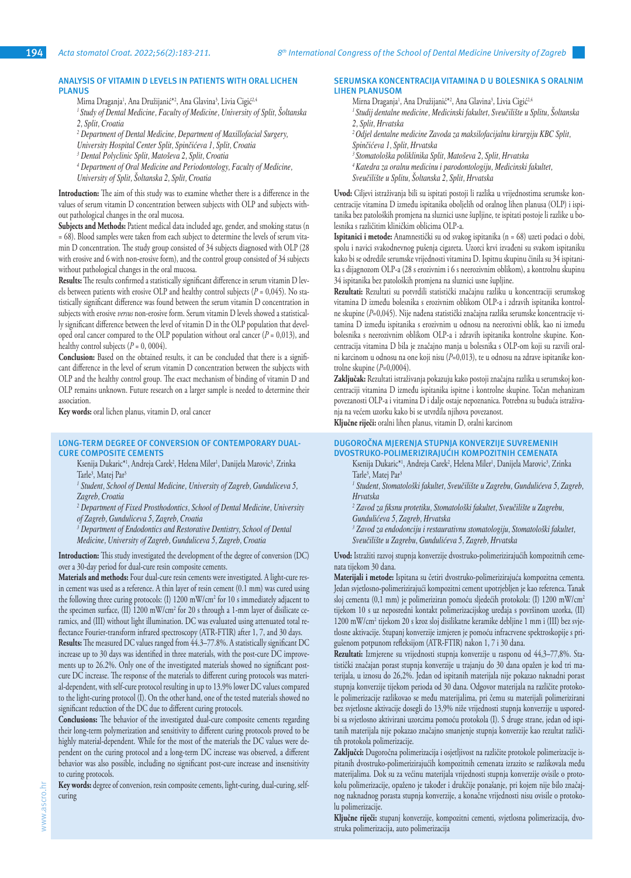# **ANALYSIS OF VITAMIN D LEVELS IN PATIENTS WITH ORAL LICHEN PLANUS**

Mirna Draganja<sup>1</sup>, Ana Družijanić\*<sup>2</sup>, Ana Glavina<sup>3</sup>, Livia Cigić<sup>2,4</sup>

- *1 Study of Dental Medicine, Faculty of Medicine, University of Split, Šoltanska 2, Split, Croatia*
- *2 Department of Dental Medicine, Department of Maxillofacial Surgery,*
- *University Hospital Center Split, Spinčićeva 1, Split, Croatia*
- *3 Dental Polyclinic Split, Matoševa 2, Split, Croatia*
- *4 Department of Oral Medicine and Periodontology, Faculty of Medicine, University of Split, Šoltanska 2, Split, Croatia*

**Introduction:** The aim of this study was to examine whether there is a difference in the values of serum vitamin D concentration between subjects with OLP and subjects without pathological changes in the oral mucosa.

Subjects and Methods: Patient medical data included age, gender, and smoking status (n = 68). Blood samples were taken from each subject to determine the levels of serum vitamin D concentration. The study group consisted of 34 subjects diagnosed with OLP (28 with erosive and 6 with non-erosive form), and the control group consisted of 34 subjects without pathological changes in the oral mucosa.

**Results:** The results confirmed a statistically significant difference in serum vitamin D levels between patients with erosive OLP and healthy control subjects  $(P = 0.045)$ . No statistically significant difference was found between the serum vitamin D concentration in subjects with erosive *versus* non-erosive form. Serum vitamin D levels showed a statistically significant difference between the level of vitamin D in the OLP population that developed oral cancer compared to the OLP population without oral cancer  $(P = 0.013)$ , and healthy control subjects  $(P = 0, 0004)$ .

Conclusion: Based on the obtained results, it can be concluded that there is a significant difference in the level of serum vitamin D concentration between the subjects with OLP and the healthy control group. The exact mechanism of binding of vitamin D and OLP remains unknown. Future research on a larger sample is needed to determine their association.

**Key words:** oral lichen planus, vitamin D, oral cancer

## **LONG-TERM DEGREE OF CONVERSION OF CONTEMPORARY DUAL-CURE COMPOSITE CEMENTS**

- Ksenija Dukaric\*', Andreja Carek<sup>2</sup>, Helena Miler', Danijela Marovic<sup>3</sup>, Zrinka Tarle<sup>3</sup>, Matej Par<sup>3</sup>
- <sup>1</sup> Student, School of Dental Medicine, University of Zagreb, Gunduliceva 5, *Zagreb, Croatia*
- <sup>2</sup> Department of Fixed Prosthodontics, School of Dental Medicine, University *of Zagreb, Gunduliceva 5, Zagreb, Croatia*

<sup>3</sup> Department of Endodontics and Restorative Dentistry, School of Dental *Medicine, University of Zagreb, Gunduliceva 5, Zagreb, Croatia*

**Introduction:** This study investigated the development of the degree of conversion (DC) over a 30-day period for dual-cure resin composite cements.

**Materials and methods:** Four dual-cure resin cements were investigated. A light-cure resin cement was used as a reference. A thin layer of resin cement (0.1 mm) was cured using the following three curing protocols: (I) 1200 mW/cm2 for 10 s immediately adjacent to the specimen surface, (II) 1200 mW/cm<sup>2</sup> for 20 s through a 1-mm layer of disilicate ceramics, and (III) without light illumination. DC was evaluated using attenuated total reflectance Fourier-transform infrared spectroscopy (ATR-FTIR) after 1, 7, and 30 days.

**Results:** The measured DC values ranged from 44.3–77.8%. A statistically significant DC increase up to 30 days was identified in three materials, with the post-cure DC improvements up to 26.2%. Only one of the investigated materials showed no significant postcure DC increase. The response of the materials to different curing protocols was material-dependent, with self-cure protocol resulting in up to 13.9% lower DC values compared to the light-curing protocol (I). On the other hand, one of the tested materials showed no significant reduction of the DC due to different curing protocols.

**Conclusions:** The behavior of the investigated dual-cure composite cements regarding their long-term polymerization and sensitivity to different curing protocols proved to be highly material-dependent. While for the most of the materials the DC values were dependent on the curing protocol and a long-term DC increase was observed, a different behavior was also possible, including no significant post-cure increase and insensitivity to curing protocols.

**Key words:** degree of conversion, resin composite cements, light-curing, dual-curing, selfcuring

## **SERUMSKA KONCENTRACIJA VITAMINA D U BOLESNIKA S ORALNIM LIHEN PLANUSOM**

- Mirna Draganja<sup>1</sup>, Ana Družijanić\*<sup>2</sup>, Ana Glavina<sup>3</sup>, Livia Cigić<sup>2,4</sup>
- *1 Studij dentalne medicine, Medicinski fakultet, Sveučilište u Splitu, Šoltanska 2, Split, Hrvatska*
- *2 Odjel dentalne medicine Zavoda za maksilofacijalnu kirurgiju KBC Split,*
- *Spinčićeva 1, Split, Hrvatska*
- *<sup>3</sup>Stomatološka poliklinika Split, Matoševa 2, Split, Hrvatska*
- *4 Katedra za oralnu medicinu i parodontologiju, Medicinski fakultet,*
- *Sveučilište u Splitu, Šoltanska 2, Split, Hrvatska*

**Uvod:** Ciljevi istraživanja bili su ispitati postoji li razlika u vrijednostima serumske koncentracije vitamina D između ispitanika oboljelih od oralnog lihen planusa (OLP) i ispitanika bez patoloških promjena na sluznici usne šupljine, te ispitati postoje li razlike u bolesnika s različitim kliničkim oblicima OLP-a.

**Ispitanici i metode:** Anamnestički su od svakog ispitanika (n = 68) uzeti podaci o dobi, spolu i navici svakodnevnog pušenja cigareta. Uzorci krvi izvađeni su svakom ispitaniku kako bi se odredile serumske vrijednosti vitamina D. Ispitnu skupinu činila su 34 ispitanika s dijagnozom OLP-a (28 s erozivnim i 6 s neerozivnim oblikom), a kontrolnu skupinu 34 ispitanika bez patoloških promjena na sluznici usne šupljine.

**Rezultati:** Rezultati su potvrdili statistički značajnu razliku u koncentraciji serumskog vitamina D između bolesnika s erozivnim oblikom OLP-a i zdravih ispitanika kontrolne skupine (*P*=0,045). Nije nađena statistički značajna razlika serumske koncentracije vitamina D između ispitanika s erozivnim u odnosu na neerozivni oblik, kao ni između bolesnika s neerozivnim oblikom OLP-a i zdravih ispitanika kontrolne skupine. Koncentracija vitamina D bila je značajno manja u bolesnika s OLP-om koji su razvili oralni karcinom u odnosu na one koji nisu (*P*=0,013), te u odnosu na zdrave ispitanike kontrolne skupine (*P*=0,0004).

**Zaključak:** Rezultati istraživanja pokazuju kako postoji značajna razlika u serumskoj koncentraciji vitamina D između ispitanika ispitne i kontrolne skupine. Točan mehanizam povezanosti OLP-a i vitamina D i dalje ostaje nepoznanica. Potrebna su buduća istraživanja na većem uzorku kako bi se utvrdila njihova povezanost.

**Ključne riječi:** oralni lihen planus, vitamin D, oralni karcinom

#### **DUGOROČNA MJERENJA STUPNJA KONVERZIJE SUVREMENIH DVOSTRUKO-POLIMERIZIRAJUĆIH KOMPOZITNIH CEMENATA**

Ksenija Dukaric\*', Andreja Carek<sup>2</sup>, Helena Miler', Danijela Marovic<sup>3</sup>, Zrinka Tarle<sup>3</sup>, Matej Par<sup>3</sup>

*1 Student, Stomatološki fakultet, Sveučilište u Zagrebu, Gundulićeva 5, Zagreb, Hrvatska*

*2 Zavod za fiksnu protetiku, Stomatološki fakultet, Sveučilište u Zagrebu, Gundulićeva 5, Zagreb, Hrvatska*

*3 Zavod za endodonciju i restaurativnu stomatologiju, Stomatološki fakultet, Sveučilište u Zagrebu, Gundulićeva 5, Zagreb, Hrvatska*

**Uvod:** Istražiti razvoj stupnja konverzije dvostruko-polimerizirajućih kompozitnih cemenata tijekom 30 dana.

**Materijali i metode:** Ispitana su četiri dvostruko-polimerizirajuća kompozitna cementa. Jedan svjetlosno-polimerizirajući kompozitni cement upotrjebljen je kao referenca. Tanak sloj cementa (0,1 mm) je polimeriziran pomoću sljedećih protokola: (I) 1200 mW/cm2 tijekom 10 s uz neposredni kontakt polimerizacijskog uređaja s površinom uzorka, (II) 1200 mW/cm2 tijekom 20 s kroz sloj disilikatne keramike debljine 1 mm i (III) bez svjetlosne aktivacije. Stupanj konverzije izmjeren je pomoću infracrvene spektroskopije s prigušenom potpunom refleksijom (ATR-FTIR) nakon 1, 7 i 30 dana.

**Rezultati:** Izmjerene su vrijednosti stupnja konverzije u rasponu od 44,3–77,8%. Statistički značajan porast stupnja konverzije u trajanju do 30 dana opažen je kod tri materijala, u iznosu do 26,2%. Jedan od ispitanih materijala nije pokazao naknadni porast stupnja konverzije tijekom perioda od 30 dana. Odgovor materijala na različite protokole polimerizacije razlikovao se među materijalima, pri čemu su materijali polimerizirani bez svjetlosne aktivacije dosegli do 13,9% niže vrijednosti stupnja konverzije u usporedbi sa svjetlosno aktivirani uzorcima pomoću protokola (I). S druge strane, jedan od ispitanih materijala nije pokazao značajno smanjenje stupnja konverzije kao rezultat različitih protokola polimerizacije.

**Zaključci:** Dugoročna polimerizacija i osjetljivost na različite protokole polimerizacije ispitanih dvostruko-polimerizirajućih kompozitnih cemenata izrazito se razlikovala među materijalima. Dok su za većinu materijala vrijednosti stupnja konverzije ovisile o protokolu polimerizacije, opaženo je također i drukčije ponašanje, pri kojem nije bilo značajnog naknadnog porasta stupnja konverzije, a konačne vrijednosti nisu ovisile o protokolu polimerizacije.

**Ključne riječi:** stupanj konverzije, kompozitni cementi, svjetlosna polimerizacija, dvostruka polimerizacija, auto polimerizacija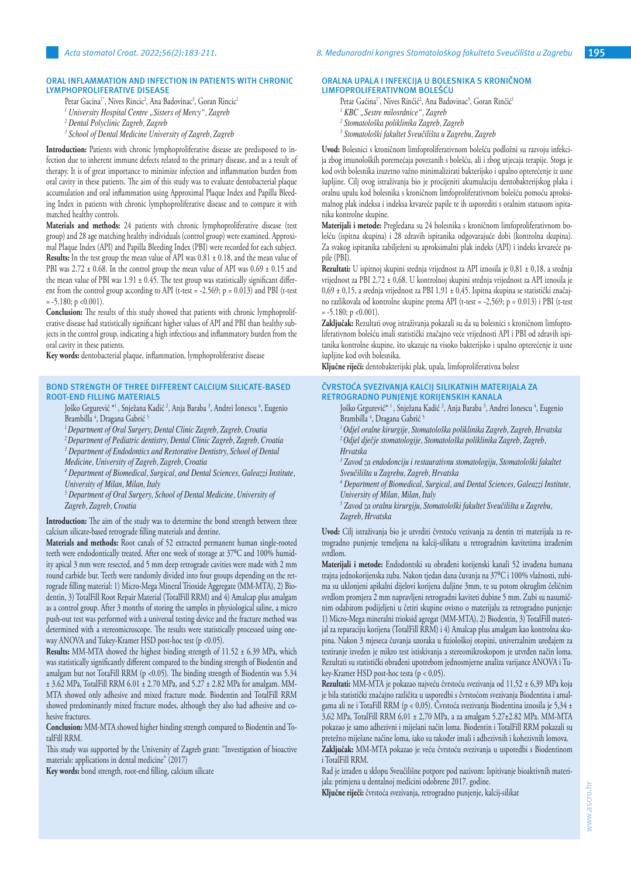#### **ORAL INFLAMMATION AND INFECTION IN PATIENTS WITH CHRONIC LYMPHOPROLIFERATIVE DISEASE**

- Petar Gacina<sup>r</sup>', Nives Rincic<sup>2</sup>, Ana Badovinac<sup>3</sup>, Goran Rincic<sup>1</sup>
- *1 University Hospital Centre "Sisters of Mercy", Zagreb*
- *2 Dental Polyclinic Zagreb, Zagreb*
- *3 School of Dental Medicine University of Zagreb, Zagreb*

**Introduction:** Patients with chronic lymphoproliferative disease are predisposed to infection due to inherent immune defects related to the primary disease, and as a result of therapy. It is of great importance to minimize infection and inflammation burden from oral cavity in these patients. The aim of this study was to evaluate dentobacterial plaque accumulation and oral inflammation using Approximal Plaque Index and Papilla Bleeding Index in patients with chronic lymphoproliferative disease and to compare it with matched healthy controls.

**Materials and methods:** 24 patients with chronic lymphoproliferative disease (test group) and 28 age matching healthy individuals (control group) were examined. Approximal Plaque Index (API) and Papilla Bleeding Index (PBI) were recorded for each subject. **Results:** In the test group the mean value of API was 0.81  $\pm$  0.18, and the mean value of PBI was  $2.72 \pm 0.68$ . In the control group the mean value of API was  $0.69 \pm 0.15$  and the mean value of PBI was  $1.91 \pm 0.45$ . The test group was statistically significant different from the control group according to API (t-test = -2.569;  $p = 0.013$ ) and PBI (t-test  $= -5.180$ ; p <0.001).

**Conclusion:** The results of this study showed that patients with chronic lymphoproliferative disease had statistically significant higher values of API and PBI than healthy subjects in the control group, indicating a high infectious and inflammatory burden from the oral cavity in these patients.

**Key words:** dentobacterial plaque, inflammation, lymphoproliferative disease

#### **BOND STRENGTH OF THREE DIFFERENT CALCIUM SILICATE-BASED ROOT-END FILLING MATERIALS**

- Joško Grgurević \*1 , Snježana Kadić 2 , Anja Baraba 3 , Andrei Ionescu 4 , Eugenio Brambilla <sup>4</sup>, Dragana Gabrić <sup>5</sup>
- *<sup>1</sup>Department of Oral Surgery, Dental Clinic Zagreb, Zagreb, Croatia*
- *2Department of Pediatric dentistry, Dental Clinic Zagreb, Zagreb, Croatia*
- <sup>3</sup> Department of Endodontics and Restorative Dentistry, School of Dental
- *Medicine, University of Zagreb, Zagreb, Croatia*
- *4 Department of Biomedical, Surgical, and Dental Sciences, Galeazzi Institute, University of Milan, Milan, Italy*
- *5 Department of Oral Surgery, School of Dental Medicine, University of Zagreb, Zagreb, Croatia*

**Introduction:** The aim of the study was to determine the bond strength between three calcium silicate-based retrograde filling materials and dentine.

**Materials and methods:** Root canals of 52 extracted permanent human single-rooted teeth were endodontically treated. After one week of storage at 37°C and 100% humidity apical 3 mm were resected, and 5 mm deep retrograde cavities were made with 2 mm round carbide bur. Teeth were randomly divided into four groups depending on the retrograde filling material: 1) Micro-Mega Mineral Trioxide Aggregate (MM-MTA), 2) Biodentin, 3) TotalFill Root Repair Material (TotalFill RRM) and 4) Amalcap plus amalgam as a control group. After 3 months of storing the samples in physiological saline, a micro push-out test was performed with a universal testing device and the fracture method was determined with a stereomicroscope. The results were statistically processed using oneway ANOVA and Tukey-Kramer HSD post-hoc test (p <0.05).

**Results:** MM-MTA showed the highest binding strength of 11.52 ± 6.39 MPa, which was statistically significantly different compared to the binding strength of Biodentin and amalgam but not TotaFill RRM (p <0.05). The binding strength of Biodentin was 5.34 ± 3.62 MPa, TotalFill RRM 6.01 ± 2.70 MPa, and 5.27 ± 2.82 MPa for amalgam. MM-MTA showed only adhesive and mixed fracture mode. Biodentin and TotalFill RRM showed predominantly mixed fracture modes, although they also had adhesive and cohesive fractures.

**Conclusion:** MM-MTA showed higher binding strength compared to Biodentin and TotalFill RRM.

This study was supported by the University of Zagreb grant: "Investigation of bioactive materials: applications in dental medicine" (2017)

**Key words:** bond strength, root-end filling, calcium silicate

#### **ORALNA UPALA I INFEKCIJA U BOLESNIKA S KRONIČNOM LIMFOPROLIFERATIVNOM BOLEŠĆU**

- Petar Gaćina<sup>r</sup>, Nives Rinčić<sup>2</sup>, Ana Badovinac<sup>3</sup>, Goran Rinčić<sup>1</sup>
- <sup>1</sup> KBC "Sestre milosrdnice", Zagreb
- *2 Stomatološka poliklinika Zagreb, Zagreb*
- *3 Stomatološki fakultet Sveučilišta u Zagrebu, Zagreb*

**Uvod:** Bolesnici s kroničnom limfoproliferativnom bolešću podložni su razvoju infekcija zbog imunoloških poremećaja povezanih s bolešću, ali i zbog utjecaja terapije. Stoga je kod ovih bolesnika izuzetno važno minimalizirati bakterijsko i upalno opterećenje iz usne šupljine. Cilj ovog istraživanja bio je procijeniti akumulaciju dentobakterijskog plaka i oralnu upalu kod bolesnika s kroničnom limfoproliferativnom bolešću pomoću aproksimalnog plak indeksa i indeksa krvareće papile te ih usporediti s oralnim statusom ispitanika kontrolne skupine.

**Materijali i metode:** Pregledana su 24 bolesnika s kroničnom limfoproliferativnom bolešću (ispitna skupina) i 28 zdravih ispitanika odgovarajuće dobi (kontrolna skupina). Za svakog ispitanika zabilježeni su aproksimalni plak indeks (API) i indeks krvareće papile (PBI).

**Rezultati:** U ispitnoj skupini srednja vrijednost za API iznosila je 0,81 ± 0,18, a srednja vrijednost za PBI 2,72 ± 0,68. U kontrolnoj skupini srednja vrijednost za API iznosila je 0,69 ± 0,15, a srednja vrijednost za PBI 1,91 ± 0,45. Ispitna skupina se statistički značajno razlikovala od kontrolne skupine prema API (t-test = -2,569; p = 0.013) i PBI (t-test  $= -5.180$ ; p <0.001).

**Zaključak:** Rezultati ovog istraživanja pokazali su da su bolesnici s kroničnom limfoproliferativnom bolešću imali statistički značajno veće vrijednosti API i PBI od zdravih ispitanika kontrolne skupine, što ukazuje na visoko bakterijsko i upalno opterećenje iz usne šupljine kod ovih bolesnika.

**Ključne riječi:** dentobakterijski plak, upala, limfoproliferativna bolest

# **ČVRSTOĆA SVEZIVANJA KALCIJ SILIKATNIH MATERIJALA ZA RETROGRADNO PUNJENJE KORIJENSKIH KANALA**

Joško Grgurević\* <sup>1</sup>, Snježana Kadić <sup>2</sup>, Anja Baraba <sup>3</sup>, Andrei Ionescu <sup>4</sup>, Eugenio Brambilla <sup>4</sup>, Dragana Gabrić <sup>5</sup>

*1 Odjel oralne kirurgije, Stomatološka poliklinika Zagreb, Zagreb, Hrvatska <sup>2</sup>Odjel dječje stomatologije, Stomatološka poliklinika Zagreb, Zagreb, Hrvatska*

*3 Zavod za endodonciju i restaurativnu stomatologiju, Stomatološki fakultet Sveučilišta u Zagrebu, Zagreb, Hrvatska*

*4 Department of Biomedical, Surgical, and Dental Sciences, Galeazzi Institute, University of Milan, Milan, Italy*

*5 Zavod za oralnu kirurgiju, Stomatološki fakultet Sveučilišta u Zagrebu, Zagreb, Hrvatska*

**Uvod:** Cilj istraživanja bio je utvrditi čvrstoću vezivanja za dentin tri materijala za retrogradno punjenje temeljena na kalcij-silikatu u retrogradnim kavitetima izrađenim svrdlom.

**Materijali i metode:** Endodontski su obrađeni korijenski kanali 52 izvađena humana trajna jednokorijenska zuba. Nakon tjedan dana čuvanja na 37⁰C i 100% vlažnosti, zubima su uklonjeni apikalni dijelovi korijena duljine 3mm, te su potom okruglim čeličnim svrdlom promjera 2 mm napravljeni retrogradni kaviteti dubine 5 mm. Zubi su nasumičnim odabirom podijeljeni u četiri skupine ovisno o materijalu za retrogradno punjenje: 1) Micro-Mega mineralni trioksid agregat (MM-MTA), 2) Biodentin, 3) TotalFill materijal za reparaciju korijena (TotalFill RRM) i 4) Amalcap plus amalgam kao kontrolna skupina. Nakon 3 mjeseca čuvanja uzoraka u fiziološkoj otopini, univerzalnim uređajem za testiranje izveden je mikro test istiskivanja a stereomikroskopom je utvrđen način loma. Rezultati su statistički obrađeni upotrebom jednosmjerne analiza varijance ANOVA i Tukey-Kramer HSD post-hoc testa (p < 0,05).

**Rezultati:** MM-MTA je pokazao najveću čvrstoću svezivanja od 11,52 ± 6,39 MPa koja je bila statistički značajno različita u usporedbi s čvrstoćom svezivanja Biodentina i amalgama ali ne i TotaFill RRM (p < 0,05). Čvrstoća svezivanja Biodentina iznosila je 5,34 ± 3,62 MPa, TotalFill RRM 6,01 ± 2,70 MPa, a za amalgam 5.27±2.82 MPa. MM-MTA pokazao je samo adhezivni i miješani način loma. Biodentin i TotalFill RRM pokazali su pretežno miješane načine loma, iako su također imali i adhezivnih i kohezivnih lomova. **Zaključak:** MM-MTA pokazao je veću čvrstoću svezivanja u usporedbi s Biodentinom

i TotalFill RRM.

Rad je izrađen u sklopu Sveučilišne potpore pod nazivom: Ispitivanje bioaktivnih materijala: primjena u dentalnoj medicini odobrene 2017. godine.

**Ključne riječi:** čvrstoća svezivanja, retrogradno punjenje, kalcij-silikat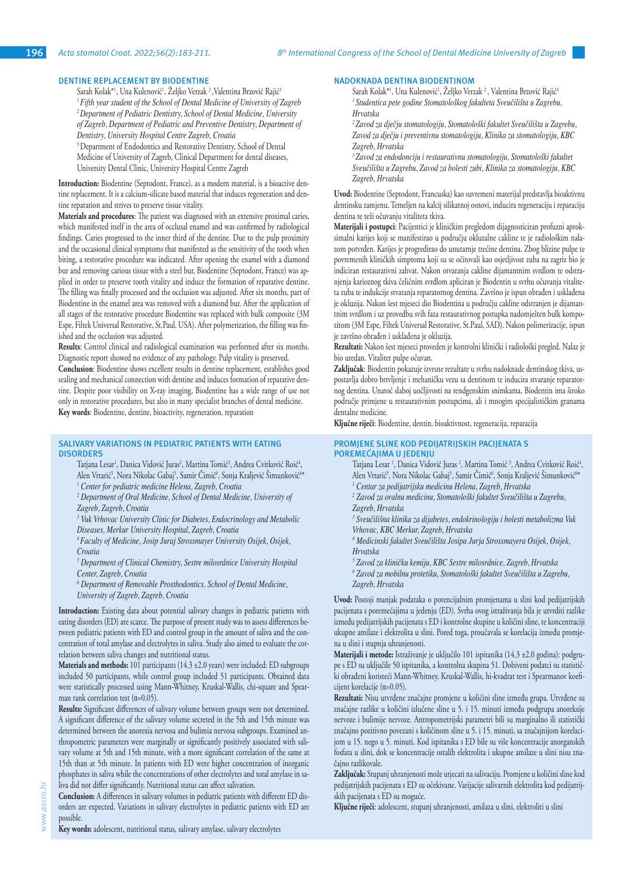# **DENTINE REPLACEMENT BY BIODENTINE**

Sarah Kolak\*<sup>1</sup>, Una Kulenović<sup>1</sup>, Zeljko Verzak <sup>2</sup>,Valentina Brzović Rajić<sup>3</sup> *<sup>1</sup>Fifth year student of the School of Dental Medicine of University of Zagreb 2 Department of Pediatric Dentistry, School of Dental Medicine, University of Zagreb, Department of Pediatric and Preventive Dentistry, Department of Dentistry, University Hospital Centre Zagreb, Croatia* <sup>3</sup> Department of Endodontics and Restorative Dentistry, School of Dental Medicine of University of Zagreb, Clinical Department for dental diseases, University Dental Clinic, University Hospital Centre Zagreb

**Introduction:** Biodentine (Septodont, France), as a modern material, is a bioactive dentine replacement. It is a calcium-silicate based material that induces regeneration and dentine reparation and strives to preserve tissue vitality.

**Materials and procedures**: The patient was diagnosed with an extensive proximal caries, which manifested itself in the area of occlusal enamel and was confirmed by radiological findings. Caries progressed to the inner third of the dentine. Due to the pulp proximity and the occasional clinical symptoms that manifested as the sensitivity of the tooth when biting, a restorative procedure was indicated. After opening the enamel with a diamond bur and removing carious tissue with a steel bur, Biodentine (Septodont, France) was applied in order to preserve tooth vitality and induce the formation of reparative dentine. The filling was finally processed and the occlusion was adjusted. After six months, part of Biodentine in the enamel area was removed with a diamond bur. After the application of all stages of the restorative procedure Biodentine was replaced with bulk composite (3M Espe, Filtek Universal Restorative, St.Paul, USA). After polymerization, the filling was finished and the occlusion was adjusted.

**Results**: Control clinical and radiological examination was performed after six months. Diagnostic report showed no evidence of any pathology. Pulp vitality is preserved.

**Conclusion**: Biodentine shows excellent results in dentine replacement, establishes good sealing and mechanical connection with dentine and induces formation of reparative dentine. Despite poor visibility on X-ray imaging, Biodentine has a wide range of use not only in restorative procedures, but also in many specialist branches of dental medicine. **Key words**: Biodentine, dentine, bioactivity, regeneration, reparation

#### **SALIVARY VARIATIONS IN PEDIATRIC PATIENTS WITH EATING DISORDERS**

Tatjana Lesar<sup>ı</sup>, Danica Vidović Juras<sup>2</sup>, Martina Tomić<sup>3</sup>, Andrea Cvitković Roić<sup>4</sup>, Alen Vrtarić<sup>5</sup>, Nora Nikolac Gabaj<sup>3</sup>, Samir Cimić<sup>6</sup>, Sonja Kraljević Simunković<sup>6\*</sup>

*1 Center for pediatric medicine Helena, Zagreb, Croatia*

<sup>2</sup> Department of Oral Medicine, School of Dental Medicine, University of *Zagreb, Zagreb, Croatia*

*3 Vuk Vrhovac University Clinic for Diabetes, Endocrinology and Metabolic Diseases, Merkur University Hospital, Zagreb, Croatia*

*4 Faculty of Medicine, Josip Juraj Strossmayer University Osijek, Osijek, Croatia* 

<sup>5</sup> Department of Clinical Chemistry, Sestre milosrdnice University Hospital *Center, Zagreb, Croatia*

*6 Department of Removable Prosthodontics, School of Dental Medicine, University of Zagreb, Zagreb, Croatia*

**Introduction:** Existing data about potential salivary changes in pediatric patients with eating disorders (ED) are scarce. The purpose of present study was to assess differences between pediatric patients with ED and control group in the amount of saliva and the concentration of total amylase and electrolytes in saliva. Study also aimed to evaluate the correlation between saliva changes and nutritional status.

**Materials and methods:** 101 participants (14.3 ±2.0 years) were included: ED subgroups included 50 participants, while control group included 51 participants. Obtained data were statistically processed using Mann-Whitney, Kruskal-Wallis, chi-square and Spearman rank correlation test  $(\alpha=0.05)$ .

**Results:** Significant differences of salivary volume between groups were not determined. A significant difference of the salivary volume secreted in the 5th and 15th minute was determined between the anorexia nervosa and bulimia nervosa subgroups. Examined anthropometric parameters were marginally or significantly positively associated with salivary volume at 5th and 15th minute, with a more significant correlation of the same at 15th than at 5th minute. In patients with ED were higher concentration of inorganic phosphates in saliva while the concentrations of other electrolytes and total amylase in saliva did not differ significantly. Nutritional status can affect salivation.

**Conclusion:** A differences in salivary volumes in pediatric patients with different ED disorders are expected. Variations in salivary electrolytes in pediatric patients with ED are possible.

**Key words:** adolescent, nutritional status, salivary amylase, salivary electrolytes

www.ascro.hr

vww.ascro.

## **NADOKNADA DENTINA BIODENTINOM**

Sarah Kolak\*<sup>1</sup>, Una Kulenović<sup>1</sup>, Zeljko Verzak<sup>2</sup>, Valentina Brzović Rajić<sup>:</sup> *1 Studentica pete godine Stomatološkog fakulteta Sveučilišta u Zagrebu, Hrvatska*

*<sup>2</sup>Zavod za dječju stomatologiju, Stomatološki fakultet Sveučilišta u Zagrebu, Zavod za dječju i preventivnu stomatologiju, Klinika za stomatologiju, KBC Zagreb, Hrvatska*

*<sup>3</sup>Zavod za endodonciju i restaurativnu stomatologiju, Stomatološki fakultet Sveučilišta u Zagrebu, Zavod za bolesti zubi, Klinika za stomatologiju, KBC Zagreb, Hrvatska*

**Uvod:** Biodentine (Septodont, Francuska) kao suvremeni materijal predstavlja bioaktivnu dentinsku zamjenu. Temeljen na kalcij silikatnoj osnovi, inducira regeneraciju i reparaciju dentina te teži očuvanju vitaliteta tkiva.

**Materijali i postupci**: Pacijentici je kliničkim pregledom dijagnosticiran profuzni aproksimalni karijes koji se manifestirao u području okluzalne cakline te je radiološkim nalazom potvrđen. Karijes je progredirao do unutarnje trećine dentina. Zbog blizine pulpe te povremenih kliničkih simptoma koji su se očitovali kao osjetljivost zuba na zagriz bio je indiciran restaurativni zahvat. Nakon otvaranja cakline dijamantnim svrdlom te odstranjenja karioznog tkiva čeličnim svrdlom apliciran je Biodentin u svrhu očuvanja vitaliteta zuba te indukcije stvaranja reparatornog dentina. Završno je ispun obrađen i usklađena je okluzija. Nakon šest mjeseci dio Biodentina u području cakline odstranjen je dijamantnim svrdlom i uz provedbu svih faza restaurativnog postupka nadomješten bulk kompozitom (3M Espe, Filtek Universal Restorative, St.Paul, SAD). Nakon polimerizacije, ispun je završno obrađen i usklađena je okluzija.

**Rezultati:** Nakon šest mjeseci proveden je kontrolni klinički i radiološki pregled. Nalaz je bio uredan. Vitalitet pulpe očuvan.

**Zaključak**: Biodentin pokazuje izvrsne rezultate u svrhu nadoknade dentinskog tkiva, uspostavlja dobro brtvljenje i mehaničku vezu sa dentinom te inducira stvaranje reparatornog dentina. Unatoč slaboj uočljivosti na rendgenskim snimkama, Biodentin ima široko područje primjene u restaurativnim postupcima, ali i mnogim specijalističkim granama dentalne medicine.

**Ključne riječi**: Biodentine, dentin, bioaktivnost, regeneracija, reparacija

## **PROMJENE SLINE KOD PEDIJATRIJSKIH PACIJENATA S POREMEĆAJIMA U JEDENJU**

Tatjana Lesar<sup>1</sup>, Danica Vidović Juras<sup>2</sup>, Martina Tomić<sup>3</sup>, Andrea Cvitković Roić<sup>4</sup>, Alen Vrtarić<sup>5</sup>, Nora Nikolac Gabaj<sup>5</sup>, Samir Cimić<sup>6</sup>, Sonja Kraljević Simunković<sup>6</sup>\*

- *1 Centar za pedijatrijsku medicinu Helena, Zagreb, Hrvatska*
- *2 Zavod za oralnu medicinu, Stomatološki fakultet Sveučilišta u Zagrebu,*
- *Zagreb, Hrvatska*

*3 Sveučilišna klinika za dijabetes, endokrinologiju i bolesti metabolizma Vuk Vrhovac, KBC Merkur, Zagreb, Hrvatska*

- *4 Medicinski fakultet Sveučilišta Josipa Jurja Strossmayera Osijek, Osijek, Hrvatska*
- *5 Zavod za kliničku kemiju, KBC Sestre milosrdnice, Zagreb, Hrvatska*
- *6 Zavod za mobilnu protetiku, Stomatološki fakultet Sveučilišta u Zagrebu, Zagreb, Hrvatska*

**Uvod:** Postoji manjak podataka o potencijalnim promjenama u slini kod pedijatrijskih pacijenata s poremećajima u jedenju (ED). Svrha ovog istraživanja bila je utvrditi razlike između pedijatrijskih pacijenata s ED i kontrolne skupine u količini sline, te koncentraciji ukupne amilaze i elektrolita u slini. Pored toga, proučavala se korelacija između promjena u slini i stupnja uhranjenosti.

**Materijali i metode:** Istraživanje je uključilo 101 ispitanika (14.3 ±2.0 godina): podgrupe s ED su uključile 50 ispitanika, a kontrolna skupina 51. Dobiveni podatci su statistički obrađeni koristeći Mann-Whitney, Kruskal-Wallis, hi-kvadrat test i Spearmanov koeficijent korelacije (α=0.05).

**Rezultati:** Nisu utvrđene značajne promjene u količini sline između grupa. Utvrđene su značajne razlike u količini izlučene sline u 5. i 15. minuti između podgrupa anoreksije nervoze i bulimije nervoze. Antropometrijski parametri bili su marginalno ili statistički značajno pozitivno povezani s količinom sline u 5. i 15. minuti, sa značajnijom korelacijom u 15. nego u 5. minuti. Kod ispitanika s ED bile su više koncentracije anorganskih fosfata u slini, dok se koncentracije ostalih elektrolita i ukupne amilaze u slini nisu značajno razlikovale.

**Zaključak:** Stupanj uhranjenosti može utjecati na salivaciju. Promjene u količini sline kod pedijatrijskih pacijenata s ED su očekivane. Varijacije salivarnih elektrolita kod pedijatrijskih pacijenata s ED su moguće.

**Ključne riječi**: adolescent, stupanj uhranjenosti, amilaza u slini, elektroliti u slini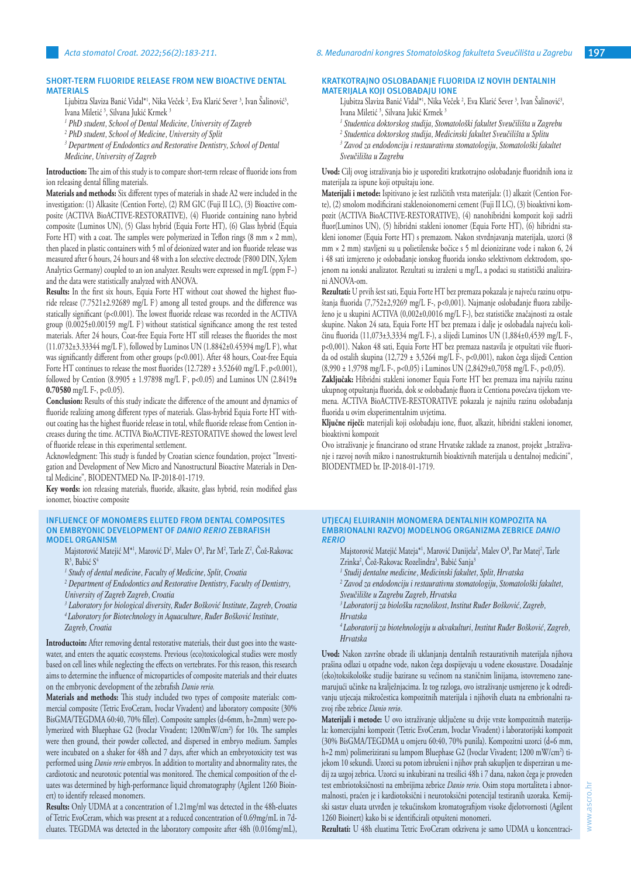## **SHORT-TERM FLUORIDE RELEASE FROM NEW BIOACTIVE DENTAL MATERIALS**

Ljubitza Slaviza Banić Vidal\*', Nika Veček <sup>2</sup>, Eva Klarić Sever <sup>3</sup>, Ivan Salinović<sup>3</sup>, Ivana Miletić <sup>3</sup>, Silvana Jukić Krmek <sup>3</sup>

- *1 PhD student, School of Dental Medicine, University of Zagreb*
- *2 PhD student, School of Medicine, University of Split*
- <sup>3</sup> Department of Endodontics and Restorative Dentistry, School of Dental *Medicine, University of Zagreb*

**Introduction:** The aim of this study is to compare short-term release of fluoride ions from ion releasing dental filling materials.

**Materials and methods:** Six different types of materials in shade A2 were included in the investigation: (1) Alkasite (Cention Forte), (2) RM GIC (Fuji II LC), (3) Bioactive composite (ACTIVA BioACTIVE-RESTORATIVE), (4) Fluoride containing nano hybrid composite (Luminos UN), (5) Glass hybrid (Equia Forte HT), (6) Glass hybrid (Equia Forte HT) with a coat. The samples were polymerized in Teflon rings  $(8 \text{ mm} \times 2 \text{ mm})$ , then placed in plastic containers with 5 ml of deionized water and ion fluoride release was measured after 6 hours, 24 hours and 48 with a Ion selective electrode (F800 DIN, Xylem Analytics Germany) coupled to an ion analyzer. Results were expressed in mg/L (ppm F−) and the data were statistically analyzed with ANOVA.

**Results:** In the first six hours, Equia Forte HT without coat showed the highest fluoride release (7.7521±2.92689 mg/L F- ) among all tested groups. and the difference was statically significant (p<0.001). The lowest fluoride release was recorded in the ACTIVA group (0.0025±0.00159 mg/L F- ) without statistical significance among the rest tested materials. After 24 hours, Coat-free Equia Forte HT still releases the fluorides the most (11.0732±3.33344 mg/L F- ), followed by Luminos UN (1.8842±0.45394 mg/L F- ), what was significantly different from other groups (p<0.001). After 48 hours, Coat-free Equia Forte HT continues to release the most fluorides (12.7289  $\pm$  3.52640 mg/L F, p<0.001), followed by Cention (8.9905 ± 1.97898 mg/L F- , p<0.05) and Luminos UN (2.8419**± 0.70580** mg/L F-, p<0.05).

**Conclusion:** Results of this study indicate the difference of the amount and dynamics of fluoride realizing among different types of materials. Glass-hybrid Equia Forte HT without coating has the highest fluoride release in total, while fluoride release from Cention increases during the time. ACTIVA BioACTIVE-RESTORATIVE showed the lowest level of fluoride release in this experimental settlement.

Acknowledgment: This study is funded by Croatian science foundation, project "Investigation and Development of New Micro and Nanostructural Bioactive Materials in Dental Medicine", BIODENTMED No. IP-2018-01-1719.

**Key words:** ion releasing materials, fluoride, alkasite, glass hybrid, resin modified glass ionomer, bioactive composite

#### **INFLUENCE OF MONOMERS ELUTED FROM DENTAL COMPOSITES ON EMBRYONIC DEVELOPMENT OF** *DANIO RERIO* **ZEBRAFISH MODEL ORGANISM**

Majstorović Matejić M\*<sup>1</sup>, Marović D<sup>2</sup>, Malev O<sup>3</sup>, Par M<sup>2</sup>, Tarle Z<sup>2</sup>, Což-Rakovac R<sup>3</sup>, Babić S<sup>4</sup>

*1 Study of dental medicine, Faculty of Medicine, Split, Croatia*

<sup>2</sup> Department of Endodontics and Restorative Dentistry, Faculty of Dentistry, *University of Zagreb Zagreb, Croatia*

- *3 Laboratory for biological diversity, Ruđer Bošković Institute, Zagreb, Croatia*
- *<sup>4</sup>Laboratory for Biotechnology in Aquaculture, Ruđer Bošković Institute, Zagreb, Croatia*

**Introductoin:** After removing dental restorative materials, their dust goes into the wastewater, and enters the aquatic ecosystems. Previous (eco)toxicological studies were mostly based on cell lines while neglecting the effects on vertebrates. For this reason, this research aims to determine the influence of microparticles of composite materials and their eluates on the embryonic development of the zebrafish *Danio rerio.*

**Materials and methods:** This study included two types of composite materials: commercial composite (Tetric EvoCeram, Ivoclar Vivadent) and laboratory composite (30% BisGMA/TEGDMA 60:40, 70% filler). Composite samples (d=6mm, h=2mm) were polymerized with Bluephase G2 (Ivoclar Vivadent; 1200mW/cm2 ) for 10s. The samples were then ground, their powder collected, and dispersed in embryo medium. Samples were incubated on a shaker for 48h and 7 days, after which an embryotoxicity test was performed using *Danio rerio* embryos. In addition to mortality and abnormality rates, the cardiotoxic and neurotoxic potential was monitored. The chemical composition of the eluates was determined by high-performance liquid chromatography (Agilent 1260 Bioinert) to identify released monomers.

**Results:** Only UDMA at a concentration of 1.21mg/ml was detected in the 48h-eluates of Tetric EvoCeram, which was present at a reduced concentration of 0.69mg/mL in 7deluates. TEGDMA was detected in the laboratory composite after 48h (0.016mg/mL),

## **KRATKOTRAJNO OSLOBAĐANJE FLUORIDA IZ NOVIH DENTALNIH MATERIJALA KOJI OSLOBAĐAJU IONE**

Ljubitza Slaviza Banić Vidal\*', Nika Veček <sup>2</sup>, Eva Klarić Sever <sup>3</sup>, Ivan Salinović<sup>3</sup>, Ivana Miletić<sup>3</sup>, Silvana Jukić Krmek<sup>3</sup>

- *1 Studentica doktorskog studija, Stomatološki fakultet Sveučilišta u Zagrebu*
- *2 Studentica doktorskog studija, Medicinski fakultet Sveučilišta u Splitu*
- *3 Zavod za endodonciju i restaurativnu stomatologiju, Stomatološki fakultet Sveučilišta u Zagrebu*

**Uvod:** Cilj ovog istraživanja bio je usporediti kratkotrajno oslobađanje fluoridnih iona iz materijala za ispune koji otpuštaju ione.

**Materijali i metode:** Ispitivano je šest različitih vrsta materijala: (1) alkazit (Cention Forte), (2) smolom modificirani staklenoionomerni cement (Fuji II LC), (3) bioaktivni kompozit (ACTIVA BioACTIVE-RESTORATIVE), (4) nanohibridni kompozit koji sadrži fluor(Luminos UN), (5) hibridni stakleni ionomer (Equia Forte HT), (6) hibridni stakleni ionomer (Equia Forte HT) s premazom. Nakon stvrdnjavanja materijala, uzorci (8 mm × 2 mm) stavljeni su u polietilenske bočice s 5 ml deionizirane vode i nakon 6, 24 i 48 sati izmjereno je oslobađanje ionskog fluorida ionsko selektivnom elektrodom, spojenom na ionski analizator. Rezultati su izraženi u mg/L, a podaci su statistički analizirani ANOVA-om.

**Rezultati:** U prvih šest sati, Equia Forte HT bez premaza pokazala je najveću razinu otpuštanja fluorida (7,752±2,9269 mg/L F-, p<0,001). Najmanje oslobađanje fluora zabilježeno je u skupini ACTIVA (0,002±0,0016 mg/L F-), bez statističke značajnosti za ostale skupine. Nakon 24 sata, Equia Forte HT bez premaza i dalje je oslobađala najveću količinu fluorida (11,073±3,3334 mg/L F-), a slijedi Luminos UN (1,884±0,4539 mg/L F-, p<0,001). Nakon 48 sati, Equia Forte HT bez premaza nastavila je otpuštati više fluorida od ostalih skupina (12,729 ± 3,5264 mg/L F-, p<0,001), nakon čega slijedi Cention (8,990 ± 1,9798 mg/L F-, p<0,05) i Luminos UN (2,8429±0,7058 mg/L F-, p<0,05).

**Zaključak:** Hibridni stakleni ionomer Equia Forte HT bez premaza ima najvišu razinu ukupnog otpuštanja fluorida, dok se oslobađanje fluora iz Centiona povećava tijekom vremena. ACTIVA BioACTIVE-RESTORATIVE pokazala je najnižu razinu oslobađanja fluorida u ovim eksperimentalnim uvjetima.

**Ključne riječi:** materijali koji oslobađaju ione, fluor, alkazit, hibridni stakleni ionomer, bioaktivni kompozit

Ovo istraživanje je financirano od strane Hrvatske zaklade za znanost, projekt "Istraživanje i razvoj novih mikro i nanostrukturnih bioaktivnih materijala u dentalnoj medicini", BIODENTMED br. IP-2018-01-1719.

#### **UTJECAJ ELUIRANIH MONOMERA DENTALNIH KOMPOZITA NA EMBRIONALNI RAZVOJ MODELNOG ORGANIZMA ZEBRICE** *DANIO RERIO*

- Majstorović Matejić Mateja\*<sup>1</sup>, Marović Danijela<sup>2</sup>, Malev O<sup>3</sup>, Par Matej<sup>2</sup>, Tarle Zrinka<sup>2</sup>, Což-Rakovac Rozelindra<sup>3</sup>, Babić Sanja<sup>:</sup>
- *1 Studij dentalne medicine, Medicinski fakultet, Split, Hrvatska*

*2 Zavod za endodonciju i restaurativnu stomatologiju, Stomatološki fakultet, Sveučilište u Zagrebu Zagreb, Hrvatska*

*<sup>3</sup>Laboratorij za biološku raznolikost, Institut Ruđer Bošković, Zagreb, Hrvatska*

*<sup>4</sup>Laboratorij za biotehnologiju u akvakulturi, Institut Ruđer Bošković, Zagreb, Hrvatska*

**Uvod:** Nakon završne obrade ili uklanjanja dentalnih restaurativnih materijala njihova prašina odlazi u otpadne vode, nakon čega dospijevaju u vodene ekosustave. Dosadašnje (eko)toksikološke studije bazirane su većinom na staničnim linijama, istovremeno zanemarujući učinke na kralježnjacima. Iz tog razloga, ovo istraživanje usmjereno je k određivanju utjecaja mikročestica kompozitnih materijala i njihovih eluata na embrionalni razvoj ribe zebrice *Danio rerio*.

**Materijali i metode:** U ovo istraživanje uključene su dvije vrste kompozitnih materijala: komercijalni kompozit (Tetric EvoCeram, Ivoclar Vivadent) i laboratorijski kompozit (30% BisGMA/TEGDMA u omjeru 60:40, 70% punila). Kompozitni uzorci (d=6 mm, h=2 mm) polimerizirani su lampom Bluephase G2 (Ivoclar Vivadent; 1200 mW/cm<sup>2</sup>) tijekom 10 sekundi. Uzorci su potom izbrušeni i njihov prah sakupljen te disperziran u medij za uzgoj zebrica. Uzorci su inkubirani na tresilici 48h i 7 dana, nakon čega je proveden test embriotoksičnosti na embrijima zebrice *Danio rerio*. Osim stopa mortaliteta i abnormalnosti, praćen je i kardiotoksični i neurotoksični potencijal testiranih uzoraka*.* Kemijski sastav eluata utvrđen je tekućinskom kromatografijom visoke djelotvornosti (Agilent 1260 Bioinert) kako bi se identificirali otpušteni monomeri.

**Rezultati:** U 48h eluatima Tetric EvoCeram otkrivena je samo UDMA u koncentraci-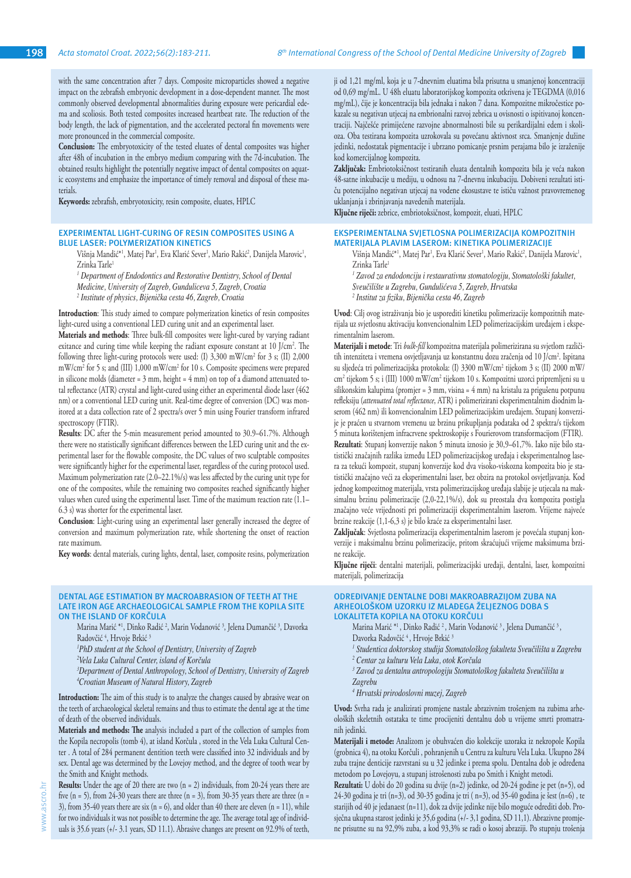with the same concentration after 7 days. Composite microparticles showed a negative impact on the zebrafish embryonic development in a dose-dependent manner. The most commonly observed developmental abnormalities during exposure were pericardial edema and scoliosis. Both tested composites increased heartbeat rate. The reduction of the body length, the lack of pigmentation, and the accelerated pectoral fin movements were more pronounced in the commercial composite.

**Conclusion:** The embryotoxicity of the tested eluates of dental composites was higher after 48h of incubation in the embryo medium comparing with the 7d-incubation. The obtained results highlight the potentially negative impact of dental composites on aquatic ecosystems and emphasize the importance of timely removal and disposal of these materials.

**Keywords:** zebrafish, embryotoxicity, resin composite, eluates, HPLC

## **EXPERIMENTAL LIGHT-CURING OF RESIN COMPOSITES USING A BLUE LASER: POLYMERIZATION KINETICS**

Višnja Mandić\*', Matej Par', Eva Klarić Sever', Mario Rakić<sup>2</sup>, Danijela Marovic', Zrinka Tarle1

<sup>1</sup> Department of Endodontics and Restorative Dentistry, School of Dental *Medicine, University of Zagreb, Gunduliceva 5, Zagreb, Croatia*

*2 Institute of physics, Bijenička cesta 46, Zagreb, Croatia*

**Introduction**: This study aimed to compare polymerization kinetics of resin composites light-cured using a conventional LED curing unit and an experimental laser.

**Materials and methods**: Three bulk-fill composites were light-cured by varying radiant exitance and curing time while keeping the radiant exposure constant at 10 J/cm<sup>2</sup>. The following three light-curing protocols were used: (1) 3,300 mW/cm<sup>2</sup> for 3 s; (II) 2,000 mW/cm<sup>2</sup> for 5 s; and (III) 1,000 mW/cm<sup>2</sup> for 10 s. Composite specimens were prepared in silicone molds (diameter  $= 3$  mm, height  $= 4$  mm) on top of a diamond attenuated total reflectance (ATR) crystal and light-cured using either an experimental diode laser (462 nm) or a conventional LED curing unit. Real-time degree of conversion (DC) was monitored at a data collection rate of 2 spectra/s over 5 min using Fourier transform infrared spectroscopy (FTIR).

**Results**: DC after the 5-min measurement period amounted to 30.9–61.7%. Although there were no statistically significant differences between the LED curing unit and the experimental laser for the flowable composite, the DC values of two sculptable composites were significantly higher for the experimental laser, regardless of the curing protocol used. Maximum polymerization rate (2.0–22.1%/s) was less affected by the curing unit type for one of the composites, while the remaining two composites reached significantly higher values when cured using the experimental laser. Time of the maximum reaction rate (1.1– 6.3 s) was shorter for the experimental laser.

**Conclusion**: Light-curing using an experimental laser generally increased the degree of conversion and maximum polymerization rate, while shortening the onset of reaction rate maximum.

**Key words**: dental materials, curing lights, dental, laser, composite resins, polymerization

#### **DENTAL AGE ESTIMATION BY MACROABRASION OF TEETH AT THE LATE IRON AGE ARCHAEOLOGICAL SAMPLE FROM THE KOPILA SITE ON THE ISLAND OF KORČULA**

Marina Marić \*<sup>1</sup>, Dinko Radić <sup>2</sup>, Marin Vodanović <sup>3</sup>, Jelena Dumančić <sup>3</sup>, Davorka Radovčić<sup>4</sup>, Hrvoje Brkić<sup>3</sup>

*1 PhD student at the School of Dentistry, University of Zagreb*

*2 Vela Luka Cultural Center, island of Korčula*

*3 Department of Dental Anthropology, School of Dentistry, University of Zagreb 4 Croatian Museum of Natural History, Zagreb*

**Introduction:** The aim of this study is to analyze the changes caused by abrasive wear on the teeth of archaeological skeletal remains and thus to estimate the dental age at the time of death of the observed individuals.

**Materials and methods: The** analysis included a part of the collection of samples from the Kopila necropolis (tomb 4), at island Korčula , stored in the Vela Luka Cultural Center . A total of 284 permanent dentition teeth were classified into 32 individuals and by sex. Dental age was determined by the Lovejoy method, and the degree of tooth wear by the Smith and Knight methods.

**Results:** Under the age of 20 there are two (n = 2) individuals, from 20-24 years there are five (n = 5), from 24-30 years there are three (n = 3), from 30-35 years there are three (n = 3), from 35-40 years there are six (n = 6), and older than 40 there are eleven (n = 11), while for two individuals it was not possible to determine the age. The average total age of individuals is 35.6 years (+/- 3.1 years, SD 11.1). Abrasive changes are present on 92.9% of teeth, ji od 1,21 mg/ml, koja je u 7-dnevnim eluatima bila prisutna u smanjenoj koncentraciji od 0,69 mg/mL. U 48h eluatu laboratorijskog kompozita otkrivena je TEGDMA (0,016 mg/mL), čije je koncentracija bila jednaka i nakon 7 dana. Kompozitne mikročestice pokazale su negativan utjecaj na embrionalni razvoj zebrica u ovisnosti o ispitivanoj koncentraciji. Najčešće primijećene razvojne abnormalnosti bile su perikardijalni edem i skolioza. Oba testirana kompozita uzrokovala su povećanu aktivnost srca. Smanjenje dužine jedinki, nedostatak pigmentacije i ubrzano pomicanje prsnim perajama bilo je izraženije kod komercijalnog kompozita.

**Zaključak:** Embriotoksičnost testiranih eluata dentalnih kompozita bila je veća nakon 48-satne inkubacije u mediju, u odnosu na 7-dnevnu inkubaciju. Dobiveni rezultati ističu potencijalno negativan utjecaj na vodene ekosustave te ističu važnost pravovremenog uklanjanja i zbrinjavanja navedenih materijala.

**Ključne riječi:** zebrice, embriotoksičnost, kompozit, eluati, HPLC

## **EKSPERIMENTALNA SVJETLOSNA POLIMERIZACIJA KOMPOZITNIH MATERIJALA PLAVIM LASEROM: KINETIKA POLIMERIZACIJE**

Višnja Mandić\*', Matej Par<sup>1</sup>, Eva Klarić Sever', Mario Rakić<sup>2</sup>, Danijela Marovic', Zrinka Tarle1

*1 Zavod za endodonciju i restaurativnu stomatologiju, Stomatološki fakultet,* 

*Sveučilište u Zagrebu, Gundulićeva 5, Zagreb, Hrvatska*

*2 Institut za fiziku, Bijenička cesta 46, Zagreb*

**Uvod**: Cilj ovog istraživanja bio je usporediti kinetiku polimerizacije kompozitnih materijala uz svjetlosnu aktivaciju konvencionalnim LED polimerizacijskim uređajem i eksperimentalnim laserom.

**Materijali i metode**: Tri *bulk-fill* kompozitna materijala polimerizirana su svjetlom različitih intenziteta i vremena osvjetljavanja uz konstantnu dozu zračenja od 10 J/cm<sup>2</sup>. Ispitana su sljedeća tri polimerizacijska protokola: (I) 3300 mW/cm2 tijekom 3 s; (II) 2000 mW/ cm2 tijekom 5 s; i (III) 1000 mW/cm2 tijekom 10 s. Kompozitni uzorci pripremljeni su u silikonskim kalupima (promjer = 3 mm, visina = 4 mm) na kristalu za prigušenu potpunu refleksiju (*attenuated total reflectance*, ATR) i polimerizirani eksperimentalnim diodnim laserom (462 nm) ili konvencionalnim LED polimerizacijskim uređajem. Stupanj konverzije je praćen u stvarnom vremenu uz brzinu prikupljanja podataka od 2 spektra/s tijekom 5 minuta korištenjem infracrvene spektroskopije s Fourierovom transformacijom (FTIR). **Rezultati**: Stupanj konverzije nakon 5 minuta iznosio je 30,9–61,7%. Iako nije bilo statistički značajnih razlika između LED polimerizacijskog uređaja i eksperimentalnog lasera za tekući kompozit, stupanj konverzije kod dva visoko-viskozna kompozita bio je statistički značajno veći za eksperimentalni laser, bez obzira na protokol osvjetljavanja. Kod jednog kompozitnog materijala, vrsta polimerizacijskog uređaja slabije je utjecala na maksimalnu brzinu polimerizacije (2,0-22,1%/s), dok su preostala dva kompozita postigla značajno veće vrijednosti pri polimerizaciji eksperimentalnim laserom. Vrijeme najveće brzine reakcije (1,1-6,3 s) je bilo kraće za eksperimentalni laser.

**Zaključak**: Svjetlosna polimerizacija eksperimentalnim laserom je povećala stupanj konverzije i maksimalnu brzinu polimerizacije, pritom skraćujući vrijeme maksimuma brzine reakcije.

**Ključne riječi**: dentalni materijali, polimerizacijski uređaji, dentalni, laser, kompozitni materijali, polimerizacija

#### **ODREĐIVANJE DENTALNE DOBI MAKROABRAZIJOM ZUBA NA ARHEOLOŠKOM UZORKU IZ MLAĐEGA ŽELJEZNOG DOBA S LOKALITETA KOPILA NA OTOKU KORČULI**

Marina Marić \*<sup>1</sup>, Dinko Radić <sup>2</sup>, Marin Vodanović <sup>3</sup>, Jelena Dumančić <sup>3</sup>, Davorka Radovčić<sup>4</sup>, Hrvoje Brkić<sup>3</sup>

*1 Studentica doktorskog studija Stomatološkog fakulteta Sveučilišta u Zagrebu*

- *2 Centar za kulturu Vela Luka, otok Korčula*
- *3 Zavod za dentalnu antropologiju Stomatološkog fakulteta Sveučilišta u Zagrebu*

*4 Hrvatski prirodoslovni muzej, Zagreb*

**Uvod:** Svrha rada je analizirati promjene nastale abrazivnim trošenjem na zubima arheoloških skeletnih ostataka te time procijeniti dentalnu dob u vrijeme smrti promatranih jedinki.

**Materijali i metode:** Analizom je obuhvaćen dio kolekcije uzoraka iz nekropole Kopila (grobnica 4), na otoku Korčuli , pohranjenih u Centru za kulturu Vela Luka. Ukupno 284 zuba trajne denticije razvrstani su u 32 jedinke i prema spolu. Dentalna dob je određena metodom po Lovejoyu, a stupanj istrošenosti zuba po Smith i Knight metodi.

**Rezultati:** U dobi do 20 godina su dvije (n=2) jedinke, od 20-24 godine je pet (n=5), od 24-30 godina je tri (n=3), od 30-35 godina je tri ( n=3), od 35-40 godina je šest (n=6) , te starijih od 40 je jedanaest (n=11), dok za dvije jedinke nije bilo moguće odrediti dob. Prosječna ukupna starost jedinki je 35,6 godina (+/- 3,1 godina, SD 11,1). Abrazivne promjene prisutne su na 92,9% zuba, a kod 93,3% se radi o kosoj abraziji. Po stupnju trošenja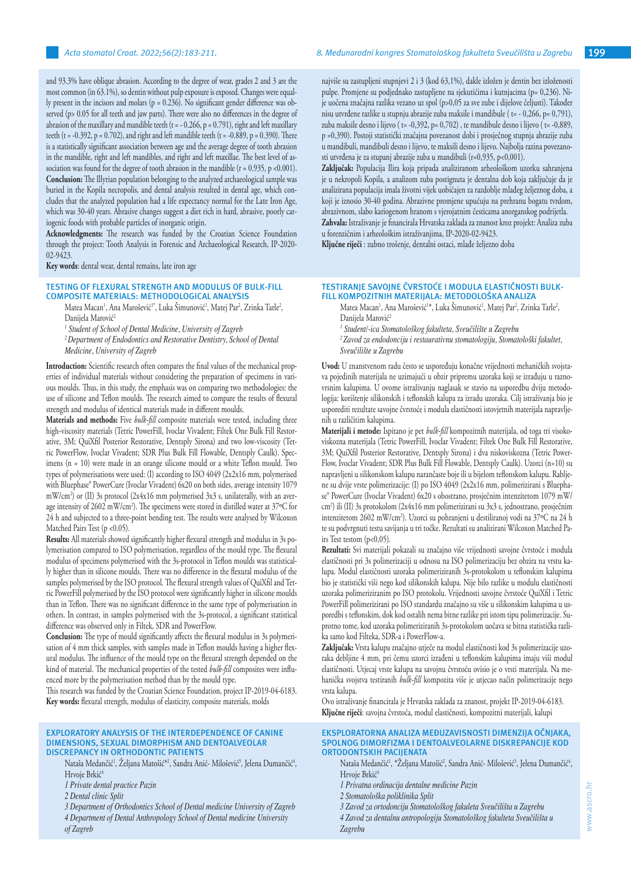and 93.3% have oblique abrasion. According to the degree of wear, grades 2 and 3 are the most common (in 63.1%), so dentin without pulp exposure is exposed. Changes were equally present in the incisors and molars ( $p = 0.236$ ). No significant gender difference was observed (p> 0.05 for all teeth and jaw parts). There were also no differences in the degree of abrasion of the maxillary and mandible teeth  $(t = -0.266, p = 0.791)$ , right and left maxillary teeth (t = -0.392, p = 0.702), and right and left mandible teeth (t = -0.889, p = 0.390). There is a statistically significant association between age and the average degree of tooth abrasion in the mandible, right and left mandibles, and right and left maxillae. The best level of association was found for the degree of tooth abrasion in the mandible  $(r = 0.935, p < 0.001)$ . **Conclusion:** The Illyrian population belonging to the analyzed archaeological sample was buried in the Kopila necropolis, and dental analysis resulted in dental age, which concludes that the analyzed population had a life expectancy normal for the Late Iron Age, which was 30-40 years. Abrasive changes suggest a diet rich in hard, abrasive, poorly cariogenic foods with probable particles of inorganic origin.

**Acknowledgments:** The research was funded by the Croatian Science Foundation through the project: Tooth Analysis in Forensic and Archaeological Research, IP-2020- 02-9423.

**Key words**: dental wear, dental remains, late iron age

#### **TESTING OF FLEXURAL STRENGTH AND MODULUS OF BULK-FILL COMPOSITE MATERIALS: METHODOLOGICAL ANALYSIS**

Matea Macan<sup>1</sup>, Ana Marošević<sup>1</sup>\*, Luka Simunović<sup>1</sup>, Matej Par<sup>2</sup>, Zrinka Tarle<sup>2</sup>, Danijela Marović<sup>2</sup>

*1 Student of School of Dental Medicine, University of Zagreb*

*2 Department of Endodontics and Restorative Dentistry, School of Dental Medicine, University of Zagreb*

**Introduction:** Scientific research often compares the final values of the mechanical properties of individual materials without considering the preparation of specimens in various moulds. Thus, in this study, the emphasis was on comparing two methodologies: the use of silicone and Teflon moulds. The research aimed to compare the results of flexural strength and modulus of identical materials made in different moulds.

**Materials and methods:** Five *bulk-fill* composite materials were tested, including three high-viscosity materials (Tetric PowerFill, Ivoclar Vivadent; Filtek One Bulk Fill Restorative, 3M; QuiXfil Posterior Restorative, Dentsply Sirona) and two low-viscosity (Tetric PowerFlow, Ivoclar Vivadent; SDR Plus Bulk Fill Flowable, Dentsply Caulk). Specimens (n = 10) were made in an orange silicone mould or a white Teflon mould. Two types of polymerisations were used: (I) according to ISO 4049 (2x2x16 mm, polymerised with Bluephase® PowerCure (Ivoclar Vivadent) 6x20 on both sides, average intensity 1079 mW/cm<sup>2</sup> ) or (II) 3s protocol (2x4x16 mm polymerised 3x3 s, unilaterally, with an average intensity of 2602 mW/cm2 ). The specimens were stored in distilled water at 37ºC for 24 h and subjected to a three-point bending test. The results were analysed by Wilcoxon Matched Pairs Test (p < 0.05).

**Results:** All materials showed significantly higher flexural strength and modulus in 3s polymerisation compared to ISO polymerisation, regardless of the mould type. The flexural modulus of specimens polymerised with the 3s-protocol in Teflon moulds was statistically higher than in silicone moulds. There was no difference in the flexural modulus of the samples polymerised by the ISO protocol. The flexural strength values of QuiXfil and Tetric PowerFill polymerised by the ISO protocol were significantly higher in silicone moulds than in Teflon. There was no significant difference in the same type of polymerisation in others. In contrast, in samples polymerised with the 3s-protocol, a significant statistical difference was observed only in Filtek, SDR and PowerFlow.

**Conclusion:** The type of mould significantly affects the flexural modulus in 3s polymerisation of 4 mm thick samples, with samples made in Teflon moulds having a higher flexural modulus. The influence of the mould type on the flexural strength depended on the kind of material. The mechanical properties of the tested *bulk-fill* composites were influenced more by the polymerisation method than by the mould type.

This research was funded by the Croatian Science Foundation, project IP-2019-04-6183. **Key words:** flexural strength, modulus of elasticity, composite materials, molds

#### **EXPLORATORY ANALYSIS OF THE INTERDEPENDENCE OF CANINE DIMENSIONS, SEXUAL DIMORPHISM AND DENTOALVEOLAR DISCREPANCY IN ORTHODONTIC PATIENTS**

Nataša Medančić<sup>1</sup>, Zeljana Matošić\*<sup>2</sup>, Sandra Anić- Milošević<sup>3</sup>, Jelena Dumančić<sup>4</sup>, Hrvoje Brkić<sup>4</sup>

*1 Private dental practice Pazin*

*2 Dental clinic Split*

*3 Department of Orthodontics School of Dental medicine University of Zagreb*

*4 Department of Dental Anthropology School of Dental medicine University of Zagreb*

najviše su zastupljeni stupnjevi 2 i 3 (kod 63,1%), dakle izložen je dentin bez izloženosti pulpe. Promjene su podjednako zastupljene na sjekutićima i kutnjacima (p= 0,236). Nije uočena značajna razlika vezano uz spol (p>0,05 za sve zube i dijelove čeljusti). Također nisu utvrđene razlike u stupnju abrazije zuba maksile i mandibule ( t= - 0,266, p= 0,791), zuba maksile desno i lijevo ( t= -0,392, p= 0,702) , te mandibule desno i lijevo ( t= -0,889, p =0,390). Postoji statistički značajna povezanost dobi i prosječnog stupnja abrazije zuba u mandibuli, mandibuli desno i lijevo, te maksili desno i lijevo. Najbolja razina povezanosti utvrđena je za stupanj abrazije zuba u mandibuli (r=0,935, p<0,001).

**Zaključak:** Populacija Ilira koja pripada analiziranom arheološkom uzorku sahranjena je u nekropoli Kopila, a analizom zuba postignuta je dentalna dob koja zaključuje da je analizirana populacija imala životni vijek uobičajen za razdoblje mlađeg željeznog doba, a koji je iznosio 30-40 godina. Abrazivne promjene upućuju na prehranu bogatu tvrdom, abrazivnom, slabo kariogenom hranom s vjerojatnim česticama anorganskog podrijetla. **Zahvala:** Istraživanje je financirala Hrvatska zaklada za znanost kroz projekt: Analiza zuba u forenzičnim i arheološkim istraživanjima, IP-2020-02-9423.

**Ključne riječi** : zubno trošenje, dentalni ostaci, mlađe željezno doba

## **TESTIRANJE SAVOJNE ČVRSTOĆE I MODULA ELASTIČNOSTI BULK-FILL KOMPOZITNIH MATERIJALA: METODOLOŠKA ANALIZA**

Matea Macan<sup>1</sup>, Ana Marošević<sup>1\*</sup>, Luka Simunović<sup>1</sup>, Matej Par<sup>2</sup>, Zrinka Tarle<sup>2</sup>, Danijela Marović<sup>2</sup>

*1 Student/-ica Stomatološkog fakulteta, Sveučilište u Zagrebu*

*<sup>2</sup>Zavod za endodonciju i restaurativnu stomatologiju, Stomatološki fakultet, Sveučilište u Zagrebu*

**Uvod:** U znanstvenom radu često se uspoređuju konačne vrijednosti mehaničkih svojstava pojedinih materijala ne uzimajući u obzir pripremu uzoraka koji se izrađuju u raznovrsnim kalupima. U ovome istraživanju naglasak se stavio na usporedbu dviju metodologija: korištenje silikonskih i teflonskih kalupa za izradu uzoraka. Cilj istraživanja bio je usporediti rezultate savojne čvrstoće i modula elastičnosti istovjetnih materijala napravljenih u različitim kalupima.

**Materijali i metode:** Ispitano je pet *bulk-fill* kompozitnih materijala, od toga tri visokoviskozna materijala (Tetric PowerFill, Ivoclar Vivadent; Filtek One Bulk Fill Restorative, 3M; QuiXfil Posterior Restorative, Dentsply Sirona) i dva niskoviskozna (Tetric Power-Flow, Ivoclar Vivadent; SDR Plus Bulk Fill Flowable, Dentsply Caulk). Uzorci (n=10) su napravljeni u silikonskom kalupu narančaste boje ili u bijelom teflonskom kalupu. Rabljene su dvije vrste polimerizacije: (I) po ISO 4049 (2x2x16 mm, polimerizirani s Bluephase® PowerCure (Ivoclar Vivadent) 6x20 s obostrano, prosječnim intenzitetom 1079 mW/ cm<sup>2</sup> ) ili (II) 3s protokolom (2x4x16 mm polimerizirani su 3x3 s, jednostrano, prosječnim intenzitetom 2602 mW/cm<sup>2</sup> ). Uzorci su pohranjeni u destiliranoj vodi na 37ºC na 24 h te su podvrgnuti testu savijanja u tri točke. Rezultati su analizirani Wilcoxon Matched Pairs Test testom (p<0,05).

**Rezultati:** Svi materijali pokazali su značajno više vrijednosti savojne čvrstoće i modula elastičnosti pri 3s polimerizaciji u odnosu na ISO polimerizaciju bez obzira na vrstu kalupa. Modul elastičnosti uzoraka polimeriziranih 3s-protokolom u teflonskim kalupima bio je statistički viši nego kod silikonskih kalupa. Nije bilo razlike u modulu elastičnosti uzoraka polimeriziranim po ISO protokolu. Vrijednosti savojne čvrstoće QuiXfil i Tetric PowerFill polimerizirani po ISO standardu značajno su više u silikonskim kalupima u usporedbi s teflonskim, dok kod ostalih nema bitne razlike pri istom tipu polimerizacije. Suprotno tome, kod uzoraka polimeriziranih 3s-protokolom uočava se bitna statistička razlika samo kod Filteka, SDR-a i PowerFlow-a.

**Zaključak:** Vrsta kalupa značajno utječe na modul elastičnosti kod 3s polimerizacije uzoraka debljine 4 mm, pri čemu uzorci izrađeni u teflonskim kalupima imaju viši modul elastičnosti. Utjecaj vrste kalupa na savojnu čvrstoću ovisio je o vrsti materijala. Na mehanička svojstva testiranih *bulk-fill* kompozita više je utjecao način polimerizacije nego vrsta kalupa.

Ovo istraživanje financirala je Hrvatska zaklada za znanost, projekt IP-2019-04-6183. **Ključne riječi**: savojna čvrstoća, modul elastičnosti, kompozitni materijali, kalupi

#### **EKSPLORATORNA ANALIZA MEĐUZAVISNOSTI DIMENZIJA OČNJAKA, SPOLNOG DIMORFIZMA I DENTOALVEOLARNE DISKREPANCIJE KOD ORTODONTSKIH PACIJENATA**

Nataša Medančić<sup>1</sup>, \*Zeljana Matošić<sup>2</sup>, Sandra Anić- Milošević<sup>3</sup>, Jelena Dumančić<del>°</del>, Hrvoje Brkić<sup>4</sup>

- *1 Privatna ordinacija dentalne medicine Pazin*
- *2 Stomatološka poliklinika Split*
- *3 Zavod za ortodonciju Stomatološkog fakuleta Sveučilišta u Zagrebu 4 Zavod za dentalnu antropologiju Stomatološkog fakulteta Sveučilišta u Zagrebu*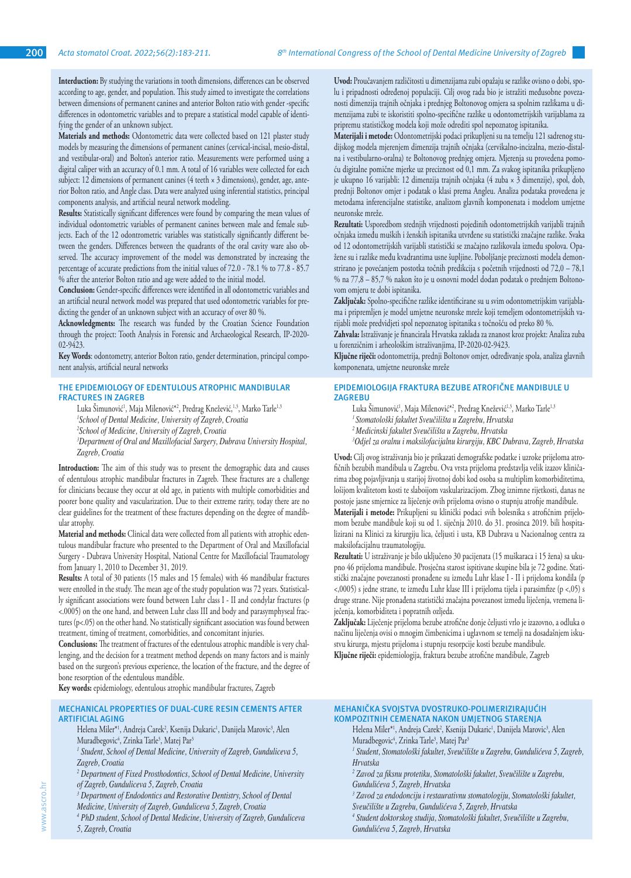**Interduction:** By studying the variations in tooth dimensions, differences can be observed according to age, gender, and population. This study aimed to investigate the correlations between dimensions of permanent canines and anterior Bolton ratio with gender -specific differences in odontometric variables and to prepare a statistical model capable of identifying the gender of an unknown subject.

**Materials and methods:** Odontometric data were collected based on 121 plaster study models by measuring the dimensions of permanent canines (cervical-incisal, mesio-distal, and vestibular-oral) and Bolton's anterior ratio. Measurements were performed using a digital caliper with an accuracy of 0.1 mm. A total of 16 variables were collected for each subject: 12 dimensions of permanent canines (4 teeth × 3 dimensions), gender, age, anterior Bolton ratio, and Angle class. Data were analyzed using inferential statistics, principal components analysis, and artificial neural network modeling.

**Results:** Statistically significant differences were found by comparing the mean values of individual odontometric variables of permanent canines between male and female subjects. Each of the 12 odontrometric variables was statistically significantly different between the genders. Differences between the quadrants of the oral cavity ware also observed. The accuracy improvement of the model was demonstrated by increasing the percentage of accurate predictions from the initial values of 72.0 - 78.1 % to 77.8 - 85.7 % after the anterior Bolton ratio and age were added to the initial model.

**Conclusion:** Gender-specific differences were identified in all odontometric variables and an artificial neural network model was prepared that used odontometric variables for predicting the gender of an unknown subject with an accuracy of over 80 %.

**Acknowledgments:** The research was funded by the Croatian Science Foundation through the project: Tooth Analysis in Forensic and Archaeological Research, IP-2020- 02-9423.

**Key Words**: odontometry, anterior Bolton ratio, gender determination, principal component analysis, artificial neural networks

# **THE EPIDEMIOLOGY OF EDENTULOUS ATROPHIC MANDIBULAR FRACTURES IN ZAGREB**

Luka Simunović<sup>1</sup>, Maja Milenović\*<sup>2</sup>, Predrag Knežević,<sup>1,3</sup>, Marko Tarle<sup>1,3</sup> *1 School of Dental Medicine, University of Zagreb, Croatia 2 School of Medicine, University of Zagreb, Croatia*

*3 Department of Oral and Maxillofacial Surgery, Dubrava University Hospital, Zagreb, Croatia*

**Introduction:** The aim of this study was to present the demographic data and causes of edentulous atrophic mandibular fractures in Zagreb. These fractures are a challenge for clinicians because they occur at old age, in patients with multiple comorbidities and poorer bone quality and vascularization. Due to their extreme rarity, today there are no clear guidelines for the treatment of these fractures depending on the degree of mandibular atrophy.

**Material and methods:** Clinical data were collected from all patients with atrophic edentulous mandibular fracture who presented to the Department of Oral and Maxillofacial Surgery - Dubrava University Hospital, National Centre for Maxillofacial Traumatology from January 1, 2010 to December 31, 2019.

**Results:** A total of 30 patients (15 males and 15 females) with 46 mandibular fractures were enrolled in the study. The mean age of the study population was 72 years. Statistically significant associations were found between Luhr class I - II and condylar fractures (p <.0005) on the one hand, and between Luhr class III and body and parasymphyseal fractures (p<.05) on the other hand. No statistically significant association was found between treatment, timing of treatment, comorbidities, and concomitant injuries.

**Conclusions:** The treatment of fractures of the edentulous atrophic mandible is very challenging, and the decision for a treatment method depends on many factors and is mainly based on the surgeon's previous experience, the location of the fracture, and the degree of bone resorption of the edentulous mandible.

**Key words:** epidemiology, edentulous atrophic mandibular fractures, Zagreb

## **MECHANICAL PROPERTIES OF DUAL-CURE RESIN CEMENTS AFTER ARTIFICIAL AGING**

Helena Miler\*<sup>1</sup>, Andreja Carek<sup>2</sup>, Ksenija Dukaric<sup>1</sup>, Danijela Marovic<sup>3</sup>, Alen Muradbegovic<sup>4</sup>, Zrinka Tarle<sup>3</sup>, Matej Par<sup>3</sup>

- <sup>1</sup> Student, School of Dental Medicine, University of Zagreb, Gunduliceva 5, *Zagreb, Croatia*
- <sup>2</sup> Department of Fixed Prosthodontics, School of Dental Medicine, University *of Zagreb, Gunduliceva 5, Zagreb, Croatia*
- <sup>3</sup> Department of Endodontics and Restorative Dentistry, School of Dental
- *Medicine, University of Zagreb, Gunduliceva 5, Zagreb, Croatia*
- <sup>4</sup> PhD student, School of Dental Medicine, University of Zagreb, Gunduliceva *5, Zagreb, Croatia*

**Uvod:** Proučavanjem različitosti u dimenzijama zubi opažaju se razlike ovisno o dobi, spolu i pripadnosti određenoj populaciji. Cilj ovog rada bio je istražiti međusobne povezanosti dimenzija trajnih očnjaka i prednjeg Boltonovog omjera sa spolnim razlikama u dimenzijama zubi te iskoristiti spolno-specifične razlike u odontometrijskih varijablama za pripremu statističkog modela koji može odrediti spol nepoznatog ispitanika.

**Materijali i metode:** Odontometrijski podaci prikupljeni su na temelju 121 sadrenog studijskog modela mjerenjem dimenzija trajnih očnjaka (cervikalno-incizalna, mezio-distalna i vestibularno-oralna) te Boltonovog prednjeg omjera. Mjerenja su provedena pomoću digitalne pomične mjerke uz preciznost od 0,1 mm. Za svakog ispitanika prikupljeno je ukupno 16 varijabli: 12 dimenzija trajnih očnjaka (4 zuba × 3 dimenzije), spol, dob, prednji Boltonov omjer i podatak o klasi prema Angleu. Analiza podataka provedena je metodama inferencijalne statistike, analizom glavnih komponenata i modelom umjetne neuronske mreže.

**Rezultati:** Usporedbom srednjih vrijednosti pojedinih odontometrijskih varijabli trajnih očnjaka između muških i ženskih ispitanika utvrđene su statistički značajne razlike. Svaka od 12 odontometrijskih varijabli statistički se značajno razlikovala između spolova. Opažene su i razlike među kvadrantima usne šupljine. Poboljšanje preciznosti modela demonstrirano je povećanjem postotka točnih predikcija s početnih vrijednosti od 72,0 – 78,1 % na 77,8 – 85,7 % nakon što je u osnovni model dodan podatak o prednjem Boltonovom omjeru te dobi ispitanika.

**Zaključak:** Spolno-specifične razlike identificirane su u svim odontometrijskim varijablama i pripremljen je model umjetne neuronske mreže koji temeljem odontometrijskih varijabli može predvidjeti spol nepoznatog ispitanika s točnošću od preko 80 %.

**Zahvala:** Istraživanje je financirala Hrvatska zaklada za znanost kroz projekt: Analiza zuba u forenzičnim i arheološkim istraživanjima, IP-2020-02-9423.

**Ključne riječi:** odontometrija, prednji Boltonov omjer, određivanje spola, analiza glavnih komponenata, umjetne neuronske mreže

# **EPIDEMIOLOGIJA FRAKTURA BEZUBE ATROFIČNE MANDIBULE U ZAGREBU**

Luka Simunović<sup>1</sup>, Maja Milenović<sup>\*2</sup>, Predrag Knežević<sup>1,3</sup>, Marko Tarle<sup>1,3</sup>

- *1 Stomatološki fakultet Sveučilišta u Zagrebu, Hrvatska*
- *<sup>2</sup>Medicinski fakultet Sveučilišta u Zagrebu, Hrvatska*

*3 Odjel za oralnu i maksilofacijalnu kirurgiju, KBC Dubrava, Zagreb, Hrvatska*

**Uvod:** Cilj ovog istraživanja bio je prikazati demografske podatke i uzroke prijeloma atrofičnih bezubih mandibula u Zagrebu. Ova vrsta prijeloma predstavlja velik izazov kliničarima zbog pojavljivanja u starijoj životnoj dobi kod osoba sa multiplim komorbiditetima, lošijom kvalitetom kosti te slaboijom vaskularizacijom. Zbog iznimne rijetkosti, danas ne postoje jasne smjernice za liječenje ovih prijeloma ovisno o stupnju atrofije mandibule.

**Materijali i metode:** Prikupljeni su klinički podaci svih bolesnika s atrofičnim prijelomom bezube mandibule koji su od 1. siječnja 2010. do 31. prosinca 2019. bili hospitalizirani na Klinici za kirurgiju lica, čeljusti i usta, KB Dubrava u Nacionalnog centra za maksilofacijalnu traumatologiju.

**Rezultati:** U istraživanje je bilo uključeno 30 pacijenata (15 muškaraca i 15 žena) sa ukupno 46 prijeloma mandibule. Prosječna starost ispitivane skupine bila je 72 godine. Statistički značajne povezanosti pronađene su između Luhr klase I - II i prijeloma kondila (p <,0005) s jedne strane, te između Luhr klase III i prijeloma tijela i parasimfize (p <,05) s druge strane. Nije pronađena statistički značajna povezanost između liječenja, vremena liječenja, komorbiditeta i popratnih ozljeda.

**Zaključak:** Liječenje prijeloma bezube atrofične donje čeljusti vrlo je izazovno, a odluka o načinu liječenja ovisi o mnogim čimbenicima i uglavnom se temelji na dosadašnjem iskustvu kirurga, mjestu prijeloma i stupnju resorpcije kosti bezube mandibule. **Ključne riječi:** epidemiologija, fraktura bezube atrofične mandibule, Zagreb

# **MEHANIČKA SVOJSTVA DVOSTRUKO-POLIMERIZIRAJUĆIH KOMPOZITNIH CEMENATA NAKON UMJETNOG STARENJA**

Helena Miler\*<sup>1</sup>, Andreja Carek<sup>2</sup>, Ksenija Dukaric<sup>1</sup>, Danijela Marovic<sup>3</sup>, Alen Muradbegovic<sup>4</sup>, Zrinka Tarle<sup>3</sup>, Matej Par<sup>3</sup>

- *1 Student, Stomatološki fakultet, Sveučilište u Zagrebu, Gundulićeva 5, Zagreb, Hrvatska*
- *2 Zavod za fiksnu protetiku, Stomatološki fakultet, Sveučilište u Zagrebu, Gundulićeva 5, Zagreb, Hrvatska*
- *3 Zavod za endodonciju i restaurativnu stomatologiju, Stomatološki fakultet,*
- *Sveučilište u Zagrebu, Gundulićeva 5, Zagreb, Hrvatska*
- *4 Student doktorskog studija, Stomatološki fakultet, Sveučilište u Zagrebu, Gundulićeva 5, Zagreb, Hrvatska*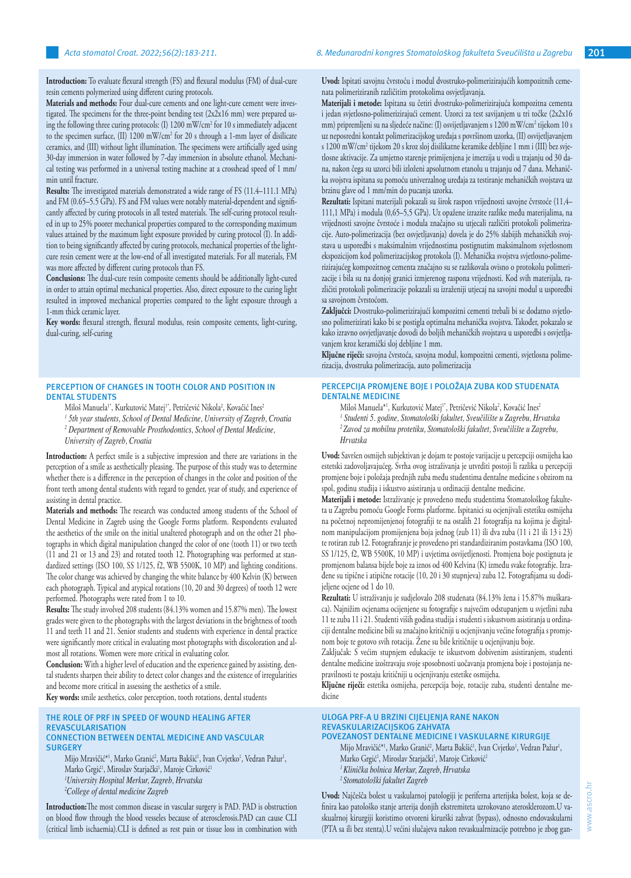**Introduction:** To evaluate flexural strength (FS) and flexural modulus (FM) of dual-cure resin cements polymerized using different curing protocols.

**Materials and methods:** Four dual-cure cements and one light-cure cement were investigated. The specimens for the three-point bending test (2x2x16 mm) were prepared using the following three curing protocols: (I) 1200 mW/cm<sup>2</sup> for 10 s immediately adjacent to the specimen surface, (II) 1200 mW/cm<sup>2</sup> for 20 s through a 1-mm layer of disilicate ceramics, and (III) without light illumination. The specimens were artificially aged using 30-day immersion in water followed by 7-day immersion in absolute ethanol. Mechanical testing was performed in a universal testing machine at a crosshead speed of 1 mm/ min until fracture.

**Results:** The investigated materials demonstrated a wide range of FS (11.4–111.1 MPa) and FM (0.65–5.5 GPa). FS and FM values were notably material-dependent and significantly affected by curing protocols in all tested materials. The self-curing protocol resulted in up to 25% poorer mechanical properties compared to the corresponding maximum values attained by the maximum light exposure provided by curing protocol (I). In addition to being significantly affected by curing protocols, mechanical properties of the lightcure resin cement were at the low-end of all investigated materials. For all materials, FM was more affected by different curing protocols than FS.

**Conclusions:** The dual-cure resin composite cements should be additionally light-cured in order to attain optimal mechanical properties. Also, direct exposure to the curing light resulted in improved mechanical properties compared to the light exposure through a 1-mm thick ceramic layer.

**Key words:** flexural strength, flexural modulus, resin composite cements, light-curing, dual-curing, self-curing

## **PERCEPTION OF CHANGES IN TOOTH COLOR AND POSITION IN DENTAL STUDENTS**

Miloš Manuela<sup>1</sup>\*, Kurkutović Matej<sup>1\*</sup>, Petričević Nikola<sup>2</sup>, Kovačić Ines<sup>2</sup>

*1 5th year students, School of Dental Medicine, University of Zagreb, Croatia*

*2 Department of Removable Prosthodontics, School of Dental Medicine,* 

*University of Zagreb, Croatia*

**Introduction:** A perfect smile is a subjective impression and there are variations in the perception of a smile as aesthetically pleasing. The purpose of this study was to determine whether there is a difference in the perception of changes in the color and position of the front teeth among dental students with regard to gender, year of study, and experience of assisting in dental practice.

**Materials and methods:** The research was conducted among students of the School of Dental Medicine in Zagreb using the Google Forms platform. Respondents evaluated the aesthetics of the smile on the initial unaltered photograph and on the other 21 photographs in which digital manipulation changed the color of one (tooth 11) or two teeth (11 and 21 or 13 and 23) and rotated tooth 12. Photographing was performed at standardized settings (ISO 100, SS 1/125, f2, WB 5500K, 10 MP) and lighting conditions. The color change was achieved by changing the white balance by 400 Kelvin (K) between each photograph. Typical and atypical rotations (10, 20 and 30 degrees) of tooth 12 were performed. Photographs were rated from 1 to 10.

**Results:** The study involved 208 students (84.13% women and 15.87% men). The lowest grades were given to the photographs with the largest deviations in the brightness of tooth 11 and teeth 11 and 21. Senior students and students with experience in dental practice were significantly more critical in evaluating most photographs with discoloration and almost all rotations. Women were more critical in evaluating color.

**Conclusion:** With a higher level of education and the experience gained by assisting, dental students sharpen their ability to detect color changes and the existence of irregularities and become more critical in assessing the aesthetics of a smile.

**Key words:** smile aesthetics, color perception, tooth rotations, dental students

#### **THE ROLE OF PRF IN SPEED OF WOUND HEALING AFTER REVASCULARISATION CONNECTION BETWEEN DENTAL MEDICINE AND VASCULAR SURGERY**

Mijo Mravičić\*<sup>1</sup>, Marko Granić<sup>2</sup>, Marta Bakšić<sup>1</sup>, Ivan Cvjetko<sup>1</sup>, Vedran Pažur<sup>1</sup>, Marko Grgić<sup>1</sup>, Miroslav Starjački<sup>1</sup>, Maroje Cirković<sup>1</sup> *1 University Hospital Merkur, Zagreb, Hrvatska 2 College of dental medicine Zagreb*

**Introduction:**The most common disease in vascular surgery is PAD. PAD is obstruction on blood flow through the blood vesseles because of aterosclerosis.PAD can cause CLI (critical limb ischaemia).CLI is defined as rest pain or tissue loss in combination with **Uvod:** Ispitati savojnu čvrstoću i modul dvostruko-polimerizirajućih kompozitnih cemenata polimeriziranih različitim protokolima osvjetljavanja.

**Materijali i metode:** Ispitana su četiri dvostruko-polimerizirajuća kompozitna cementa i jedan svjetlosno-polimerizirajući cement. Uzorci za test savijanjem u tri točke (2x2x16 mm) pripremljeni su na sljedeće načine: (I) osvijetljavanjem s 1200 mW/cm<sup>2</sup> tijekom 10 s uz neposredni kontakt polimerizacijskog uređaja s površinom uzorka, (II) osvijetljavanjem s 1200 mW/cm<sup>2</sup> tijekom 20 s kroz sloj disilikatne keramike debljine 1 mm i (III) bez svjetlosne aktivacije. Za umjetno starenje primijenjena je imerzija u vodi u trajanju od 30 dana, nakon čega su uzorci bili izloženi apsolutnom etanolu u trajanju od 7 dana. Mehanička svojstva ispitana su pomoću univerzalnog uređaja za testiranje mehaničkih svojstava uz brzinu glave od 1 mm/min do pucanja uzorka.

**Rezultati:** Ispitani materijali pokazali su širok raspon vrijednosti savojne čvrstoće (11,4– 111,1 MPa) i modula (0,65–5,5 GPa). Uz opažene izrazite razlike među materijalima, na vrijednosti savojne čvrstoće i modula značajno su utjecali različiti protokoli polimerizacije. Auto-polimerizacija (bez osvjetljavanja) dovela je do 25% slabijih mehaničkih svojstava u usporedbi s maksimalnim vrijednostima postignutim maksimalnom svjetlosnom ekspozicijom kod polimerizacijskog protokola (I). Mehanička svojstva svjetlosno-polimerizirajućeg kompozitnog cementa značajno su se razlikovala ovisno o protokolu polimerizacije i bila su na donjoj granici izmjerenog raspona vrijednosti. Kod svih materijala, različiti protokoli polimerizacije pokazali su izraženiji utjecaj na savojni modul u usporedbi sa savojnom čvrstoćom.

**Zaključci:** Dvostruko-polimerizirajući kompozitni cementi trebali bi se dodatno svjetlosno polimerizirati kako bi se postigla optimalna mehanička svojstva. Također, pokazalo se kako izravno osvjetljavanje dovodi do boljih mehaničkih svojstava u usporedbi s osvjetljavanjem kroz keramički sloj debljine 1 mm.

**Ključne riječi:** savojna čvrstoća, savojna modul, kompozitni cementi, svjetlosna polimerizacija, dvostruka polimerizacija, auto polimerizacija

## **PERCEPCIJA PROMJENE BOJE I POLOŽAJA ZUBA KOD STUDENATA DENTALNE MEDICINE**

Miloš Manuela\*<sup>1</sup>, Kurkutović Matej'', Petričević Nikola<sup>2</sup>, Kovačić Ines<sup>.</sup> *1 Studenti 5. godine, Stomatološki fakultet, Sveučilište u Zagrebu, Hrvatska <sup>2</sup>Zavod za mobilnu protetiku, Stomatološki fakultet, Sveučilište u Zagrebu, Hrvatska*

**Uvod:** Savršen osmijeh subjektivan je dojam te postoje varijacije u percepciji osmijeha kao estetski zadovoljavajućeg. Svrha ovog istraživanja je utvrditi postoji li razlika u percepciji promjene boje i položaja prednjih zuba među studentima dentalne medicine s obzirom na spol, godinu studija i iskustvo asistiranja u ordinaciji dentalne medicine.

**Materijali i metode:** Istraživanje je provedeno među studentima Stomatološkog fakulteta u Zagrebu pomoću Google Forms platforme. Ispitanici su ocjenjivali estetiku osmijeha na početnoj nepromijenjenoj fotografiji te na ostalih 21 fotografija na kojima je digitalnom manipulacijom promijenjena boja jednog (zub 11) ili dva zuba (11 i 21 ili 13 i 23) te rotiran zub 12. Fotografiranje je provedeno pri standardiziranim postavkama (ISO 100, SS 1/125, f2, WB 5500K, 10 MP) i uvjetima osvijetljenosti. Promjena boje postignuta je promjenom balansa bijele boje za iznos od 400 Kelvina (K) između svake fotografije. Izrađene su tipične i atipične rotacije (10, 20 i 30 stupnjeva) zuba 12. Fotografijama su dodijeljene ocjene od 1 do 10.

**Rezultati:** U istraživanju je sudjelovalo 208 studenata (84.13% žena i 15.87% muškaraca). Najnižim ocjenama ocijenjene su fotografije s najvećim odstupanjem u svjetlini zuba 11 te zuba 11 i 21. Studenti viših godina studija i studenti s iskustvom asistiranja u ordinaciji dentalne medicine bili su značajno kritičniji u ocjenjivanju većine fotografija s promjenom boje te gotovo svih rotacija. Žene su bile kritičnije u ocjenjivanju boje.

Zaključak: S većim stupnjem edukacije te iskustvom dobivenim asistiranjem, studenti dentalne medicine izoštravaju svoje sposobnosti uočavanja promjena boje i postojanja nepravilnosti te postaju kritičniji u ocjenjivanju estetike osmijeha.

**Ključne riječi:** estetika osmijeha, percepcija boje, rotacije zuba, studenti dentalne medicine

#### **ULOGA PRF-A U BRZINI CIJELJENJA RANE NAKON REVASKULARIZACIJSKOG ZAHVATA POVEZANOST DENTALNE MEDICINE I VASKULARNE KIRURGIJE**

Mijo Mravičić\*', Marko Granić<sup>2</sup>, Marta Bakšić', Ivan Cvjetko', Vedran Pažur', Marko Grgić<sup>1</sup>, Miroslav Starjački<sup>1</sup>, Maroje Cirković<sup>1</sup> *1 Klinička bolnica Merkur, Zagreb, Hrvatska <sup>2</sup>Stomatološki fakultet Zagreb*

**Uvod:** Najčešča bolest u vaskularnoj patologiji je periferna arterijska bolest, koja se definira kao patološko stanje arterija donjih ekstremiteta uzrokovano aterosklerozom.U vaskualrnoj kirurgiji koristimo otvoreni kirurški zahvat (bypass), odnosno endovaskularni (PTA sa ili bez stenta).U većini slučajeva nakon revaskualrnizacije potrebno je zbog gan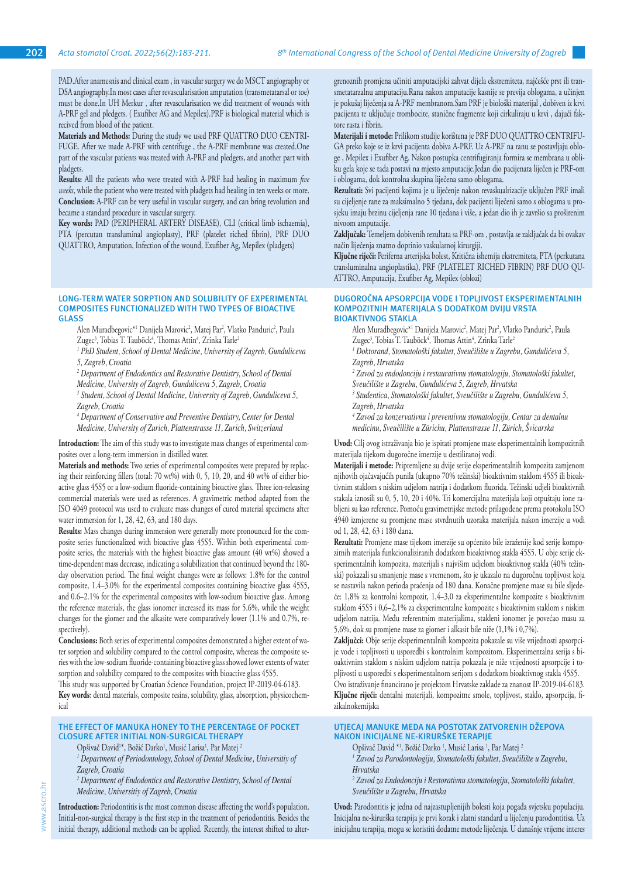PAD.After anamesnis and clinical exam , in vascular surgery we do MSCT angiography or DSA angiography.In most cases after revascularisation amputation (transmetatarsal or toe) must be done.In UH Merkur , after revascularisation we did treatment of wounds with A-PRF gel and pledgets. ( Exufiber AG and Mepilex).PRF is biological material which is recived from blood of the patient.

**Materials and Methods:** During the study we used PRF QUATTRO DUO CENTRI-FUGE. After we made A-PRF with centrifuge , the A-PRF membrane was created.One part of the vascular patients was treated with A-PRF and pledgets, and another part with pladgets.

**Results:** All the patients who were treated with A-PRF had healing in maximum *five weeks*, while the patient who were treated with pladgets had healing in ten weeks or more. **Conclusion:** A-PRF can be very useful in vascular surgery, and can bring revolution and became a standard procedure in vascular surgery.

**Key words:** PAD (PERIPHERAL ARTERY DISEASE), CLI (critical limb ischaemia), PTA (percutan transluminal angioplasty), PRF (platelet riched fibrin), PRF DUO QUATTRO, Amputation, Infection of the wound, Exufiber Ag, Mepilex (pladgets)

#### **LONG-TERM WATER SORPTION AND SOLUBILITY OF EXPERIMENTAL COMPOSITES FUNCTIONALIZED WITH TWO TYPES OF BIOACTIVE GLASS**

Alen Muradbegovic\*' Danijela Marovic<sup>2</sup>, Matej Par<sup>2</sup>, Vlatko Panduric<sup>2</sup>, Paula Zugec<sup>3</sup>, Tobias T. Tauböck<sup>4</sup>, Thomas Attin<sup>4</sup>, Zrinka Tarle<sup>2</sup>

<sup>1</sup> PhD Student, School of Dental Medicine, University of Zagreb, Gunduliceva *5, Zagreb, Croatia*

<sup>2</sup> Department of Endodontics and Restorative Dentistry, School of Dental

*Medicine, University of Zagreb, Gunduliceva 5, Zagreb, Croatia*

<sup>3</sup> Student, School of Dental Medicine, University of Zagreb, Gunduliceva 5, *Zagreb, Croatia*

*4 Department of Conservative and Preventive Dentistry, Center for Dental Medicine, University of Zurich, Plattenstrasse 11, Zurich, Switzerland*

**Introduction:** The aim of this study was to investigate mass changes of experimental composites over a long-term immersion in distilled water.

**Materials and methods:** Two series of experimental composites were prepared by replacing their reinforcing fillers (total: 70 wt%) with 0, 5, 10, 20, and 40 wt% of either bioactive glass 45S5 or a low-sodium fluoride-containing bioactive glass. Three ion-releasing commercial materials were used as references. A gravimetric method adapted from the ISO 4049 protocol was used to evaluate mass changes of cured material specimens after water immersion for 1, 28, 42, 63, and 180 days.

**Results:** Mass changes during immersion were generally more pronounced for the composite series functionalized with bioactive glass 45S5. Within both experimental composite series, the materials with the highest bioactive glass amount (40 wt%) showed a time-dependent mass decrease, indicating a solubilization that continued beyond the 180 day observation period. The final weight changes were as follows: 1.8% for the control composite, 1.4–3.0% for the experimental composites containing bioactive glass 45S5, and 0.6–2.1% for the experimental composites with low-sodium bioactive glass. Among the reference materials, the glass ionomer increased its mass for 5.6%, while the weight changes for the giomer and the alkasite were comparatively lower (1.1% and 0.7%, respectively).

**Conclusions:** Both series of experimental composites demonstrated a higher extent of water sorption and solubility compared to the control composite, whereas the composite series with the low-sodium fluoride-containing bioactive glass showed lower extents of water sorption and solubility compared to the composites with bioactive glass 45S5.

This study was supported by Croatian Science Foundation, project IP-2019-04-6183. **Key words**: dental materials, composite resins, solubility, glass, absorption, physicochemical

## **THE EFFECT OF MANUKA HONEY TO THE PERCENTAGE OF POCKET CLOSURE AFTER INITIAL NON-SURGICAL THERAPY**

Opšivač David<sup>1\*</sup>, Božić Darko<sup>1</sup>, Musić Larisa<sup>1</sup>, Par Matej <sup>2</sup>

<sup>1</sup> Department of Periodontology, School of Dental Medicine, Universitiy of *Zagreb, Croatia*

<sup>2</sup> Department of Endodontics and Restorative Dentistry, School of Dental *Medicine, Universitiy of Zagreb, Croatia*

**Introduction:** Periodontitis is the most common disease affecting the world's population. Initial-non-surgical therapy is the first step in the treatment of periodontitis. Besides the initial therapy, additional methods can be applied. Recently, the interest shifted to alter-

grenoznih promjena učiniti amputacijski zahvat dijela ekstremiteta, najčešće prst ili transmetatarzalnu amputaciju.Rana nakon amputacije kasnije se previja oblogama, a učinjen je pokušaj liječenja sa A-PRF membranom.Sam PRF je biološki materijal , dobiven iz krvi pacijenta te uključuje trombocite, stanične fragmente koji cirkuliraju u krvi , dajući faktore rasta i fibrin.

**Materijali i metode:** Prilikom studije korištena je PRF DUO QUATTRO CENTRIFU-GA preko koje se iz krvi pacijenta dobiva A-PRF. Uz A-PRF na ranu se postavljaju obloge , Mepilex i Exufiber Ag. Nakon postupka centrifugiranja formira se membrana u obliku gela koje se tada postavi na mjesto amputacije.Jedan dio pacijenata liječen je PRF-om i oblogama, dok kontrolna skupina liječena samo oblogama.

**Rezultati:** Svi pacijenti kojima je u liječenje nakon revaskualrizacije uključen PRF imali su cijeljenje rane za maksimalno 5 tjedana, dok pacijenti liječeni samo s oblogama u prosjeku imaju brzinu cijeljenja rane 10 tjedana i više, a jedan dio ih je završio sa proširenim nivoom amputacije.

**Zaključak:** Temeljem dobivenih rezultata sa PRF-om , postavlja se zaključak da bi ovakav način liječenja znatno doprinio vaskularnoj kirurgiji.

**Ključne riječi:** Periferna arterijska bolest, Kritična ishemija ekstremiteta, PTA (perkutana transluminalna angioplastika), PRF (PLATELET RICHED FIBRIN) PRF DUO QU-ATTRO, Amputacija, Exufiber Ag, Mepilex (oblozi)

#### **DUGOROČNA APSORPCIJA VODE I TOPLJIVOST EKSPERIMENTALNIH KOMPOZITNIH MATERIJALA S DODATKOM DVIJU VRSTA BIOAKTIVNOG STAKLA**

Alen Muradbegovic\*' Danijela Marovic<sup>2</sup>, Matej Par<sup>2</sup>, Vlatko Panduric<sup>2</sup>, Paula Zugec<sup>3</sup>, Tobias T. Tauböck<sup>4</sup>, Thomas Attin<sup>4</sup>, Zrinka Tarle<sup>.</sup>

<sup>1</sup> Doktorand, Stomatološki fakultet, Sveučilište u Zagrebu, Gundulićeva 5, *Zagreb, Hrvatska*

*2 Zavod za endodonciju i restaurativnu stomatologiju, Stomatološki fakultet,* 

*Sveučilište u Zagrebu, Gundulićeva 5, Zagreb, Hrvatska*

*3 Studentica, Stomatološki fakultet, Sveučilište u Zagrebu, Gundulićeva 5, Zagreb, Hrvatska*

*4 Zavod za konzervativnu i preventivnu stomatologiju, Centar za dentalnu medicinu, Sveučilište u Zürichu, Plattenstrasse 11, Zürich, Švicarska*

**Uvod:** Cilj ovog istraživanja bio je ispitati promjene mase eksperimentalnih kompozitnih materijala tijekom dugoročne imerzije u destiliranoj vodi.

**Materijali i metode:** Pripremljene su dvije serije eksperimentalnih kompozita zamjenom njihovih ojačavajućih punila (ukupno 70% težinski) bioaktivnim staklom 45S5 ili bioaktivnim staklom s niskim udjelom natrija i dodatkom fluorida. Težinski udjeli bioaktivnih stakala iznosili su 0, 5, 10, 20 i 40%. Tri komercijalna materijala koji otpuštaju ione rabljeni su kao reference. Pomoću gravimetrijske metode prilagođene prema protokolu ISO 4940 izmjerene su promjene mase stvrdnutih uzoraka materijala nakon imerzije u vodi od 1, 28, 42, 63 i 180 dana.

**Rezultati:** Promjene mase tijekom imerzije su općenito bile izraženije kod serije kompozitnih materijala funkcionaliziranih dodatkom bioaktivnog stakla 45S5. U obje serije eksperimentalnih kompozita, materijali s najvišim udjelom bioaktivnog stakla (40% težinski) pokazali su smanjenje mase s vremenom, što je ukazalo na dugoročnu topljivost koja se nastavila nakon perioda praćenja od 180 dana. Konačne promjene mase su bile sljedeće: 1,8% za kontrolni kompozit, 1,4–3,0 za eksperimentalne kompozite s bioaktivnim staklom 45S5 i 0,6–2,1% za eksperimentalne kompozite s bioaktivnim staklom s niskim udjelom natrija. Među referentnim materijalima, stakleni ionomer je povećao masu za 5,6%, dok su promjene mase za giomer i alkasit bile niže (1,1% i 0,7%).

**Zaključci:** Obje serije eksperimentalnih kompozita pokazale su više vrijednosti apsorpcije vode i topljivosti u usporedbi s kontrolnim kompozitom. Eksperimentalna serija s bioaktivnim staklom s niskim udjelom natrija pokazala je niže vrijednosti apsorpcije i topljivosti u usporedbi s eksperimentalnom serijom s dodatkom bioaktivnog stakla 45S5. Ovo istraživanje financirano je projektom Hrvatske zaklade za znanost IP-2019-04-6183. **Ključne riječi:** dentalni materijali, kompozitne smole, topljivost, staklo, apsorpcija, fizikalnokemijska

# **UTJECAJ MANUKE MEDA NA POSTOTAK ZATVORENIH DŽEPOVA NAKON INICIJALNE NE-KIRURŠKE TERAPIJE**

Opšivač David \*1, Božić Darko <sup>1</sup>, Musić Larisa <sup>1</sup>, Par Matej <sup>1</sup>

*1 Zavod za Parodontologiju, Stomatološki fakultet, Sveučilište u Zagrebu, Hrvatska*

*2 Zavod za Endodonciju i Restorativnu stomatologiju, Stomatološki fakultet, Sveučilište u Zagrebu, Hrvatska*

**Uvod:** Parodontitis je jedna od najzastupljenijih bolesti koja pogađa svjetsku populaciju. Inicijalna ne-kirurška terapija je prvi korak i zlatni standard u liječenju parodontitisa. Uz inicijalnu terapiju, mogu se koristiti dodatne metode liječenja. U današnje vrijeme interes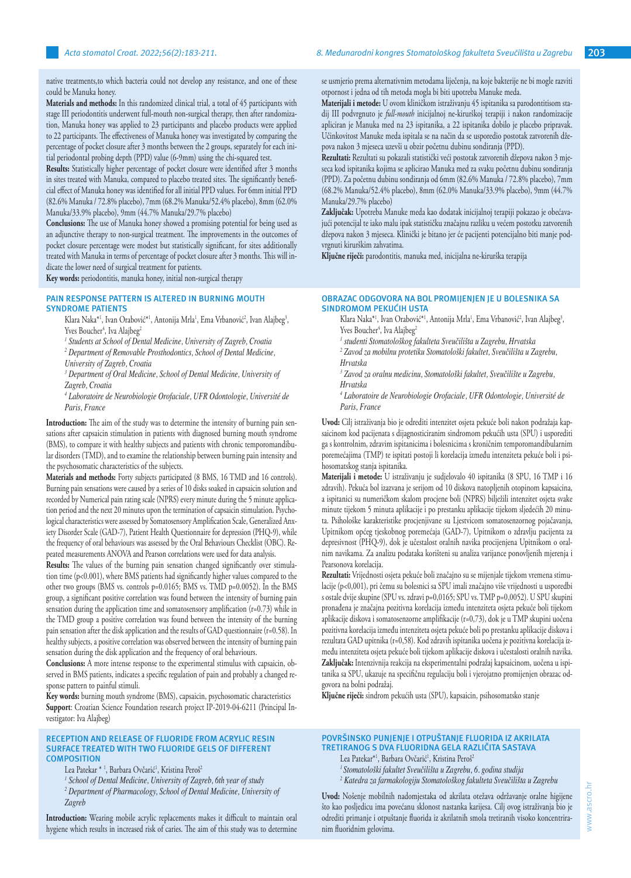native treatments,to which bacteria could not develop any resistance, and one of these could be Manuka honey.

**Materials and methods:** In this randomized clinical trial, a total of 45 participants with stage III periodontitis underwent full-mouth non-surgical therapy, then after randomization, Manuka honey was applied to 23 participants and placebo products were applied to 22 participants. The effectiveness of Manuka honey was investigated by comparing the percentage of pocket closure after 3 months between the 2 groups, separately for each initial periodontal probing depth (PPD) value (6-9mm) using the chi-squared test.

**Results:** Statistically higher percentage of pocket closure were identified after 3 months in sites treated with Manuka, compared to placebo treated sites. The significantly beneficial effect of Manuka honey was identified for all initial PPD values. For 6mm initial PPD (82.6% Manuka / 72.8% placebo), 7mm (68.2% Manuka/52.4% placebo), 8mm (62.0% Manuka/33.9% placebo), 9mm (44.7% Manuka/29.7% placebo)

**Conclusions:** The use of Manuka honey showed a promising potential for being used as an adjunctive therapy to non-surgical treatment. The improvements in the outcomes of pocket closure percentage were modest but statistically significant, for sites additionally treated with Manuka in terms of percentage of pocket closure after 3 months. This will indicate the lower need of surgical treatment for patients.

**Key words:** periodontitis, manuka honey, initial non-surgical therapy

#### **PAIN RESPONSE PATTERN IS ALTERED IN BURNING MOUTH SYNDROME PATIENTS**

Klara Naka\*', Ivan Orabović\*', Antonija Mrla', Ema Vrbanović<sup>2</sup>, Ivan Alajbeg<sup>3</sup>, Yves Boucher<sup>4</sup>, Iva Alajbeg<sup>2</sup>

*1 Students at School of Dental Medicine, University of Zagreb, Croatia*

*2 Department of Removable Prosthodontics, School of Dental Medicine,* 

*University of Zagreb, Croatia*

<sup>3</sup> Department of Oral Medicine, School of Dental Medicine, University of *Zagreb, Croatia*

*4 Laboratoire de Neurobiologie Orofaciale, UFR Odontologie, Université de Paris, France*

**Introduction:** The aim of the study was to determine the intensity of burning pain sensations after capsaicin stimulation in patients with diagnosed burning mouth syndrome (BMS), to compare it with healthy subjects and patients with chronic temporomandibular disorders (TMD), and to examine the relationship between burning pain intensity and the psychosomatic characteristics of the subjects.

**Materials and methods:** Forty subjects participated (8 BMS, 16 TMD and 16 controls). Burning pain sensations were caused by a series of 10 disks soaked in capsaicin solution and recorded by Numerical pain rating scale (NPRS) every minute during the 5 minute application period and the next 20 minutes upon the termination of capsaicin stimulation. Psychological characteristics were assessed by Somatosensory Amplification Scale, Generalized Anxiety Disorder Scale (GAD-7), Patient Health Questionnaire for depression (PHQ-9), while the frequency of oral behaviours was assessed by the Oral Behaviours Checklist (OBC). Repeated measurements ANOVA and Pearson correlations were used for data analysis.

**Results:** The values of the burning pain sensation changed significantly over stimulation time (p<0.001), where BMS patients had significantly higher values compared to the other two groups (BMS vs. controls p=0.0165; BMS vs. TMD p=0.0052). In the BMS group, a significant positive correlation was found between the intensity of burning pain sensation during the application time and somatosensory amplification (r=0.73) while in the TMD group a positive correlation was found between the intensity of the burning pain sensation after the disk application and the results of GAD questionnaire (r=0.58). In healthy subjects, a positive correlation was observed between the intensity of burning pain sensation during the disk application and the frequency of oral behaviours.

**Conclusions:** A more intense response to the experimental stimulus with capsaicin, observed in BMS patients, indicates a specific regulation of pain and probably a changed response pattern to painful stimuli.

**Key words:** burning mouth syndrome (BMS), capsaicin, psychosomatic characteristics **Support**: Croatian Science Foundation research project IP‐2019‐04‐6211 (Principal Investigator: Iva Alajbeg)

#### **RECEPTION AND RELEASE OF FLUORIDE FROM ACRYLIC RESIN SURFACE TREATED WITH TWO FLUORIDE GELS OF DIFFERENT COMPOSITION**

Lea Patekar \* <sup>1</sup>, Barbara Ovčarić<sup>1</sup>, Kristina Peroš<sup>2</sup>

*1 School of Dental Medicine, University of Zagreb, 6th year of study*

<sup>2</sup> Department of Pharmacology, School of Dental Medicine, University of *Zagreb*

**Introduction:** Wearing mobile acrylic replacements makes it difficult to maintain oral hygiene which results in increased risk of caries. The aim of this study was to determine se usmjerio prema alternativnim metodama liječenja, na koje bakterije ne bi mogle razviti otpornost i jedna od tih metoda mogla bi biti upotreba Manuke meda.

**Materijali i metode:** U ovom kliničkom istraživanju 45 ispitanika sa parodontitisom stadij III podvrgnuto je *full-mouth* inicijalnoj ne-kirurškoj terapiji i nakon randomizacije apliciran je Manuka med na 23 ispitanika, a 22 ispitanika dobilo je placebo pripravak. Učinkovitost Manuke meda ispitala se na način da se usporedio postotak zatvorenih džepova nakon 3 mjeseca uzevši u obzir početnu dubinu sondiranja (PPD).

**Rezultati:** Rezultati su pokazali statistički veći postotak zatvorenih džepova nakon 3 mjeseca kod ispitanika kojima se aplicirao Manuka med za svaku početnu dubinu sondiranja (PPD). Za početnu dubinu sondiranja od 6mm (82.6% Manuka / 72.8% placebo), 7mm (68.2% Manuka/52.4% placebo), 8mm (62.0% Manuka/33.9% placebo), 9mm (44.7% Manuka/29.7% placebo)

**Zaključak:** Upotreba Manuke meda kao dodatak inicijalnoj terapiji pokazao je obećavajući potencijal te iako malu ipak statističku značajnu razliku u većem postotku zatvorenih džepova nakon 3 mjeseca. Klinički je bitano jer će pacijenti potencijalno biti manje podvrgnuti kirurškim zahvatima.

**Ključne riječi:** parodontitis, manuka med, inicijalna ne-kirurška terapija

#### **OBRAZAC ODGOVORA NA BOL PROMIJENJEN JE U BOLESNIKA SA SINDROMOM PEKUĆIH USTA**

- Klara Naka\*<sup>1</sup>, Ivan Orabović\*<sup>1</sup>, Antonija Mrla<sup>1</sup>, Ema Vrbanović<sup>2</sup>, Ivan Alajbeg<sup>3</sup>, Yves Boucher<sup>4</sup>, Iva Alajbeg<sup>2</sup>
- *1 studenti Stomatološkog fakulteta Sveučilišta u Zagrebu, Hrvatska*

*2 Zavod za mobilnu protetiku Stomatološki fakultet, Sveučilišta u Zagrebu, Hrvatska* 

*3 Zavod za oralnu medicinu, Stomatološki fakultet, Sveučilište u Zagrebu, Hrvatska* 

*4 Laboratoire de Neurobiologie Orofaciale, UFR Odontologie, Université de Paris, France* 

**Uvod:** Cilj istraživanja bio je odrediti intenzitet osjeta pekuće boli nakon podražaja kapsaicinom kod pacijenata s dijagnosticiranim sindromom pekućih usta (SPU) i usporediti ga s kontrolnim, zdravim ispitanicima i bolesnicima s kroničnim temporomandibularnim poremećajima (TMP) te ispitati postoji li korelacija između intenziteta pekuće boli i psihosomatskog stanja ispitanika.

**Materijali i metode:** U istraživanju je sudjelovalo 40 ispitanika (8 SPU, 16 TMP i 16 zdravih). Pekuća bol izazvana je serijom od 10 diskova natopljenih otopinom kapsaicina, a ispitanici su numeričkom skalom procjene boli (NPRS) bilježili intenzitet osjeta svake minute tijekom 5 minuta aplikacije i po prestanku aplikacije tijekom sljedećih 20 minuta. Psihološke karakteristike procjenjivane su Ljestvicom somatosenzornog pojačavanja, Upitnikom općeg tjeskobnog poremećaja (GAD-7), Upitnikom o zdravlju pacijenta za depresivnost (PHQ-9), dok je učestalost oralnih navika procijenjena Upitnikom o oralnim navikama. Za analizu podataka korišteni su analiza varijance ponovljenih mjerenja i Pearsonova korelacija.

**Rezultati:** Vrijednosti osjeta pekuće boli značajno su se mijenjale tijekom vremena stimulacije (p<0,001), pri čemu su bolesnici sa SPU imali značajno više vrijednosti u usporedbi s ostale dvije skupine (SPU vs. zdravi p=0,0165; SPU vs. TMP p=0,0052). U SPU skupini pronađena je značajna pozitivna korelacija između intenziteta osjeta pekuće boli tijekom aplikacije diskova i somatosenzorne amplifikacije (r=0,73), dok je u TMP skupini uočena pozitivna korelacija između intenziteta osjeta pekuće boli po prestanku aplikacije diskova i rezultata GAD upitnika (r=0,58). Kod zdravih ispitanika uočena je pozitivna korelacija između intenziteta osjeta pekuće boli tijekom aplikacije diskova i učestalosti oralnih navika. **Zaključak:** Intenzivnija reakcija na eksperimentalni podražaj kapsaicinom, uočena u ispitanika sa SPU, ukazuje na specifičnu regulaciju boli i vjerojatno promijenjen obrazac odgovora na bolni podražaj.

**Ključne riječi:** sindrom pekućih usta (SPU), kapsaicin, psihosomatsko stanje

## **POVRŠINSKO PUNJENJE I OTPUŠTANJE FLUORIDA IZ AKRILATA TRETIRANOG S DVA FLUORIDNA GELA RAZLIČITA SASTAVA**

- Lea Patekar\*<sup>1</sup>, Barbara Ovčarić<sup>1</sup>, Kristina Peroš<sup>2</sup>
- *1 Stomatološki fakultet Sveučilišta u Zagrebu, 6. godina studija*
- *2 Katedra za farmakologiju Stomatološkog fakulteta Sveučilišta u Zagrebu*

**Uvod:** Nošenje mobilnih nadomjestaka od akrilata otežava održavanje oralne higijene što kao posljedicu ima povećanu sklonost nastanka karijesa. Cilj ovog istraživanja bio je odrediti primanje i otpuštanje fluorida iz akrilatnih smola tretiranih visoko koncentriranim fluoridnim gelovima.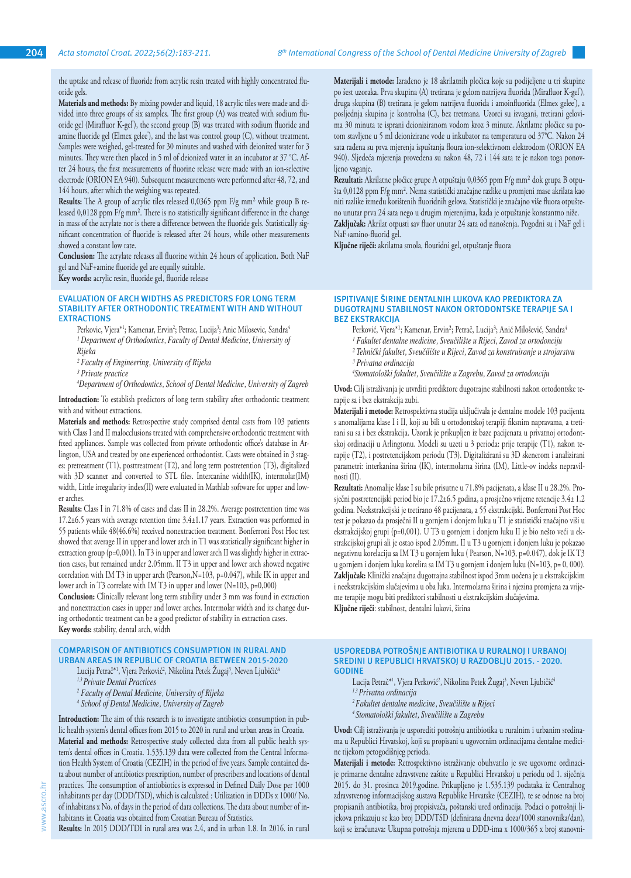the uptake and release of fluoride from acrylic resin treated with highly concentrated fluoride gels.

**Materials and methods:** By mixing powder and liquid, 18 acrylic tiles were made and divided into three groups of six samples. The first group (A) was treated with sodium fluoride gel (Mirafluor K-gel'), the second group (B) was treated with sodium fluoride and amine fluoride gel (Elmex gelee), and the last was control group (C), without treatment. Samples were weighed, gel-treated for 30 minutes and washed with deionized water for 3 minutes. They were then placed in 5 ml of deionized water in an incubator at 37 °C. After 24 hours, the first measurements of fluorine release were made with an ion-selective electrode (ORION EA 940). Subsequent measurements were performed after 48, 72, and 144 hours, after which the weighing was repeated.

**Results:** The A group of acrylic tiles released 0,0365 ppm F/g mm² while group B released 0,0128 ppm F/g mm². There is no statistically significant difference in the change in mass of the acrylate nor is there a difference between the fluoride gels. Statistically significant concentration of fluoride is released after 24 hours, while other measurements showed a constant low rate.

**Conclusion:** The acrylate releases all fluorine within 24 hours of application. Both NaF gel and NaF+amine fluoride gel are equally suitable.

**Key words:** acrylic resin, fluoride gel, fluoride release

#### **EVALUATION OF ARCH WIDTHS AS PREDICTORS FOR LONG TERM STABILITY AFTER ORTHODONTIC TREATMENT WITH AND WITHOUT EXTRACTIONS**

Perkovic, Vjera\*'; Kamenar, Ervin<sup>2</sup>; Petrac, Lucija<sup>3</sup>; Anic Milosevic, Sandra<sup>4</sup> <sup>1</sup> Department of Orthodontics, Faculty of Dental Medicine, University of *Rijeka*

*² Faculty of Engineering, University of Rijeka*

*4 Department of Orthodontics, School of Dental Medicine, University of Zagreb*

**Introduction:** To establish predictors of long term stability after orthodontic treatment with and without extractions.

**Materials and methods:** Retrospective study comprised dental casts from 103 patients with Class I and II malocclusions treated with comprehensive orthodontic treatment with fixed appliances. Sample was collected from private orthodontic office's database in Arlington, USA and treated by one experienced orthodontist. Casts were obtained in 3 stages: pretreatment (T1), posttreatment (T2), and long term postretention (T3), digitalized with 3D scanner and converted to STL files. Intercanine width(IK), intermolar(IM) width, Little irregularity index(II) were evaluated in Mathlab software for upper and lower arches.

**Results:** Class I in 71.8% of cases and class II in 28.2%. Average postretention time was 17.2±6.5 years with average retention time 3.4±1.17 years. Extraction was performed in 55 patients while 48(46.6%) received nonextraction treatment. Bonferroni Post Hoc test showed that average II in upper and lower arch in T1 was statistically significant higher in extraction group (p=0,001). In T3 in upper and lower arch II was slightly higher in extraction cases, but remained under 2.05mm. II T3 in upper and lower arch showed negative correlation with IM T3 in upper arch (Pearson,N=103, p=0.047), while IK in upper and lower arch in T3 correlate with IM T3 in upper and lower (N=103, p=0,000)

**Conclusion:** Clinically relevant long term stability under 3 mm was found in extraction and nonextraction cases in upper and lower arches. Intermolar width and its change during orthodontic treatment can be a good predictor of stability in extraction cases. **Key words:** stability, dental arch, width

#### **COMPARISON OF ANTIBIOTICS CONSUMPTION IN RURAL AND URBAN AREAS IN REPUBLIC OF CROATIA BETWEEN 2015-2020**

Lucija Petrač\*<sup>1</sup>, Vjera Perković<sup>2</sup>, Nikolina Petek Zugaj<sup>3</sup>, Neven Ljubičić<sup>4</sup>

- *1,3 Private Dental Practices*
- *2 Faculty of Dental Medicine, University of Rijeka*
- *4 School of Dental Medicine, University of Zagreb*

**Introduction:** The aim of this research is to investigate antibiotics consumption in public health system's dental offices from 2015 to 2020 in rural and urban areas in Croatia. **Material and methods:** Retrospective study collected data from all public health system's dental offices in Croatia. 1.535.139 data were collected from the Central Information Health System of Croatia (CEZIH) in the period of five years. Sample contained data about number of antibiotics prescription, number of prescribers and locations of dental practices. The consumption of antiobiotics is expressed in Defined Daily Dose per 1000 inhabitants per day (DDD/TSD), which is calculated : Utilization in DDDs x 1000/ No. of inhabitans x No. of days in the period of data collections. The data about number of inhabitants in Croatia was obtained from Croatian Bureau of Statistics.

**Results:** In 2015 DDD/TDI in rural area was 2.4, and in urban 1.8. In 2016. in rural

**Materijali i metode:** Izrađeno je 18 akrilatnih pločica koje su podijeljene u tri skupine po šest uzoraka. Prva skupina (A) tretirana je gelom natrijeva fluorida (Mirafluor K-gel), druga skupina (B) tretirana je gelom natrijeva fluorida i amoinfluorida (Elmex gelee), a posljednja skupina je kontrolna (C), bez tretmana. Uzorci su izvagani, tretirani gelovima 30 minuta te isprani deioniziranom vodom kroz 3 minute. Akrilatne pločice su potom stavljene u 5 ml deionizirane vode u inkubator na temperaturu od 37°C. Nakon 24 sata rađena su prva mjerenja ispuštanja floura ion-selektivnom elektrodom (ORION EA 940). Sljedeća mjerenja provedena su nakon 48, 72 i 144 sata te je nakon toga ponovljeno vaganje.

**Rezultati:** Akrilatne pločice grupe A otpuštaju 0,0365 ppm F/g mm² dok grupa B otpušta 0,0128 ppm F/g mm². Nema statistički značajne razlike u promjeni mase akrilata kao niti razlike između korištenih fluoridnih gelova. Statistički je značajno više fluora otpušteno unutar prva 24 sata nego u drugim mjerenjima, kada je otpuštanje konstantno niže. **Zaključak:** Akrilat otpusti sav fluor unutar 24 sata od nanošenja. Pogodni su i NaF gel i NaF+amino-fluorid gel.

**Ključne riječi:** akrilatna smola, flouridni gel, otpuštanje fluora

#### **ISPITIVANJE ŠIRINE DENTALNIH LUKOVA KAO PREDIKTORA ZA DUGOTRAJNU STABILNOST NAKON ORTODONTSKE TERAPIJE SA I BEZ EKSTRAKCIJA**

- Perković, Vjera\*1; Kamenar, Ervin<sup>2</sup>; Petrač, Lucija<sup>3</sup>; Anić Milošević, Sandra<sup>4</sup>
- *¹ Fakultet dentalne medicine, Sveučilište u Rijeci, Zavod za ortodonciju*
- *² Tehnički fakultet, Sveučilište u Rijeci, Zavod za konstruiranje u strojarstvu ³ Privatna ordinacija*
- *4 Stomatološki fakultet, Sveučilište u Zagrebu, Zavod za ortodonciju*

**Uvod:** Cilj istraživanja je utvrditi prediktore dugotrajne stabilnosti nakon ortodontske terapije sa i bez ekstrakcija zubi.

**Materijali i metode:** Retrospektivna studija uključivala je dentalne modele 103 pacijenta s anomalijama klase I i II, koji su bili u ortodontskoj terapiji fiksnim napravama, a tretirani su sa i bez ekstrakcija. Uzorak je prikupljen iz baze pacijenata u privatnoj ortodontskoj ordinaciji u Arlingtonu. Modeli su uzeti u 3 perioda: prije terapije (T1), nakon terapije (T2), i postretencijskom periodu (T3). Digitalizirani su 3D skenerom i analizirani parametri: interkanina širina (IK), intermolarna širina (IM), Little-ov indeks nepravilnosti (II).

**Rezultati:** Anomalije klase I su bile prisutne u 71.8% pacijenata, a klase II u 28.2%. Prosječni postretencijski period bio je 17.2±6.5 godina, a prosječno vrijeme retencije 3.4± 1.2 godina. Neekstrakcijski je tretirano 48 pacijenata, a 55 ekstrakcijski. Bonferroni Post Hoc test je pokazao da prosječni II u gornjem i donjem luku u T1 je statistički značajno viši u ekstrakcijskoj grupi (p=0,001). U T3 u gornjem i donjem luku II je bio nešto veći u ekstrakcijskoj grupi ali je ostao ispod 2.05mm. II u T3 u gornjem i donjem luku je pokazao negativnu korelaciju sa IM T3 u gornjem luku ( Pearson, N=103, p=0.047), dok je IK T3 u gornjem i donjem luku korelira sa IM T3 u gornjem i donjem luku (N=103, p= 0, 000). **Zaključak:** Klinički značajna dugotrajna stabilnost ispod 3mm uočena je u ekstrakcijskim i neekstrakcijskim slučajevima u oba luka. Intermolarna širina i njezina promjena za vrijeme terapije mogu biti prediktori stabilnosti u ekstrakcijskim slučajevima. **Ključne riječi**: stabilnost, dentalni lukovi, širina

**USPOREDBA POTROŠNJE ANTIBIOTIKA U RURALNOJ I URBANOJ SREDINI U REPUBLICI HRVATSKOJ U RAZDOBLJU 2015. - 2020. GODINE**

- Lucija Petrač\*<sup>1</sup>, Vjera Perković<sup>2</sup>, Nikolina Petek Zugaj<sup>3</sup>, Neven Ljubičić
- *1,3 Privatna ordinacija*
- *<sup>2</sup>Fakultet dentalne medicine, Sveučilište u Rijeci*
- *<sup>4</sup>Stomatološki fakultet, Sveučilište u Zagrebu*

**Uvod:** Cilj istraživanja je usporediti potrošnju antibiotika u ruralnim i urbanim sredinama u Republici Hrvatskoj, koji su propisani u ugovornim ordinacijama dentalne medicine tijekom petogodišnjeg perioda.

**Materijali i metode:** Retrospektivno istraživanje obuhvatilo je sve ugovorne ordinacije primarne dentalne zdravstvene zaštite u Republici Hrvatskoj u periodu od 1. siječnja 2015. do 31. prosinca 2019.godine. Prikupljeno je 1.535.139 podataka iz Centralnog zdravstvenog informacijskog sustava Republike Hrvatske (CEZIH), te se odnose na broj propisanih antibiotika, broj propisivača, poštanski ured ordinacija. Podaci o potrošnji lijekova prikazuju se kao broj DDD/TSD (definirana dnevna doza/1000 stanovnika/dan), koji se izračunava: Ukupna potrošnja mjerena u DDD-ima x 1000/365 x broj stanovni-

*³ Private practice*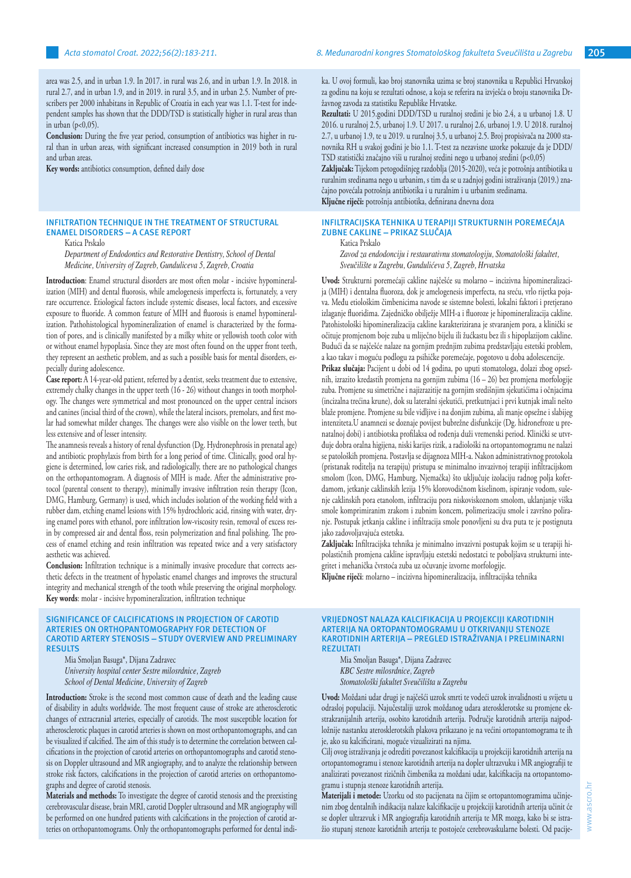area was 2.5, and in urban 1.9. In 2017. in rural was 2.6, and in urban 1.9. In 2018. in rural 2.7, and in urban 1.9, and in 2019. in rural 3.5, and in urban 2.5. Number of prescribers per 2000 inhabitans in Republic of Croatia in each year was 1.1. T-test for independent samples has shown that the DDD/TSD is statistically higher in rural areas than in urban (p<0,05).

**Conclusion:** During the five year period, consumption of antibiotics was higher in rural than in urban areas, with significant increased consumption in 2019 both in rural and urban areas.

**Key words:** antibiotics consumption, defined daily dose

# **INFILTRATION TECHNIQUE IN THE TREATMENT OF STRUCTURAL ENAMEL DISORDERS – A CASE REPORT**

Katica Prskalo

*Department of Endodontics and Restorative Dentistry, School of Dental Medicine, University of Zagreb, Gunduliceva 5, Zagreb, Croatia*

**Introduction**: Enamel structural disorders are most often molar - incisive hypomineralization (MIH) and dental fluorosis, while amelogenesis imperfecta is, fortunately, a very rare occurrence. Etiological factors include systemic diseases, local factors, and excessive exposure to fluoride. A common feature of MIH and fluorosis is enamel hypomineralization. Pathohistological hypomineralization of enamel is characterized by the formation of pores, and is clinically manifested by a milky white or yellowish tooth color with or without enamel hypoplasia. Since they are most often found on the upper front teeth, they represent an aesthetic problem, and as such a possible basis for mental disorders, especially during adolescence.

**Case report:** A 14-year-old patient, referred by a dentist, seeks treatment due to extensive, extremely chalky changes in the upper teeth (16 - 26) without changes in tooth morphology. The changes were symmetrical and most pronounced on the upper central incisors and canines (incisal third of the crown), while the lateral incisors, premolars, and first molar had somewhat milder changes. The changes were also visible on the lower teeth, but less extensive and of lesser intensity.

The anamnesis reveals a history of renal dysfunction (Dg. Hydronephrosis in prenatal age) and antibiotic prophylaxis from birth for a long period of time. Clinically, good oral hygiene is determined, low caries risk, and radiologically, there are no pathological changes on the orthopantomogram. A diagnosis of MIH is made. After the administrative protocol (parental consent to therapy), minimally invasive infiltration resin therapy (Icon, DMG, Hamburg, Germany) is used, which includes isolation of the working field with a rubber dam, etching enamel lesions with 15% hydrochloric acid, rinsing with water, drying enamel pores with ethanol, pore infiltration low-viscosity resin, removal of excess resin by compressed air and dental floss, resin polymerization and final polishing. The process of enamel etching and resin infiltration was repeated twice and a very satisfactory aesthetic was achieved.

**Conclusion:** Infiltration technique is a minimally invasive procedure that corrects aesthetic defects in the treatment of hypolastic enamel changes and improves the structural integrity and mechanical strength of the tooth while preserving the original morphology. **Key words**: molar - incisive hypomineralization, infiltration technique

#### **SIGNIFICANCE OF CALCIFICATIONS IN PROJECTION OF CAROTID ARTERIES ON ORTHOPANTOMOGRAPHY FOR DETECTION OF CAROTID ARTERY STENOSIS – STUDY OVERVIEW AND PRELIMINARY RESULTS**

Mia Smoljan Basuga\*, Dijana Zadravec *University hospital center Sestre milosrdnice, Zagreb School of Dental Medicine, University of Zagreb*

**Introduction:** Stroke is the second most common cause of death and the leading cause of disability in adults worldwide. The most frequent cause of stroke are atherosclerotic changes of extracranial arteries, especially of carotids. The most susceptible location for atherosclerotic plaques in carotid arteries is shown on most orthopantomographs, and can be visualized if calcified. The aim of this study is to determine the correlation between calcifications in the projection of carotid arteries on orthopantomographs and carotid stenosis on Doppler ultrasound and MR angiography, and to analyze the relationship between stroke risk factors, calcifications in the projection of carotid arteries on orthopantomographs and degree of carotid stenosis.

**Materials and methods:** To investigate the degree of carotid stenosis and the preexisting cerebrovascular disease, brain MRI, carotid Doppler ultrasound and MR angiography will be performed on one hundred patients with calcifications in the projection of carotid arteries on orthopantomograms. Only the orthopantomographs performed for dental indika. U ovoj formuli, kao broj stanovnika uzima se broj stanovnika u Republici Hrvatskoj za godinu na koju se rezultati odnose, a koja se referira na izvješća o broju stanovnika Državnog zavoda za statistiku Republike Hrvatske.

**Rezultati:** U 2015.godini DDD/TSD u ruralnoj sredini je bio 2.4, a u urbanoj 1.8. U 2016. u ruralnoj 2.5, urbanoj 1.9. U 2017. u ruralnoj 2.6, urbanoj 1.9. U 2018. ruralnoj 2.7, u urbanoj 1.9, te u 2019. u ruralnoj 3.5, u urbanoj 2.5. Broj propisivača na 2000 stanovnika RH u svakoj godini je bio 1.1. T-test za nezavisne uzorke pokazuje da je DDD/ TSD statistički značajno viši u ruralnoj sredini nego u urbanoj sredini (p<0,05)

**Zaključak:** Tijekom petogodišnjeg razdoblja (2015-2020), veća je potrošnja antibiotika u ruralnim sredinama nego u urbanim, s tim da se u zadnjoj godini istraživanja (2019.) značajno povećala potrošnja antibiotika i u ruralnim i u urbanim sredinama. **Ključne riječi:** potrošnja antibiotika, definirana dnevna doza

# **INFILTRACIJSKA TEHNIKA U TERAPIJI STRUKTURNIH POREMEĆAJA ZUBNE CAKLINE – PRIKAZ SLUČAJA**

Katica Prskalo

*Zavod za endodonciju i restaurativnu stomatologiju, Stomatološki fakultet, Sveučilište u Zagrebu, Gundulićeva 5, Zagreb, Hrvatska*

**Uvod:** Strukturni poremećaji cakline najčešće su molarno – incizivna hipomineralizacija (MIH) i dentalna fluoroza, dok je amelogenesis imperfecta, na sreću, vrlo rijetka pojava. Među etiološkim čimbenicima navode se sistemne bolesti, lokalni faktori i pretjerano izlaganje fluoridima. Zajedničko obilježje MIH-a i fluoroze je hipomineralizacija cakline. Patohistološki hipomineralizacija cakline karakterizirana je stvaranjem pora, a klinički se očituje promjenom boje zuba u mliječno bijelu ili žućkastu bez ili s hipoplazijom cakline. Budući da se najčešće nalaze na gornjim prednjim zubima predstavljaju estetski problem, a kao takav i moguću podlogu za psihičke poremećaje, pogotovo u doba adolescencije.

**Prikaz slučaja:** Pacijent u dobi od 14 godina, po uputi stomatologa, dolazi zbog opsežnih, izrazito kredastih promjena na gornjim zubima (16 – 26) bez promjena morfologije zuba. Promjene su simetrične i najizrazitije na gornjim središnjim sjekutićima i očnjacima (incizalna trećina krune), dok su lateralni sjekutići, pretkutnjaci i prvi kutnjak imali nešto blaže promjene. Promjene su bile vidljive i na donjim zubima, ali manje opsežne i slabijeg intenziteta.U anamnezi se doznaje povijest bubrežne disfunkcije (Dg. hidronefroze u prenatalnoj dobi) i antibiotska profilaksa od rođenja duži vremenski period. Klinički se utvrđuje dobra oralna higijena, niski karijes rizik, a radiološki na ortopantomogramu ne nalazi se patoloških promjena. Postavlja se dijagnoza MIH-a. Nakon administrativnog protokola (pristanak roditelja na terapiju) pristupa se minimalno invazivnoj terapiji infiltracijskom smolom (Icon, DMG, Hamburg, Njemačka) što uključuje izolaciju radnog polja koferdamom, jetkanje caklinskih lezija 15% klorovodičnom kiselinom, ispiranje vodom, sušenje caklinskih pora etanolom, infiltraciju pora niskoviskoznom smolom, uklanjanje viška smole komprimiranim zrakom i zubnim koncem, polimerizaciju smole i završno poliranje. Postupak jetkanja cakline i infiltracija smole ponovljeni su dva puta te je postignuta jako zadovoljavajuća estetska.

**Zaključak:** Infiltracijska tehnika je minimalno invazivni postupak kojim se u terapiji hipolastičnih promjena cakline ispravljaju estetski nedostatci te poboljšava strukturni integritet i mehanička čvrstoća zuba uz očuvanje izvorne morfologije.

**Ključne riječi**: molarno – incizivna hipomineralizacija, infiltracijska tehnika

#### **VRIJEDNOST NALAZA KALCIFIKACIJA U PROJEKCIJI KAROTIDNIH ARTERIJA NA ORTOPANTOMOGRAMU U OTKRIVANJU STENOZE KAROTIDNIH ARTERIJA – PREGLED ISTRAŽIVANJA I PRELIMINARNI REZULTATI**

Mia Smoljan Basuga\*, Dijana Zadravec *KBC Sestre milosrdnice, Zagreb Stomatološki fakultet Sveučilišta u Zagrebu*

**Uvod:** Moždani udar drugi je najčešći uzrok smrti te vodeći uzrok invalidnosti u svijetu u odrasloj populaciji. Najučestaliji uzrok moždanog udara aterosklerotske su promjene ekstrakranijalnih arterija, osobito karotidnih arterija. Područje karotidnih arterija najpodložnije nastanku aterosklerotskih plakova prikazano je na većini ortopantomograma te ih je, ako su kalcificirani, moguće vizualizirati na njima.

Cilj ovog istraživanja je odrediti povezanost kalcifikacija u projekciji karotidnih arterija na ortopantomogramu i stenoze karotidnih arterija na dopler ultrazvuku i MR angiografiji te analizirati povezanost rizičnih čimbenika za moždani udar, kalcifikacija na ortopantomogramu i stupnja stenoze karotidnih arterija.

**Materijali i metode:** Uzorku od sto pacijenata na čijim se ortopantomogramima učinjenim zbog dentalnih indikacija nalaze kalcifikacije u projekciji karotidnih arterija učinit će se dopler ultrazvuk i MR angiografija karotidnih arterija te MR mozga, kako bi se istražio stupanj stenoze karotidnih arterija te postojeće cerebrovaskularne bolesti. Od pacije-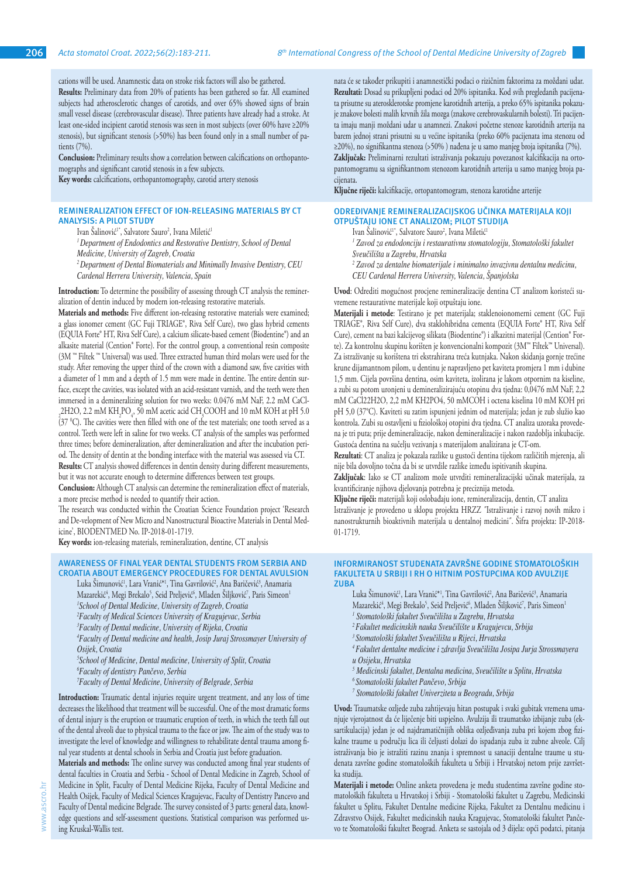cations will be used. Anamnestic data on stroke risk factors will also be gathered. **Results:** Preliminary data from 20% of patients has been gathered so far. All examined subjects had atherosclerotic changes of carotids, and over 65% showed signs of brain small vessel disease (cerebrovascular disease). Three patients have already had a stroke. At least one-sided incipient carotid stenosis was seen in most subjects (over 60% have ≥20% stenosis), but significant stenosis (>50%) has been found only in a small number of patients (7%).

**Conclusion:** Preliminary results show a correlation between calcifications on orthopantomographs and significant carotid stenosis in a few subjects.

**Key words:** calcifications, orthopantomography, carotid artery stenosis

## **REMINERALIZATION EFFECT OF ION-RELEASING MATERIALS BY CT ANALYSIS: A PILOT STUDY**

Ivan Salinović<sup>i\*</sup>, Salvatore Sauro<sup>2</sup>, Ivana Miletić<sup>1</sup>

*<sup>1</sup>Department of Endodontics and Restorative Dentistry, School of Dental* 

*Medicine, University of Zagreb, Croatia*

*2 Department of Dental Biomaterials and Minimally Invasive Dentistry, CEU Cardenal Herrera University, Valencia, Spain*

**Introduction:** To determine the possibility of assessing through CT analysis the remineralization of dentin induced by modern ion-releasing restorative materials.

**Materials and methods:** Five different ion-releasing restorative materials were examined; a glass ionomer cement (GC Fuji TRIAGE®, Riva Self Cure), two glass hybrid cements (EQUIA Forte® HT, Riva Self Cure), a calcium silicate-based cement (Biodentine®) and an alkasite material (Cention® Forte). For the control group, a conventional resin composite (3M ™ Filtek ™ Universal) was used. Three extracted human third molars were used for the study. After removing the upper third of the crown with a diamond saw, five cavities with a diameter of 1 mm and a depth of 1.5 mm were made in dentine. The entire dentin surface, except the cavities, was isolated with an acid-resistant varnish, and the teeth were then immersed in a demineralizing solution for two weeks: 0.0476 mM NaF, 2.2 mM CaCl- $_{2}$ 2H2O, 2.2 mM KH<sub>2</sub>PO<sub>4</sub>, 50 mM acetic acid CH<sub>3</sub>COOH and 10 mM KOH at pH 5.0 (37 <sup>0</sup> C). The cavities were then filled with one of the test materials; one tooth served as a control. Teeth were left in saline for two weeks. CT analysis of the samples was performed three times; before demineralization, after demineralization and after the incubation period. The density of dentin at the bonding interface with the material was assessed via CT. **Results:** CT analysis showed differences in dentin density during different measurements,

but it was not accurate enough to determine differences between test groups. **Conclusion:** Although CT analysis can determine the remineralization effect of materials, a more precise method is needed to quantify their action.

The research was conducted within the Croatian Science Foundation project 'Research and De-velopment of New Micro and Nanostructural Bioactive Materials in Dental Medicine', BIODENTMED No. IP-2018-01-1719.

**Key words:** ion-releasing materials, remineralization, dentine, CT analysis

#### **AWARENESS OF FINAL YEAR DENTAL STUDENTS FROM SERBIA AND CROATIA ABOUT EMERGENCY PROCEDURES FOR DENTAL AVULSION**

Luka Simunović<sup>1</sup>, Lara Vranić\*<sup>1</sup>, Tina Gavrilović<sup>2</sup>, Ana Baričević<sup>3</sup>, Anamaria

- Mazarekić<sup>4</sup>, Megi Brekalo<sup>5</sup>, Seid Preljević<sup>6</sup>, Mladen Siljković<sup>7</sup>, Paris Simeon<sup>1</sup>
- *1 School of Dental Medicine, University of Zagreb, Croatia*
- *2 Faculty of Medical Sciences University of Kragujevac, Serbia*
- *3 Faculty of Dental medicine, University of Rijeka, Croatia*

*4 Faculty of Dental medicine and health, Josip Juraj Strossmayer University of Osijek, Croatia*

*5 School of Medicine, Dental medicine, University of Split, Croatia*

*6 Faculty of dentistry Pančevo, Serbia*

*7 Faculty of Dental Medicine, University of Belgrade, Serbia*

**Introduction:** Traumatic dental injuries require urgent treatment, and any loss of time decreases the likelihood that treatment will be successful. One of the most dramatic forms of dental injury is the eruption or traumatic eruption of teeth, in which the teeth fall out of the dental alveoli due to physical trauma to the face or jaw. The aim of the study was to investigate the level of knowledge and willingness to rehabilitate dental trauma among final year students at dental schools in Serbia and Croatia just before graduation.

**Materials and methods:** The online survey was conducted among final year students of dental faculties in Croatia and Serbia - School of Dental Medicine in Zagreb, School of Medicine in Split, Faculty of Dental Medicine Rijeka, Faculty of Dental Medicine and Health Osijek, Faculty of Medical Sciences Kragujevac, Faculty of Dentistry Pancevo and Faculty of Dental medicine Belgrade. The survey consisted of 3 parts: general data, knowledge questions and self-assessment questions. Statistical comparison was performed using Kruskal-Wallis test.

nata će se također prikupiti i anamnestički podaci o rizičnim faktorima za moždani udar. **Rezultati:** Dosad su prikupljeni podaci od 20% ispitanika. Kod svih pregledanih pacijenata prisutne su aterosklerotske promjene karotidnih arterija, a preko 65% ispitanika pokazuje znakove bolesti malih krvnih žila mozga (znakove cerebrovaskularnih bolesti). Tri pacijenta imaju manji moždani udar u anamnezi. Znakovi početne stenoze karotidnih arterija na barem jednoj strani prisutni su u većine ispitanika (preko 60% pacijenata ima stenozu od ≥20%), no signifikantna stenoza (>50% ) nađena je u samo manjeg broja ispitanika (7%). **Zaključak:** Preliminarni rezultati istraživanja pokazuju povezanost kalcifikacija na ortopantomogramu sa signifikantnom stenozom karotidnih arterija u samo manjeg broja pacijenata.

**Ključne riječi:** kalcifikacije, ortopantomogram, stenoza karotidne arterije

## **ODREĐIVANJE REMINERALIZACIJSKOG UČINKA MATERIJALA KOJI OTPUŠTAJU IONE CT ANALIZOM; PILOT STUDIJA**

- Ivan Salinović<sup>1\*</sup>, Salvatore Sauro<sup>2</sup>, Ivana Miletić<sup>1</sup>
- <sup>1</sup> Zavod za endodonciju i restaurativnu stomatologiju, Stomatološki fakultet
- *Sveučilišta u Zagrebu, Hrvatska*
- *2 Zavod za dentalne biomaterijale i minimalno invazivnu dentalnu medicinu, CEU Cardenal Herrera University, Valencia, Španjolska*

**Uvod**: Odrediti mogućnost procjene remineralizacije dentina CT analizom koristeći suvremene restaurativne materijale koji otpuštaju ione.

**Materijali i metode**: Testirano je pet materijala; staklenoionomerni cement (GC Fuji TRIAGE®, Riva Self Cure), dva staklohibridna cementa (EQUIA Forte® HT, Riva Self Cure), cement na bazi kalcijevog silikata (Biodentine®) i alkazitni materijal (Cention® Forte). Za kontrolnu skupinu korišten je konvencionalni kompozit (3M™ Filtek™ Universal). Za istraživanje su korištena tri ekstrahirana treća kutnjaka. Nakon skidanja gornje trećine krune dijamantnom pilom, u dentinu je napravljeno pet kaviteta promjera 1 mm i dubine 1,5 mm. Cijela površina dentina, osim kaviteta, izolirana je lakom otpornim na kiseline, a zubi su potom uronjeni u demineralizirajuću otopinu dva tjedna: 0,0476 mM NaF, 2,2 mM CaCl22H2O, 2,2 mM KH2PO4, 50 mMCOH i octena kiselina 10 mM KOH pri pH 5,0 (37°C). Kaviteti su zatim ispunjeni jednim od materijala; jedan je zub služio kao kontrola. Zubi su ostavljeni u fiziološkoj otopini dva tjedna. CT analiza uzoraka provedena je tri puta; prije demineralizacije, nakon demineralizacije i nakon razdoblja inkubacije. Gustoća dentina na sučelju vezivanja s materijalom analizirana je CT-om.

**Rezultati**: CT analiza je pokazala razlike u gustoći dentina tijekom različitih mjerenja, ali nije bila dovoljno točna da bi se utvrdile razlike između ispitivanih skupina.

**Zaključak**: Iako se CT analizom može utvrditi remineralizacijski učinak materijala, za kvantificiranje njihova djelovanja potrebna je preciznija metoda.

**Ključne riječi:** materijali koji oslobađaju ione, remineralizacija, dentin, CT analiza Istraživanje je provedeno u sklopu projekta HRZZ ˝Istraživanje i razvoj novih mikro i nanostrukturnih bioaktivnih materijala u dentalnoj medicini˝. Šifra projekta: IP-2018- 01-1719.

#### **INFORMIRANOST STUDENATA ZAVRŠNE GODINE STOMATOLOŠKIH FAKULTETA U SRBIJI I RH O HITNIM POSTUPCIMA KOD AVULZIJE ZUBA**

- Luka Simunović<sup>1</sup>, Lara Vranić\*<sup>1</sup>, Tina Gavrilović<sup>2</sup>, Ana Baričević<sup>3</sup>, Anamaria Mazarekić<sup>a</sup>, Megi Brekalo<sup>5</sup>, Seid Preljević<sup>6</sup>, Mladen Siljković<sup>7</sup>, Paris Simeon<sup>1</sup>
- *1 Stomatološki fakultet Sveučilišta u Zagrebu, Hrvatska*
- *<sup>2</sup>Fakultet medicinskih nauka Sveučilište u Kragujevcu, Srbija*
- *<sup>3</sup>Stomatološki fakultet Sveučilišta u Rijeci, Hrvatska*
- *<sup>4</sup>Fakultet dentalne medicine i zdravlja Sveučilišta Josipa Jurja Strossmayera u Osijeku, Hrvatska*
- *5 Medicinski fakultet, Dentalna medicina, Sveučilište u Splitu, Hrvatska*
- *<sup>6</sup>Stomatološki fakultet Pančevo, Srbija*
- *7 Stomatološki fakultet Univerziteta u Beogradu, Srbija*

**Uvod:** Traumatske ozljede zuba zahtijevaju hitan postupak i svaki gubitak vremena umanjuje vjerojatnost da će liječenje biti uspješno. Avulzija ili traumatsko izbijanje zuba (eksartikulacija) jedan je od najdramatičnijih oblika ozljeđivanja zuba pri kojem zbog fizikalne traume u području lica ili čeljusti dolazi do ispadanja zuba iz zubne alveole. Cilj istraživanja bio je istražiti razinu znanja i spremnost u sanaciji dentalne traume u studenata završne godine stomatoloških fakulteta u Srbiji i Hrvatskoj netom prije završetka studija.

**Materijali i metode:** Online anketa provedena je među studentima završne godine stomatoloških fakulteta u Hrvatskoj i Srbiji - Stomatološki fakultet u Zagrebu, Medicinski fakultet u Splitu, Fakultet Dentalne medicine Rijeka, Fakultet za Dentalnu medicinu i Zdravstvo Osijek, Fakultet medicinskih nauka Kragujevac, Stomatološki fakultet Pančevo te Stomatološki fakultet Beograd. Anketa se sastojala od 3 dijela: opći podatci, pitanja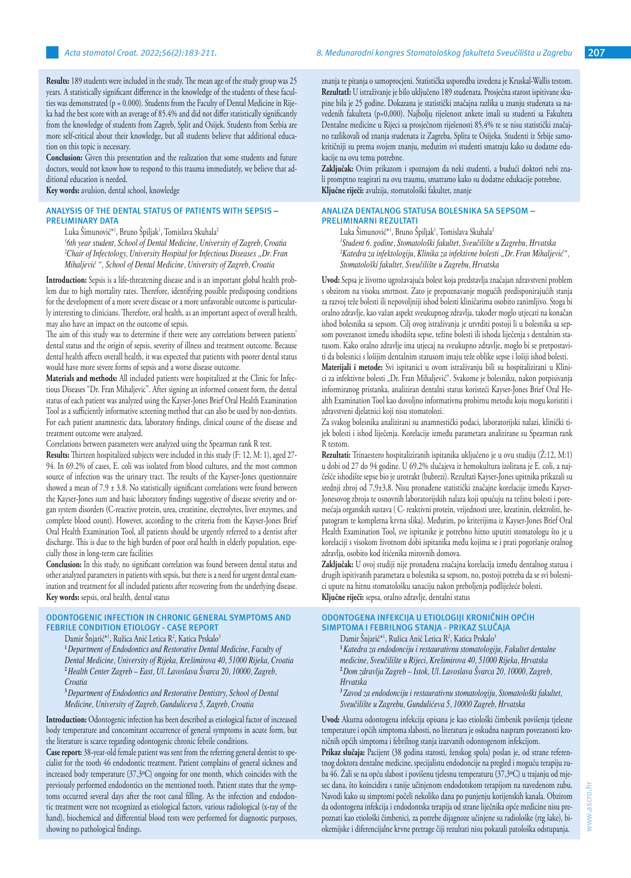**Results:** 189 students were included in the study. The mean age of the study group was 25 years. A statistically significant difference in the knowledge of the students of these faculties was demonstrated ( $p = 0.000$ ). Students from the Faculty of Dental Medicine in Rijeka had the best score with an average of 85.4% and did not differ statistically significantly from the knowledge of students from Zagreb, Split and Osijek. Students from Serbia are more self-critical about their knowledge, but all students believe that additional education on this topic is necessary.

**Conclusion:** Given this presentation and the realization that some students and future doctors, would not know how to respond to this trauma immediately, we believe that additional education is needed.

**Key words:** avulsion, dental school, knowledge

## **ANALYSIS OF THE DENTAL STATUS OF PATIENTS WITH SEPSIS – PRELIMINARY DATA**

Luka Simunović\*', Bruno Spiljak', Tomislava Skuhala<del>'</del>

*1 6th year student, School of Dental Medicine, University of Zagreb, Croatia* <sup>2</sup>Chair of Infectology, University Hospital for Infectious Diseases "Dr. Fran *Mihaljević ", School of Dental Medicine, University of Zagreb, Croatia*

**Introduction:** Sepsis is a life-threatening disease and is an important global health problem due to high mortality rates. Therefore, identifying possible predisposing conditions for the development of a more severe disease or a more unfavorable outcome is particularly interesting to clinicians. Therefore, oral health, as an important aspect of overall health, may also have an impact on the outcome of sepsis.

The aim of this study was to determine if there were any correlations between patients' dental status and the origin of sepsis, severity of illness and treatment outcome. Because dental health affects overall health, it was expected that patients with poorer dental status would have more severe forms of sepsis and a worse disease outcome.

**Materials and methods:** All included patients were hospitalized at the Clinic for Infectious Diseases "Dr. Fran Mihaljevic". After signing an informed consent form, the dental status of each patient was analyzed using the Kayser-Jones Brief Oral Health Examination Tool as a sufficiently informative screening method that can also be used by non-dentists. For each patient anamnestic data, laboratory findings, clinical course of the disease and treatment outcome were analyzed.

Correlations between parameters were analyzed using the Spearman rank R test.

**Results:** Thirteen hospitalized subjects were included in this study (F: 12, M: 1), aged 27- 94. In 69.2% of cases, E. coli was isolated from blood cultures, and the most common source of infection was the urinary tract. The results of the Kayser-Jones questionnaire showed a mean of  $7.9 \pm 3.8$ . No statistically significant correlations were found between the Kayser-Jones sum and basic laboratory findings suggestive of disease severity and organ system disorders (C-reactive protein, urea, creatinine, electrolytes, liver enzymes, and complete blood count). However, according to the criteria from the Kayser-Jones Brief Oral Health Examination Tool, all patients should be urgently referred to a dentist after discharge. This is due to the high burden of poor oral health in elderly population, especially those in long-term care facilities

**Conclusion:** In this study, no significant correlation was found between dental status and other analyzed parameters in patients with sepsis, but there is a need for urgent dental examination and treatment for all included patients after recovering from the underlying disease. **Key words:** sepsis, oral health, dental status

## **ODONTOGENIC INFECTION IN CHRONIC GENERAL SYMPTOMS AND FEBRILE CONDITION ETIOLOGY - CASE REPORT**

Damir Snjarić\*<sup>1</sup>, Ružica Anić Letica R<sup>2</sup>, Katica Prskalo<sup>3</sup>

**<sup>1</sup>***Department of Endodontics and Restorative Dental Medicine, Faculty of Dental Medicine, University of Rijeka, Krešimirova 40, 51000 Rijeka, Croatia* **<sup>2</sup>***Health Center Zagreb – East, Ul. Lavoslava Švarca 20, 10000, Zagreb, Croatia*

**<sup>3</sup>***Department of Endodontics and Restorative Dentistry, School of Dental Medicine, University of Zagreb, Gunduliceva 5, Zagreb, Croatia*

**Introduction:** Odontogenic infection has been described as etiological factor of increased body temperature and concomitant occurrence of general symptoms in acute form, but the literature is scarce regarding odontogenic chronic febrile conditions.

**Case report:** 38-year-old female patient was sent from the referring general dentist to specialist for the tooth 46 endodontic treatment. Patient complains of general sickness and increased body temperature (37,3ºC) ongoing for one month, which coincides with the previously performed endodontics on the mentioned tooth. Patient states that the symptoms occurred several days after the root canal filling. As the infection and endodontic treatment were not recognized as etiological factors, various radiological (x-ray of the hand), biochemical and differential blood tests were performed for diagnostic purposes, showing no pathological findings.

znanja te pitanja o samoprocjeni. Statistička usporedba izvedena je Kruskal-Wallis testom. **RezultatI:** U istraživanje je bilo uključeno 189 studenata. Prosječna starost ispitivane skupine bila je 25 godine. Dokazana je statistički značajna razlika u znanju studenata sa navedenih fakulteta (p=0,000). Najbolju riješenost ankete imali su studenti sa Fakulteta Dentalne medicine u Rijeci sa prosječnom riješenosti 85,4% te se nisu statistički značajno razlikovali od znanja studenata iz Zagreba, Splita te Osijeka. Studenti iz Srbije samokritičniji su prema svojem znanju, međutim svi studenti smatraju kako su dodatne edukacije na ovu temu potrebne.

**Zaključak:** Ovim prikazom i spoznajom da neki studenti, a budući doktori nebi znali promptno reagirati na ovu traumu, smatramo kako su dodatne edukacije potrebne. **Ključne riječi:** avulzija, stomatološki fakultet, znanje

# **ANALIZA DENTALNOG STATUSA BOLESNIKA SA SEPSOM – PRELIMINARNI REZULTATI**

Luka Simunović\*<sup>1</sup>, Bruno Spiljak<sup>1</sup>, Tomislava Skuhala<sup>2</sup> *1 Student 6. godine, Stomatološki fakultet, Sveučilište u Zagrebu, Hrvatska 2 Katedra za infektologiju, Klinika za infektivne bolesti "Dr. Fran Mihaljević", Stomatološki fakultet, Sveučilište u Zagrebu, Hrvatska*

**Uvod:** Sepsa je životno ugrožavajuća bolest koja predstavlja značajan zdravstveni problem s obzirom na visoku smrtnost. Zato je prepoznavanje mogućih predisponirajućih stanja za razvoj teže bolesti ili nepovoljniji ishod bolesti kliničarima osobito zanimljivo. Stoga bi oralno zdravlje, kao važan aspekt sveukupnog zdravlja, također moglo utjecati na konačan ishod bolesnika sa sepsom. Cilj ovog istraživanja je utvrditi postoji li u bolesnika sa sepsom povezanost između ishodišta sepse, težine bolesti ili ishoda liječenja s dentalnim statusom. Kako oralno zdravlje ima utjecaj na sveukupno zdravlje, moglo bi se pretpostaviti da bolesnici s lošijim dentalnim statusom imaju teže oblike sepse i lošiji ishod bolesti.

**Materijali i metode:** Svi ispitanici u ovom istraživanju bili su hospitalizirani u Klinici za infektivne bolesti "Dr. Fran Mihaljević". Svakome je bolesniku, nakon potpisivanja informiranog pristanka, analiziran dentalni status koristeći Kayser-Jones Brief Oral Health Examination Tool kao dovoljno informativnu probirnu metodu koju mogu koristiti i zdravstveni djelatnici koji nisu stomatolozi.

Za svakog bolesnika analizirani su anamnestički podaci, laboratorijski nalazi, klinički tijek bolesti i ishod liječenja. Korelacije između parametara analizirane su Spearman rank R testom.

**Rezultati:** Trinaestero hospitaliziranih ispitanika uključeno je u ovu studiju (Ž:12, M:1) u dobi od 27 do 94 godine. U 69,2% slučajeva iz hemokultura izolirana je E. coli, a najčešće ishodište sepse bio je urotrakt (bubrezi). Rezultati Kayser-Jones upitnika prikazali su srednji zbroj od 7,9±3,8. Nisu pronađene statistički značajne korelacije između Kayser-Jonesovog zbroja te osnovnih laboratorijskih nalaza koji upućuju na težinu bolesti i poremećaja organskih sustava ( C- reaktivni protein, vrijednosti uree, kreatinin, elektroliti, hepatogram te kompletna krvna slika). Međutim, po kriterijima iz Kayser-Jones Brief Oral Health Examination Tool, sve ispitanike je potrebno hitno uputiti stomatologu što je u korelaciji s visokom životnom dobi ispitanika među kojima se i prati pogoršanje oralnog zdravlja, osobito kod štićenika mirovnih domova.

**Zaključak:** U ovoj studiji nije pronađena značajna korelacija između dentalnog statusa i drugih ispitivanih parametara u bolesnika sa sepsom, no, postoji potreba da se svi bolesnici upute na hitnu stomatološku sanaciju nakon preboljenja podliježeće bolesti. **Ključne riječi:** sepsa, oralno zdravlje, dentalni status

# **ODONTOGENA INFEKCIJA U ETIOLOGIJI KRONIČNIH OPĆIH SIMPTOMA I FEBRILNOG STANJA - PRIKAZ SLUČAJA**

Damir Snjarić<sup>\*1</sup>, Ružica Anić Letica R<sup>2</sup>, Katica Prskalo<sup>3</sup>

**<sup>1</sup>***Katedra za endodonciju i restaurativnu stomatologiju, Fakultet dentalne medicine, Sveučilište u Rijeci, Krešimirova 40, 51000 Rijeka, Hrvatska* **<sup>2</sup>***Dom zdravlja Zagreb – Istok, Ul. Lavoslava Švarca 20, 10000, Zagreb, Hrvatska*

**<sup>3</sup>** *Zavod za endodonciju i restaurativnu stomatologiju, Stomatološki fakultet, Sveučilište u Zagrebu, Gundulićeva 5, 10000 Zagreb, Hrvatska*

**Uvod:** Akutna odontogena infekcija opisana je kao etiološki čimbenik povišenja tjelesne temperature i općih simptoma slabosti, no literatura je oskudna naspram povezanosti kroničnih općih simptoma i febrilnog stanja izazvanih odontogenom infekcijom.

**Prikaz slučaja:** Pacijent (38 godina starosti, ženskog spola) poslan je, od strane referentnog doktora dentalne medicine, specijalistu endodoncije na pregled i moguću terapiju zuba 46. Žali se na opću slabost i povišenu tjelesnu temperaturu (37,3ºC) u trajanju od mjesec dana, što koincidira s ranije učinjenom endodotskom terapijom na navedenom zubu. Navodi kako su simptomi počeli nekoliko dana po punjenju korijenskih kanala. Obzirom da odontogena infekcija i endodontska terapija od strane liječnika opće medicine nisu prepoznati kao etiološki čimbenici, za potrebe dijagnoze učinjene su radiološke (rtg šake), biokemijske i diferencijalne krvne pretrage čiji rezultati nisu pokazali patološka odstupanja.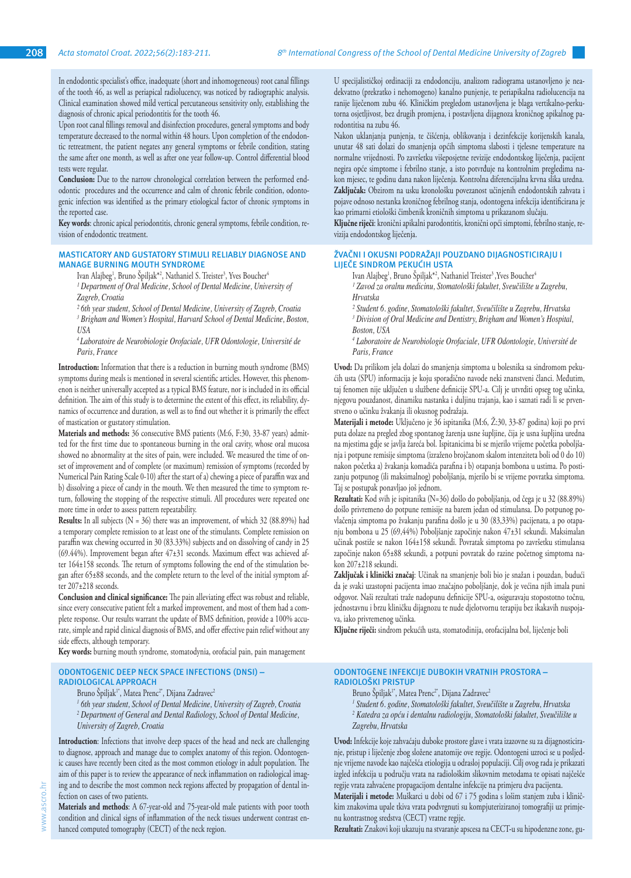In endodontic specialist's office, inadequate (short and inhomogeneous) root canal fillings of the tooth 46, as well as periapical radiolucency, was noticed by radiographic analysis. Clinical examination showed mild vertical percutaneous sensitivity only, establishing the diagnosis of chronic apical periodontitis for the tooth 46.

Upon root canal fillings removal and disinfection procedures, general symptoms and body temperature decreased to the normal within 48 hours. Upon completion of the endodontic retreatment, the patient negates any general symptoms or febrile condition, stating the same after one month, as well as after one year follow-up. Control differential blood tests were regular.

**Conclusion:** Due to the narrow chronological correlation between the performed endodontic procedures and the occurrence and calm of chronic febrile condition, odontogenic infection was identified as the primary etiological factor of chronic symptoms in the reported case.

**Key words**: chronic apical periodontitis, chronic general symptoms, febrile condition, revision of endodontic treatment.

#### **MASTICATORY AND GUSTATORY STIMULI RELIABLY DIAGNOSE AND MANAGE BURNING MOUTH SYNDROME**

Ivan Alajbeg<sup>1</sup>, Bruno Spiljak<sup>\*2</sup>, Nathaniel S. Treister<sup>3</sup>, Yves Boucher<sup>4</sup>

<sup>1</sup> Department of Oral Medicine, School of Dental Medicine, University of *Zagreb, Croatia*

*² 6th year student, School of Dental Medicine, University of Zagreb, Croatia 3 Brigham and Women's Hospital, Harvard School of Dental Medicine, Boston, USA*

*<sup>4</sup>Laboratoire de Neurobiologie Orofaciale, UFR Odontologie, Université de Paris, France*

**Introduction:** Information that there is a reduction in burning mouth syndrome (BMS) symptoms during meals is mentioned in several scientific articles. However, this phenomenon is neither universally accepted as a typical BMS feature, nor is included in its official definition. The aim of this study is to determine the extent of this effect, its reliability, dynamics of occurrence and duration, as well as to find out whether it is primarily the effect of mastication or gustatory stimulation.

**Materials and methods:** 36 consecutive BMS patients (M:6, F:30, 33-87 years) admitted for the first time due to spontaneous burning in the oral cavity, whose oral mucosa showed no abnormality at the sites of pain, were included. We measured the time of onset of improvement and of complete (or maximum) remission of symptoms (recorded by Numerical Pain Rating Scale 0-10) after the start of a) chewing a piece of paraffin wax and b) dissolving a piece of candy in the mouth. We then measured the time to symptom return, following the stopping of the respective stimuli. All procedures were repeated one more time in order to assess pattern repeatability.

**Results:** In all subjects (N = 36) there was an improvement, of which 32 (88.89%) had a temporary complete remission to at least one of the stimulants. Complete remission on paraffin wax chewing occurred in 30 (83.33%) subjects and on dissolving of candy in 25 (69.44%). Improvement began after 47±31 seconds. Maximum effect was achieved after 164±158 seconds. The return of symptoms following the end of the stimulation began after 65±88 seconds, and the complete return to the level of the initial symptom after 207±218 seconds.

**Conclusion and clinical significance:** The pain alleviating effect was robust and reliable, since every consecutive patient felt a marked improvement, and most of them had a complete response. Our results warrant the update of BMS definition, provide a 100% accurate, simple and rapid clinical diagnosis of BMS, and offer effective pain relief without any side effects, although temporary.

**Key words:** burning mouth syndrome, stomatodynia, orofacial pain, pain management

## **ODONTOGENIC DEEP NECK SPACE INFECTIONS (DNSI) – RADIOLOGICAL APPROACH**

Bruno Špiljak<sup>1\*</sup>, Matea Prenc<sup>2\*</sup>, Dijana Zadravec<sup>2</sup>

*1 6th year student, School of Dental Medicine, University of Zagreb, Croatia* <sup>2</sup> Department of General and Dental Radiology, School of Dental Medicine, *University of Zagreb, Croatia*

**Introduction**: Infections that involve deep spaces of the head and neck are challenging to diagnose, approach and manage due to complex anatomy of this region. Odontogenic causes have recently been cited as the most common etiology in adult population. The aim of this paper is to review the appearance of neck inflammation on radiological imaging and to describe the most common neck regions affected by propagation of dental infection on cases of two patients.

**Materials and methods**: A 67-year-old and 75-year-old male patients with poor tooth condition and clinical signs of inflammation of the neck tissues underwent contrast enhanced computed tomography (CECT) of the neck region.

U specijalističkoj ordinaciji za endodonciju, analizom radiograma ustanovljeno je neadekvatno (prekratko i nehomogeno) kanalno punjenje, te periapikalna radiolucencija na ranije liječenom zubu 46. Kliničkim pregledom ustanovljena je blaga vertikalno-perkutorna osjetljivost, bez drugih promjena, i postavljena dijagnoza kroničnog apikalnog parodontitisa na zubu 46.

Nakon uklanjanja punjenja, te čišćenja, oblikovanja i dezinfekcije korijenskih kanala, unutar 48 sati dolazi do smanjenja općih simptoma slabosti i tjelesne temperature na normalne vrijednosti. Po završetku višeposjetne revizije endodontskog liječenja, pacijent negira opće simptome i febrilno stanje, a isto potvrđuje na kontrolnim pregledima nakon mjesec, te godinu dana nakon liječenja. Kontrolna diferencijalna krvna slika uredna. **Zaključak:** Obzirom na usku kronološku povezanost učinjenih endodontskih zahvata i pojave odnoso nestanka kroničnog febrilnog stanja, odontogena infekcija identificirana je kao primarni etiološki čimbenik kroničnih simptoma u prikazanom slučaju.

**Ključne riječi**: kronični apikalni parodontitis, kronični opći simptomi, febrilno stanje, revizija endodontskog liječenja.

## **ŽVAČNI I OKUSNI PODRAŽAJI POUZDANO DIJAGNOSTICIRAJU I LIJEČE SINDROM PEKUĆIH USTA**

Ivan Alajbeg<sup>1</sup>, Bruno Spiljak<sup>\*2</sup>, Nathaniel Treister<sup>3</sup>, Yves Boucher<sup>4</sup>

<sup>1</sup> Zavod za oralnu medicinu, Stomatološki fakultet, Sveučilište u Zagrebu, *Hrvatska* 

*² Student 6. godine, Stomatološki fakultet, Sveučilište u Zagrebu, Hrvatska 3 Division of Oral Medicine and Dentistry, Brigham and Women's Hospital, Boston, USA* 

*4 Laboratoire de Neurobiologie Orofaciale, UFR Odontologie, Université de Paris, France*

**Uvod:** Da prilikom jela dolazi do smanjenja simptoma u bolesnika sa sindromom pekućih usta (SPU) informacija je koju sporadično navode neki znanstveni članci. Međutim, taj fenomen nije uključen u službene definicije SPU-a. Cilj je utvrditi opseg tog učinka, njegovu pouzdanost, dinamiku nastanka i duljinu trajanja, kao i saznati radi li se prvenstveno o učinku žvakanja ili okusnog podražaja.

**Materijali i metode:** Uključeno je 36 ispitanika (M:6, Ž:30, 33-87 godina) koji po prvi puta dolaze na pregled zbog spontanog žarenja usne šupljine, čija je usna šupljina uredna na mjestima gdje se javlja žareća bol. Ispitanicima bi se mjerilo vrijeme početka poboljšanja i potpune remisije simptoma (izraženo brojčanom skalom intenziteta boli od 0 do 10) nakon početka a) žvakanja komadića parafina i b) otapanja bombona u ustima. Po postizanju potpunog (ili maksimalnog) poboljšanja, mjerilo bi se vrijeme povratka simptoma. Taj se postupak ponavljao još jednom.

**Rezultati:** Kod svih je ispitanika (N=36) došlo do poboljšanja, od čega je u 32 (88.89%) došlo privremeno do potpune remisije na barem jedan od stimulansa. Do potpunog povlačenja simptoma po žvakanju parafina došlo je u 30 (83,33%) pacijenata, a po otapanju bombona u 25 (69,44%) Poboljšanje započinje nakon 47±31 sekundi. Maksimalan učinak postiže se nakon 164±158 sekundi. Povratak simptoma po završetku stimulansa započinje nakon 65±88 sekundi, a potpuni povratak do razine početnog simptoma nakon 207±218 sekundi.

**Zaključak i klinički značaj**: Učinak na smanjenje boli bio je snažan i pouzdan, budući da je svaki uzastopni pacijenta imao značajno poboljšanje, dok je većina njih imala puni odgovor. Naši rezultati traže nadopunu definicije SPU-a, osiguravaju stopostotno točnu, jednostavnu i brzu kliničku dijagnozu te nude djelotvornu terapiju bez ikakavih nuspojava, iako privremenog učinka.

**Ključne riječi:** sindrom pekućih usta, stomatodinija, orofacijalna bol, liječenje boli

#### **ODONTOGENE INFEKCIJE DUBOKIH VRATNIH PROSTORA – RADIOLOŠKI PRISTUP**

- Bruno Špiljak<sup>1\*</sup>, Matea Prenc<sup>2\*</sup>, Dijana Zadravec<sup>2</sup>
- <sup>1</sup> Student 6. godine, Stomatološki fakultet, Sveučilište u Zagrebu, Hrvatska
- *2 Katedra za opću i dentalnu radiologiju, Stomatološki fakultet, Sveučilište u Zagrebu, Hrvatska*

**Uvod:** Infekcije koje zahvaćaju duboke prostore glave i vrata izazovne su za dijagnosticiranje, pristup i liječenje zbog složene anatomije ove regije. Odontogeni uzroci se u posljednje vrijeme navode kao najčešća etiologija u odrasloj populaciji. Cilj ovog rada je prikazati izgled infekcija u području vrata na radiološkim slikovnim metodama te opisati najčešće regije vrata zahvaćene propagacijom dentalne infekcije na primjeru dva pacijenta.

**Materijali i metode:** Muškarci u dobi od 67 i 75 godina s lošim stanjem zuba i kliničkim znakovima upale tkiva vrata podvrgnuti su kompjuteriziranoj tomografiji uz primjenu kontrastnog sredstva (CECT) vratne regije.

**Rezultati:** Znakovi koji ukazuju na stvaranje apscesa na CECT-u su hipodenzne zone, gu-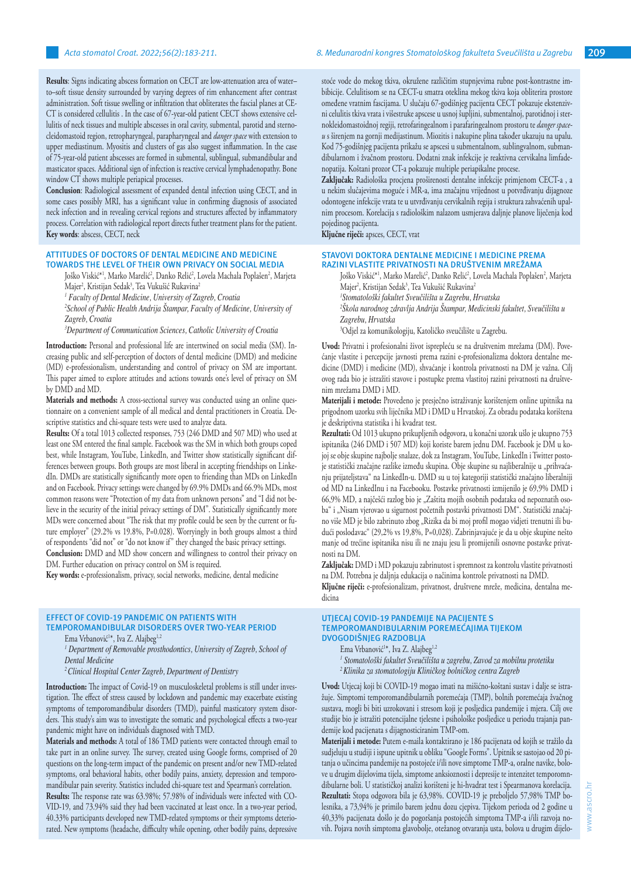**Results**: Signs indicating abscess formation on CECT are low-attenuation area of water– to–soft tissue density surrounded by varying degrees of rim enhancement after contrast administration. Soft tissue swelling or infiltration that obliterates the fascial planes at CE-CT is considered cellulitis . In the case of 67-year-old patient CECT shows extensive cellulitis of neck tissues and multiple abscesses in oral cavity, submental, parotid and sternocleidomastoid region, retropharyngeal, parapharyngeal and *danger space* with extension to upper mediastinum. Myositis and clusters of gas also suggest inflammation. In the case of 75-year-old patient abscesses are formed in submental, sublingual, submandibular and masticator spaces. Additional sign of infection is reactive cervical lymphadenopathy. Bone window CT shows multiple periapical processes.

**Conclusion**: Radiological assessment of expanded dental infection using CECT, and in some cases possibly MRI, has a significant value in confirming diagnosis of associated neck infection and in revealing cervical regions and structures affected by inflammatory process. Correlation with radiological report directs futher treatment plans for the patient. **Key words**: abscess, CECT, neck

## **ATTITUDES OF DOCTORS OF DENTAL MEDICINE AND MEDICINE TOWARDS THE LEVEL OF THEIR OWN PRIVACY ON SOCIAL MEDIA**

Joško Viskić\*', Marko Marelić<sup>2</sup>, Danko Relić<sup>2</sup>, Lovela Machala Poplašen<sup>2</sup>, Marjeta Majer<sup>2</sup>, Kristijan Sedak<sup>3</sup>, Tea Vukušić Rukavina<sup>2</sup>

*1 Faculty of Dental Medicine, University of Zagreb, Croatia*

*2 School of Public Health Andrija Štampar, Faculty of Medicine, University of Zagreb, Croatia*

*3 Department of Communication Sciences, Catholic University of Croatia*

**Introduction:** Personal and professional life are intertwined on social media (SM). Increasing public and self-perception of doctors of dental medicine (DMD) and medicine (MD) e-professionalism, understanding and control of privacy on SM are important. This paper aimed to explore attitudes and actions towards one's level of privacy on SM by DMD and MD.

**Materials and methods:** A cross-sectional survey was conducted using an online questionnaire on a convenient sample of all medical and dental practitioners in Croatia. Descriptive statistics and chi-square tests were used to analyze data.

**Results:** Of a total 1013 collected responses, 753 (246 DMD and 507 MD) who used at least one SM entered the final sample. Facebook was the SM in which both groups coped best, while Instagram, YouTube, LinkedIn, and Twitter show statistically significant differences between groups. Both groups are most liberal in accepting friendships on LinkedIn. DMDs are statistically significantly more open to friending than MDs on LinkedIn and on Facebook. Privacy settings were changed by 69.9% DMDs and 66.9% MDs, most common reasons were "Protection of my data from unknown persons" and "I did not believe in the security of the initial privacy settings of DM". Statistically significantly more MDs were concerned about "The risk that my profile could be seen by the current or future employer" (29.2% vs 19.8%, P=0.028). Worryingly in both groups almost a third of respondents "did not" or "do not know if" they changed the basic privacy settings. **Conclusion:** DMD and MD show concern and willingness to control their privacy on

DM. Further education on privacy control on SM is required. **Key words:** e-professionalism, privacy, social networks, medicine, dental medicine

# **EFFECT OF COVID-19 PANDEMIC ON PATIENTS WITH**

**TEMPOROMANDIBULAR DISORDERS OVER TWO-YEAR PERIOD**

Ema Vrbanović<sup>1\*</sup>, Iva Z. Alajbeg<sup>1,2</sup>

<sup>1</sup> Department of Removable prosthodontics, University of Zagreb, School of *Dental Medicine*

*2 Clinical Hospital Center Zagreb, Department of Dentistry*

**Introduction:** The impact of Covid-19 on musculoskeletal problems is still under investigation. The effect of stress caused by lockdown and pandemic may exacerbate existing symptoms of temporomandibular disorders (TMD), painful masticatory system disorders. This study's aim was to investigate the somatic and psychological effects a two-year pandemic might have on individuals diagnosed with TMD.

**Materials and methods:** A total of 186 TMD patients were contacted through email to take part in an online survey. The survey, created using Google forms, comprised of 20 questions on the long-term impact of the pandemic on present and/or new TMD-related symptoms, oral behavioral habits, other bodily pains, anxiety, depression and temporomandibular pain severity. Statistics included chi-square test and Spearman's correlation.

**Results:** The response rate was 63.98%; 57.98% of individuals were infected with CO-VID-19, and 73.94% said they had been vaccinated at least once. In a two-year period, 40.33% participants developed new TMD-related symptoms or their symptoms deteriorated. New symptoms (headache, difficulty while opening, other bodily pains, depressive stoće vode do mekog tkiva, okružene različitim stupnjevima rubne post-kontrastne imbibicije. Celulitisom se na CECT-u smatra oteklina mekog tkiva koja obliterira prostore omeđene vratnim fascijama. U slučaju 67-godišnjeg pacijenta CECT pokazuje ekstenzivni celulitis tkiva vrata i višestruke apscese u usnoj šupljini, submentalnoj, parotidnoj i sternokleidomastoidnoj regiji, retrofaringealnom i parafaringealnom prostoru te *danger spaceu* s širenjem na gornji medijastinum. Miozitis i nakupine plina također ukazuju na upalu. Kod 75-godišnjeg pacijenta prikažu se apscesi u submentalnom, sublingvalnom, submandibularnom i žvačnom prostoru. Dodatni znak infekcije je reaktivna cervikalna limfadenopatija. Koštani prozor CT-a pokazuje multiple periapikalne procese.

**Zaključak:** Radiološka procjena proširenosti dentalne infekcije primjenom CECT-a , a u nekim slučajevima moguće i MR-a, ima značajnu vrijednost u potvrđivanju dijagnoze odontogene infekcije vrata te u utvrđivanju cervikalnih regija i struktura zahvaćenih upalnim procesom. Korelacija s radiološkim nalazom usmjerava daljnje planove liječenja kod pojedinog pacijenta.

**Ključne riječi:** apsces, CECT, vrat

## **STAVOVI DOKTORA DENTALNE MEDICINE I MEDICINE PREMA RAZINI VLASTITE PRIVATNOSTI NA DRUŠTVENIM MREŽAMA**

Joško Viskić\*<sup>1</sup>, Marko Marelić<sup>2</sup>, Danko Relić<sup>2</sup>, Lovela Machala Poplašen<sup>2</sup>, Marjeta Majer<sup>2</sup>, Kristijan Sedak<sup>3</sup>, Tea Vukušić Rukavina<sup>2</sup>

*1 Stomatološki fakultet Sveučilišta u Zagrebu, Hrvatska*

*2 Škola narodnog zdravlja Andrija Štampar, Medicinski fakultet, Sveučilišta u Zagrebu, Hrvatska*

3 Odjel za komunikologiju, Katoličko sveučilište u Zagrebu.

**Uvod:** Privatni i profesionalni život isprepleću se na društvenim mrežama (DM). Povećanje vlastite i percepcije javnosti prema razini e-profesionalizma doktora dentalne medicine (DMD) i medicine (MD), shvaćanje i kontrola privatnosti na DM je važna. Cilj ovog rada bio je istražiti stavove i postupke prema vlastitoj razini privatnosti na društvenim mrežama DMD i MD.

**Materijali i metode:** Provedeno je presječno istraživanje korištenjem online upitnika na prigodnom uzorku svih liječnika MD i DMD u Hrvatskoj. Za obradu podataka korištena je deskriptivna statistika i hi kvadrat test.

**Rezultati:** Od 1013 ukupno prikupljenih odgovora, u konačni uzorak ušlo je ukupno 753 ispitanika (246 DMD i 507 MD) koji koriste barem jednu DM. Facebook je DM u kojoj se obje skupine najbolje snalaze, dok za Instagram, YouTube, LinkedIn i Twitter postoje statistički značajne razlike između skupina. Obje skupine su najliberalnije u "prihvaćanju prijateljstava" na LinkedIn-u. DMD su u toj kategoriji statistički značajno liberalniji od MD na LinkedInu i na Facebooku. Postavke privatnosti izmijenilo je 69,9% DMD i 66,9% MD, a najčešći razlog bio je "Zaštita mojih osobnih podataka od nepoznatih osoba" i "Nisam vjerovao u sigurnost početnih postavki privatnosti DM". Statistički značajno više MD je bilo zabrinuto zbog "Rizika da bi moj profil mogao vidjeti trenutni ili budući poslodavac" (29,2% vs 19,8%, P=0,028). Zabrinjavajuće je da u obje skupine nešto manje od trećine ispitanika nisu ili ne znaju jesu li promijenili osnovne postavke privatnosti na DM.

**Zaključak:** DMD i MD pokazuju zabrinutost i spremnost za kontrolu vlastite privatnosti na DM. Potrebna je daljnja edukacija o načinima kontrole privatnosti na DMD.

**Ključne riječi:** e-profesionalizam, privatnost, društvene mreže, medicina, dentalna medicina

## **UTJECAJ COVID-19 PANDEMIJE NA PACIJENTE S TEMPOROMANDIBULARNIM POREMEĆAJIMA TIJEKOM DVOGODIŠNJEG RAZDOBLJA**

Ema Vrbanović<sup>1\*</sup>, Iva Z. Alajbeg<sup>1,2</sup>

- *1 Stomatološki fakultet Sveučilišta u zagrebu, Zavod za mobilnu protetiku <sup>2</sup>Klinika za stomatologiju Kliničkog bolničkog centra Zagreb*
- 

**Uvod:** Utjecaj koji bi COVID-19 mogao imati na mišićno-koštani sustav i dalje se istražuje. Simptomi temporomandibularnih poremećaja (TMP), bolnih poremećaja žvačnog sustava, mogli bi biti uzrokovani i stresom koji je posljedica pandemije i mjera. Cilj ove studije bio je istražiti potencijalne tjelesne i psihološke posljedice u periodu trajanja pandemije kod pacijenata s dijagnosticiranim TMP-om.

**Materijali i metode:** Putem e-maila kontaktirano je 186 pacijenata od kojih se tražilo da sudjeluju u studiji i ispune upitnik u obliku "Google Forms". Upitnik se sastojao od 20 pitanja o učincima pandemije na postojeće i/ili nove simptome TMP-a, oralne navike, bolove u drugim dijelovima tijela, simptome anksioznosti i depresije te intenzitet temporomndibularne boli. U statističkoj analizi korišteni je hi-hvadrat test i Spearmanova korelacija. **Rezultati:** Stopa odgovora bila je 63,98%. COVID-19 je preboljelo 57,98% TMP bolesnika, a 73,94% je primilo barem jednu dozu cjepiva. Tijekom perioda od 2 godine u 40,33% pacijenata došlo je do pogoršanja postojećih simptoma TMP-a i/ili razvoja novih. Pojava novih simptoma glavobolje, otežanog otvaranja usta, bolova u drugim dijelo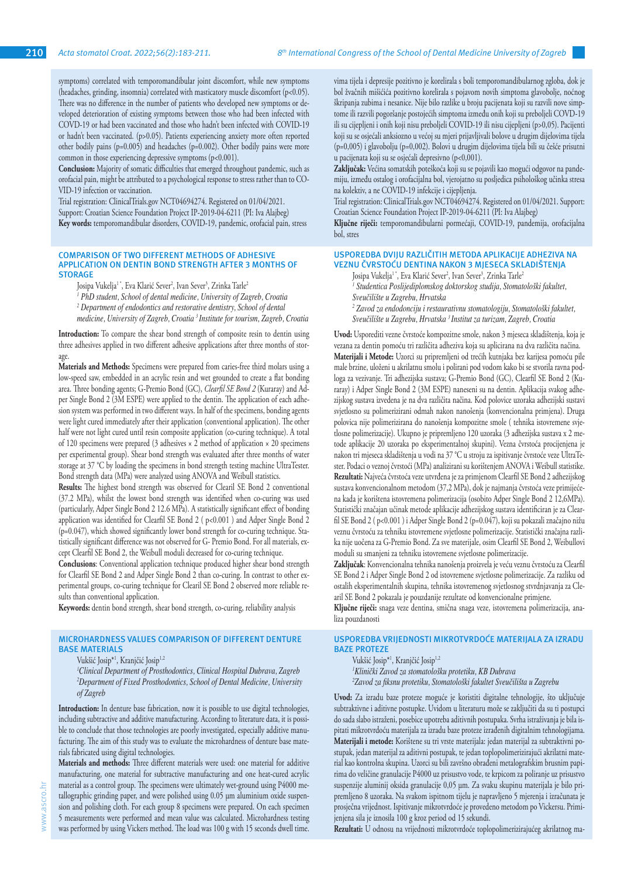symptoms) correlated with temporomandibular joint discomfort, while new symptoms (headaches, grinding, insomnia) correlated with masticatory muscle discomfort (p<0.05). There was no difference in the number of patients who developed new symptoms or developed deterioration of existing symptoms between those who had been infected with COVD-19 or had been vaccinated and those who hadn't been infected with COVID-19 or hadn't been vaccinated. (p>0.05). Patients experiencing anxiety more often reported other bodily pains (p=0.005) and headaches (p=0.002). Other bodily pains were more common in those experiencing depressive symptoms (p<0.001).

**Conclusion:** Majority of somatic difficulties that emerged throughout pandemic, such as orofacial pain, might be attributed to a psychological response to stress rather than to CO-VID-19 infection or vaccination.

Trial registration: ClinicalTrials.gov NCT04694274. Registered on 01/04/2021. Support: Croatian Science Foundation Project IP-2019-04-6211 (PI: Iva Alajbeg) **Key words:** temporomandibular disorders, COVID-19, pandemic, orofacial pain, stress

## **COMPARISON OF TWO DIFFERENT METHODS OF ADHESIVE APPLICATION ON DENTIN BOND STRENGTH AFTER 3 MONTHS OF STORAGE**

Josipa Vukelja' ", Eva Klarić Sever<del>"</del>, Ivan Sever<sup>3</sup>, Zrinka Tarle<del>"</del>

<sup>1</sup> PhD student, School of dental medicine, University of Zagreb, Croatia <sup>2</sup> Department of endodontics and restorative dentistry, School of dental

*medicine, University of Zagreb, Croatia 3 Institute for tourism, Zagreb, Croatia*

**Introduction:** To compare the shear bond strength of composite resin to dentin using three adhesives applied in two different adhesive applications after three months of storage.

**Materials and Methods:** Specimens were prepared from caries-free third molars using a low-speed saw, embedded in an acrylic resin and wet grounded to create a flat bonding area. Three bonding agents; G-Premio Bond (GC), *Clearfil SE Bond 2* (Kuraray) and Adper Single Bond 2 (3M ESPE) were applied to the dentin. The application of each adhesion system was performed in two different ways. In half of the specimens, bonding agents were light cured immediately after their application (conventional application). The other half were not light cured until resin composite application (co-curing technique). A total of 120 specimens were prepared (3 adhesives × 2 method of application × 20 specimens per experimental group). Shear bond strength was evaluated after three months of water storage at 37 °C by loading the specimens in bond strength testing machine UltraTester. Bond strength data (MPa) were analyzed using ANOVA and Weibull statistics.

**Results:** The highest bond strength was observed for Clearil SE Bond 2 conventional (37.2 MPa), whilst the lowest bond strength was identified when co-curing was used (particularly, Adper Single Bond 2 12.6 MPa). A statistically significant effect of bonding application was identified for Clearfil SE Bond 2 ( p<0.001 ) and Adper Single Bond 2 (p=0.047), which showed significantly lower bond strength for co-curing technique. Statistically significant difference was not observed for G- Premio Bond. For all materials, except Clearfil SE Bond 2, the Weibull moduli decreased for co-curing technique.

**Conclusions**: Conventional application technique produced higher shear bond strength for Clearfil SE Bond 2 and Adper Single Bond 2 than co-curing. In contrast to other experimental groups, co-curing technique for Clearil SE Bond 2 observed more reliable results than conventional application.

**Keywords:** dentin bond strength, shear bond strength, co-curing, reliability analysis

## **MICROHARDNESS VALUES COMPARISON OF DIFFERENT DENTURE BASE MATERIALS**

Vukšić Josip<sup>\*1</sup>, Kranjčić Josip<sup>1,2</sup>

*1 Clinical Department of Prosthodontics, Clinical Hospital Dubrava, Zagreb 2 Department of Fixed Prosthodontics, School of Dental Medicine, University of Zagreb*

**Introduction:** In denture base fabrication, now it is possible to use digital technologies, including subtractive and additive manufacturing. According to literature data, it is possible to conclude that those technologies are poorly investigated, especially additive manufacturing. The aim of this study was to evaluate the microhardness of denture base materials fabricated using digital technologies.

**Materials and methods:** Three different materials were used: one material for additive manufacturing, one material for subtractive manufacturing and one heat-cured acrylic material as a control group. The specimens were ultimately wet-ground using P4000 metallographic grinding paper, and were polished using 0.05 µm aluminium oxide suspension and polishing cloth. For each group 8 specimens were prepared. On each specimen 5 measurements were performed and mean value was calculated. Microhardness testing was performed by using Vickers method. The load was 100 g with 15 seconds dwell time.

vima tijela i depresije pozitivno je korelirala s boli temporomandibularnog zgloba, dok je bol žvačnih mišićića pozitivno korelirala s pojavom novih simptoma glavobolje, noćnog škripanja zubima i nesanice. Nije bilo razlike u broju pacijenata koji su razvili nove simptome ili razvili pogoršanje postojećih simptoma između onih koji su preboljeli COVD-19 ili su cijepljeni i onih koji nisu preboljeli COVID-19 ili nisu cijepljeni (p>0,05). Pacijenti koji su se osjećali anksiozno u većoj su mjeri prijavljivali bolove u drugim dijelovima tijela (p=0,005) i glavobolju (p=0,002). Bolovi u drugim dijelovima tijela bili su češće prisutni u pacijenata koji su se osjećali depresivno (p<0,001).

**Zaključak:** Većina somatskih poteškoća koji su se pojavili kao mogući odgovor na pandemiju, između ostalog i orofacijalna bol, vjerojatno su posljedica psihološkog učinka stresa na kolektiv, a ne COVID-19 infekcije i cijepljenja.

Trial registration: ClinicalTrials.gov NCT04694274. Registered on 01/04/2021. Support: Croatian Science Foundation Project IP-2019-04-6211 (PI: Iva Alajbeg)

**Ključne riječi:** temporomandibularni pormećaji, COVID-19, pandemija, orofacijalna bol, stres

## **USPOREDBA DVIJU RAZLIČITIH METODA APLIKACIJE ADHEZIVA NA VEZNU ČVRSTOĆU DENTINA NAKON 3 MJESECA SKLADIŠTENJA**

Josipa Vukelja' ", Eva Klarić Sever<del>'</del>, Ivan Sever<sup>3</sup>, Zrinka Tarle<del>'</del>

*1 Studentica Poslijediplomskog doktorskog studija, Stomatološki fakultet, Sveučilište u Zagrebu, Hrvatska*

*2 Zavod za endodonciju i restaurativnu stomatologiju, Stomatološki fakultet, Sveučilište u Zagrebu, Hrvatska 3 Institut za turizam, Zagreb, Croatia*

**Uvod:** Usporediti vezne čvrstoće kompozitne smole, nakon 3 mjeseca skladištenja, koja je vezana za dentin pomoću tri različita adheziva koja su aplicirana na dva različita načina. **Materijali i Metode:** Uzorci su pripremljeni od trećih kutnjaka bez karijesa pomoću pile male brzine, uloženi u akrilatnu smolu i polirani pod vodom kako bi se stvorila ravna podloga za vezivanje. Tri adhezijska sustava; G-Premio Bond (GC), Clearfil SE Bond 2 (Kuraray) i Adper Single Bond 2 (3M ESPE) naneseni su na dentin. Aplikacija svakog adhezijskog sustava izvedena je na dva različita načina. Kod polovice uzoraka adhezijski sustavi svjetlosno su polimerizirani odmah nakon nanošenja (konvencionalna primjena). Druga polovica nije polimerizirana do nanošenja kompozitne smole ( tehnika istovremene svjetlosne polimerizacije). Ukupno je pripremljeno 120 uzoraka (3 adhezijska sustava x 2 metode aplikacije 20 uzoraka po eksperimentalnoj skupini). Vezna čvrstoća procijenjena je nakon tri mjeseca skladištenja u vodi na 37 °C u stroju za ispitivanje čvrstoće veze UltraTester. Podaci o veznoj čvrstoći (MPa) analizirani su korištenjem ANOVA i Weibull statistike. **Rezultati:** Najveća čvrstoća veze utvrđena je za primjenom Clearfil SE Bond 2 adhezijskog sustava konvencionalnom metodom (37,2 MPa), dok je najmanja čvrstoća veze primijećena kada je korištena istovremena polimerizacija (osobito Adper Single Bond 2 12,6MPa). Statistički značajan učinak metode aplikacije adhezijskog sustava identificiran je za Clearfil SE Bond 2 ( p<0.001 ) i Adper Single Bond 2 (p=0.047), koji su pokazali značajno nižu veznu čvrstoću za tehniku istovremene svjetlosne polimerizacije. Statistički značajna razlika nije uočena za G-Premio Bond. Za sve materijale, osim Clearfil SE Bond 2, Weibullovi moduli su smanjeni za tehniku istovremene svjetlosne polimerizacije.

**Zaključak**: Konvencionalna tehnika nanošenja proizvela je veću veznu čvrstoću za Clearfil SE Bond 2 i Adper Single Bond 2 od istovremene svjetlosne polimerizacije. Za razliku od ostalih eksperimentalnih skupina, tehnika istovremenog svjetlosnog stvrdnjavanja za Clearil SE Bond 2 pokazala je pouzdanije rezultate od konvencionalne primjene.

**Ključne riječi:** snaga veze dentina, smična snaga veze, istovremena polimerizacija, analiza pouzdanosti

## **USPOREDBA VRIJEDNOSTI MIKROTVRDOĆE MATERIJALA ZA IZRADU BAZE PROTEZE**

Vukšić Josip<sup>\*1</sup>, Kranjčić Josip<sup>1,2</sup>

*1 Klinički Zavod za stomatološku protetiku, KB Dubrava 2 Zavod za fiksnu protetiku, Stomatološki fakultet Sveučilišta u Zagrebu*

**Uvod:** Za izradu baze proteze moguće je koristiti digitalne tehnologije, što uključuje subtraktivne i aditivne postupke. Uvidom u literaturu može se zaključiti da su ti postupci do sada slabo istraženi, posebice upotreba aditivnih postupaka. Svrha istraživanja je bila ispitati mikrotvrdoću materijala za izradu baze proteze izrađenih digitalnim tehnologijama. **Materijali i metode:** Korištene su tri vrste materijala: jedan materijal za subtraktivni postupak, jedan materijal za aditivni postupak, te jedan toplopolimerizirajući akrilatni material kao kontrolna skupina. Uzorci su bili završno obrađeni metalografskim brusnim papirima do veličine granulacije P4000 uz prisustvo vode, te krpicom za poliranje uz prisustvo suspenzije aluminij oksida granulacije 0,05 µm. Za svaku skupinu materijala je bilo pripremljeno 8 uzoraka. Na svakom ispitnom tijelu je napravljeno 5 mjerenja i izračunata je prosječna vrijednost. Ispitivanje mikrotvrdoće je provedeno metodom po Vickersu. Primijenjena sila je iznosila 100 g kroz period od 15 sekundi.

**Rezultati:** U odnosu na vrijednosti mikrotvrdoće toplopolimerizirajućeg akrilatnog ma-